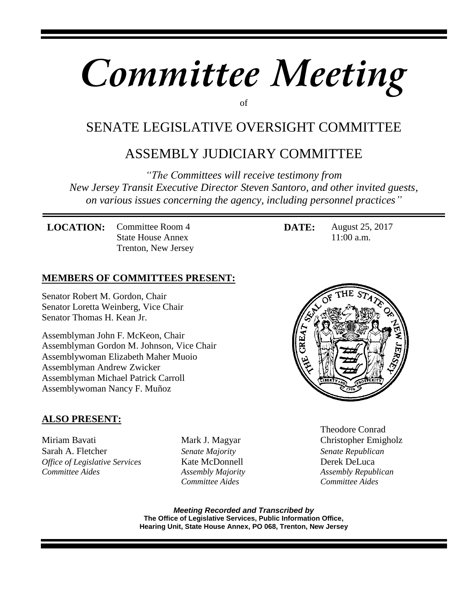# *Committee Meeting*

of

# SENATE LEGISLATIVE OVERSIGHT COMMITTEE

# ASSEMBLY JUDICIARY COMMITTEE

*"The Committees will receive testimony from New Jersey Transit Executive Director Steven Santoro, and other invited guests, on various issues concerning the agency, including personnel practices"*

**LOCATION:** Committee Room 4 State House Annex Trenton, New Jersey **DATE:** August 25, 2017 11:00 a.m.

## **MEMBERS OF COMMITTEES PRESENT:**

Senator Robert M. Gordon, Chair Senator Loretta Weinberg, Vice Chair Senator Thomas H. Kean Jr.

Assemblyman John F. McKeon, Chair Assemblyman Gordon M. Johnson, Vice Chair Assemblywoman Elizabeth Maher Muoio Assemblyman Andrew Zwicker Assemblyman Michael Patrick Carroll Assemblywoman Nancy F. Muñoz

## **ALSO PRESENT:**

Miriam Bavati **Mark J. Magyar** Christopher Emigholz Sarah A. Fletcher*Senate Majority Senate Republican Office of Legislative Services Kate McDonnell Derek DeLuca Committee Aides* **Assembly Majority Assembly Republican** *Assembly Republican* 

 *Committee Aides Committee Aides* 



Theodore Conrad

*Meeting Recorded and Transcribed by*  **The Office of Legislative Services, Public Information Office, Hearing Unit, State House Annex, PO 068, Trenton, New Jersey**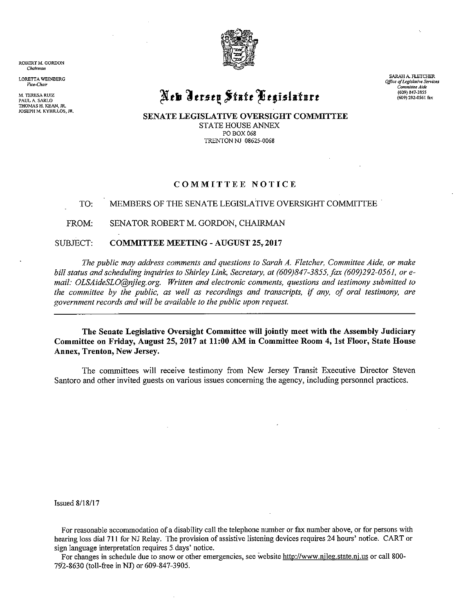

ROBERT M. GORDON Chairman

**LORETTA WEINBERG** Vice-Chair

M. TERESA RUIZ PAUL A. SARLO THOMAS H. KEAN, JR. JOSEPH M. KYRILLOS, JR. New Jersey State Begislature

SARAH A. FLETCHER Office of Legislative Services Committee Aide  $(609) 847 - 3855$ (609) 292-0561 fax

SENATE LEGISLATIVE OVERSIGHT COMMITTEE **STATE HOUSE ANNEX** PO BOX 068 TRENTON NJ 08625-0068

#### COMMITTEE NOTICE

#### TO: MEMBERS OF THE SENATE LEGISLATIVE OVERSIGHT COMMITTEE

FROM: SENATOR ROBERT M. GORDON, CHAIRMAN

SUBJECT: **COMMITTEE MEETING - AUGUST 25, 2017** 

The public may address comments and questions to Sarah A. Fletcher, Committee Aide, or make bill status and scheduling inquiries to Shirley Link, Secretary, at (609)847-3855, fax (609)292-0561, or email: OLSAideSLO@nileg.org. Written and electronic comments, questions and testimony submitted to the committee by the public, as well as recordings and transcripts, if any, of oral testimony, are government records and will be available to the public upon request.

The Senate Legislative Oversight Committee will jointly meet with the Assembly Judiciary Committee on Friday, August 25, 2017 at 11:00 AM in Committee Room 4, 1st Floor, State House Annex, Trenton, New Jersey.

The committees will receive testimony from New Jersey Transit Executive Director Steven Santoro and other invited guests on various issues concerning the agency, including personnel practices.

**Issued 8/18/17** 

For reasonable accommodation of a disability call the telephone number or fax number above, or for persons with hearing loss dial 711 for NJ Relay. The provision of assistive listening devices requires 24 hours' notice. CART or sign language interpretation requires 5 days' notice.

For changes in schedule due to snow or other emergencies, see website http://www.njleg.state.nj.us or call 800-792-8630 (toll-free in NJ) or 609-847-3905.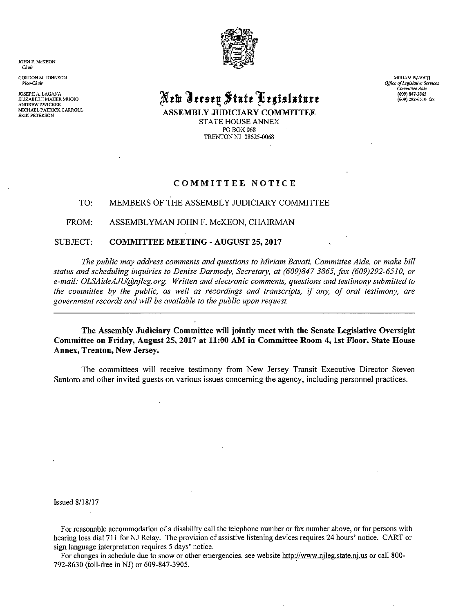JOHN F. McKEON Chair

GORDON M. JOHNSON Vice-Chair

JOSEPH A. LAGANA ELIZABETH MAHER MUOIO ANDREW ZWICKER MICHAEL PATRICK CARROLL **ERIK PETERSON** 



# New Ierseų Štate Pegislature

**ASSEMBLY JUDICIARY COMMITTEE** STATE HOUSE ANNEX PO BOX 068 TRENTON NJ 08625-0068

MIRIAM BAVATI Office of Legislative Services<br>Committee Aide (609) 847-3865 (609) 292-6510 fax

#### COMMITTEE NOTICE

#### MEMBERS OF THE ASSEMBLY JUDICIARY COMMITTEE TO:

FROM: ASSEMBLYMAN JOHN F. McKEON, CHAIRMAN

#### SUBJECT: **COMMITTEE MEETING - AUGUST 25, 2017**

The public may address comments and questions to Miriam Bavati, Committee Aide, or make bill status and scheduling inquiries to Denise Darmody, Secretary, at (609)847-3865, fax (609)292-6510, or e-mail: OLSAideAJU@njleg.org. Written and electronic comments, questions and testimony submitted to the committee by the public, as well as recordings and transcripts, if any, of oral testimony, are government records and will be available to the public upon request.

The Assembly Judiciary Committee will jointly meet with the Senate Legislative Oversight Committee on Friday, August 25, 2017 at 11:00 AM in Committee Room 4, 1st Floor, State House Annex, Trenton, New Jersey.

The committees will receive testimony from New Jersey Transit Executive Director Steven Santoro and other invited guests on various issues concerning the agency, including personnel practices.

**Issued 8/18/17** 

For reasonable accommodation of a disability call the telephone number or fax number above, or for persons with hearing loss dial 711 for NJ Relay. The provision of assistive listening devices requires 24 hours' notice. CART or sign language interpretation requires 5 days' notice.

For changes in schedule due to snow or other emergencies, see website http://www.njleg.state.nj.us or call 800-792-8630 (toll-free in NJ) or 609-847-3905.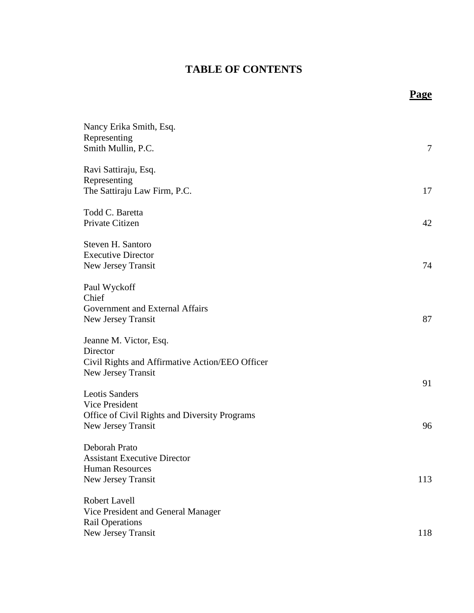## **TABLE OF CONTENTS**

**Page**

| Nancy Erika Smith, Esq.<br>Representing<br>Smith Mullin, P.C.                                               | 7   |
|-------------------------------------------------------------------------------------------------------------|-----|
| Ravi Sattiraju, Esq.<br>Representing<br>The Sattiraju Law Firm, P.C.                                        | 17  |
| Todd C. Baretta<br>Private Citizen                                                                          | 42  |
| Steven H. Santoro<br><b>Executive Director</b><br>New Jersey Transit                                        | 74  |
| Paul Wyckoff<br>Chief<br>Government and External Affairs<br>New Jersey Transit                              | 87  |
| Jeanne M. Victor, Esq.<br>Director<br>Civil Rights and Affirmative Action/EEO Officer<br>New Jersey Transit |     |
| <b>Leotis Sanders</b><br>Vice President<br>Office of Civil Rights and Diversity Programs                    | 91  |
| New Jersey Transit<br>Deborah Prato<br><b>Assistant Executive Director</b>                                  | 96  |
| <b>Human Resources</b><br>New Jersey Transit                                                                | 113 |
| <b>Robert Lavell</b><br>Vice President and General Manager<br><b>Rail Operations</b>                        |     |
| New Jersey Transit                                                                                          | 118 |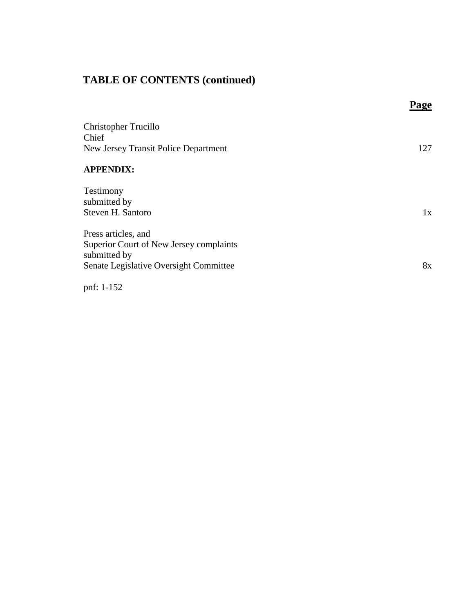## **TABLE OF CONTENTS (continued)**

|                                                                                                                          | Page |
|--------------------------------------------------------------------------------------------------------------------------|------|
| <b>Christopher Trucillo</b><br>Chief<br>New Jersey Transit Police Department                                             | 127  |
| <b>APPENDIX:</b>                                                                                                         |      |
| Testimony<br>submitted by<br>Steven H. Santoro                                                                           | 1x   |
| Press articles, and<br>Superior Court of New Jersey complaints<br>submitted by<br>Senate Legislative Oversight Committee | 8x   |
|                                                                                                                          |      |

pnf: 1-152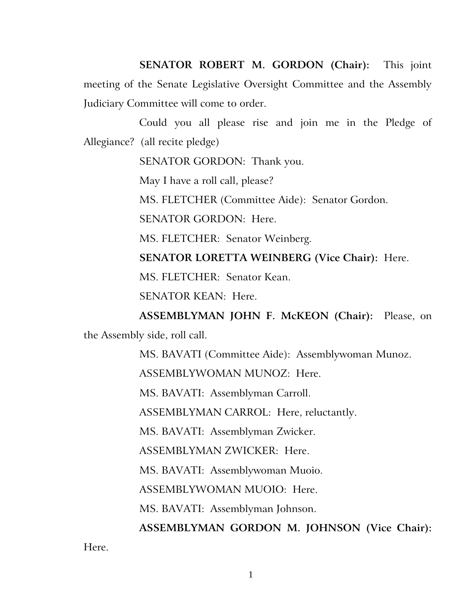**SENATOR ROBERT M. GORDON (Chair):** This joint meeting of the Senate Legislative Oversight Committee and the Assembly Judiciary Committee will come to order.

Could you all please rise and join me in the Pledge of Allegiance? (all recite pledge)

SENATOR GORDON: Thank you.

May I have a roll call, please?

MS. FLETCHER (Committee Aide): Senator Gordon.

SENATOR GORDON: Here.

MS. FLETCHER: Senator Weinberg.

**SENATOR LORETTA WEINBERG (Vice Chair):** Here.

MS. FLETCHER: Senator Kean.

SENATOR KEAN: Here.

**ASSEMBLYMAN JOHN F. McKEON (Chair):** Please, on the Assembly side, roll call.

MS. BAVATI (Committee Aide): Assemblywoman Munoz.

ASSEMBLYWOMAN MUNOZ: Here.

MS. BAVATI: Assemblyman Carroll.

ASSEMBLYMAN CARROL: Here, reluctantly.

MS. BAVATI: Assemblyman Zwicker.

ASSEMBLYMAN ZWICKER: Here.

MS. BAVATI: Assemblywoman Muoio.

ASSEMBLYWOMAN MUOIO: Here.

MS. BAVATI: Assemblyman Johnson.

**ASSEMBLYMAN GORDON M. JOHNSON (Vice Chair):** 

Here.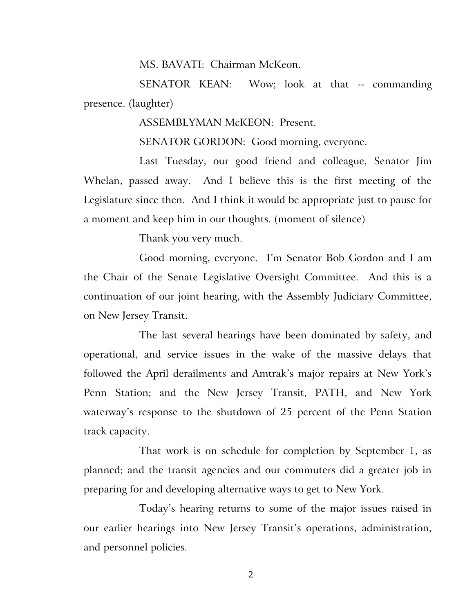MS. BAVATI: Chairman McKeon.

SENATOR KEAN: Wow; look at that -- commanding presence. (laughter)

ASSEMBLYMAN McKEON: Present.

SENATOR GORDON: Good morning, everyone.

Last Tuesday, our good friend and colleague, Senator Jim Whelan, passed away. And I believe this is the first meeting of the Legislature since then. And I think it would be appropriate just to pause for a moment and keep him in our thoughts. (moment of silence)

Thank you very much.

Good morning, everyone. I'm Senator Bob Gordon and I am the Chair of the Senate Legislative Oversight Committee. And this is a continuation of our joint hearing, with the Assembly Judiciary Committee, on New Jersey Transit.

The last several hearings have been dominated by safety, and operational, and service issues in the wake of the massive delays that followed the April derailments and Amtrak's major repairs at New York's Penn Station; and the New Jersey Transit, PATH, and New York waterway's response to the shutdown of 25 percent of the Penn Station track capacity.

That work is on schedule for completion by September 1, as planned; and the transit agencies and our commuters did a greater job in preparing for and developing alternative ways to get to New York.

Today's hearing returns to some of the major issues raised in our earlier hearings into New Jersey Transit's operations, administration, and personnel policies.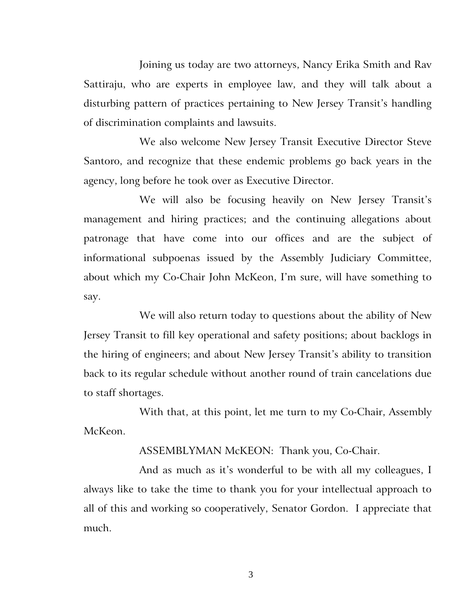Joining us today are two attorneys, Nancy Erika Smith and Rav Sattiraju, who are experts in employee law, and they will talk about a disturbing pattern of practices pertaining to New Jersey Transit's handling of discrimination complaints and lawsuits.

We also welcome New Jersey Transit Executive Director Steve Santoro, and recognize that these endemic problems go back years in the agency, long before he took over as Executive Director.

We will also be focusing heavily on New Jersey Transit's management and hiring practices; and the continuing allegations about patronage that have come into our offices and are the subject of informational subpoenas issued by the Assembly Judiciary Committee, about which my Co-Chair John McKeon, I'm sure, will have something to say.

We will also return today to questions about the ability of New Jersey Transit to fill key operational and safety positions; about backlogs in the hiring of engineers; and about New Jersey Transit's ability to transition back to its regular schedule without another round of train cancelations due to staff shortages.

With that, at this point, let me turn to my Co-Chair, Assembly McKeon.

ASSEMBLYMAN McKEON: Thank you, Co-Chair.

And as much as it's wonderful to be with all my colleagues, I always like to take the time to thank you for your intellectual approach to all of this and working so cooperatively, Senator Gordon. I appreciate that much.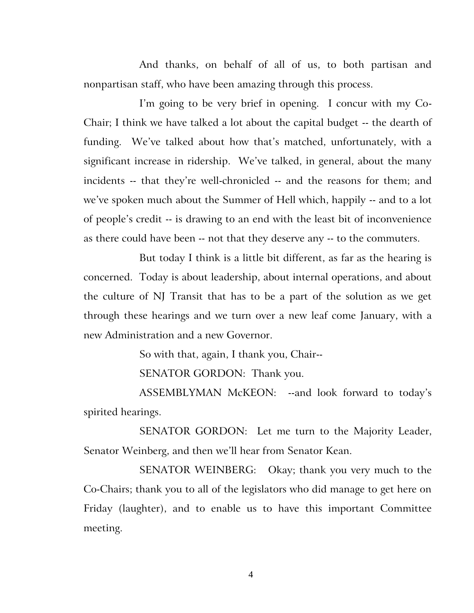And thanks, on behalf of all of us, to both partisan and nonpartisan staff, who have been amazing through this process.

I'm going to be very brief in opening. I concur with my Co-Chair; I think we have talked a lot about the capital budget -- the dearth of funding. We've talked about how that's matched, unfortunately, with a significant increase in ridership. We've talked, in general, about the many incidents -- that they're well-chronicled -- and the reasons for them; and we've spoken much about the Summer of Hell which, happily -- and to a lot of people's credit -- is drawing to an end with the least bit of inconvenience as there could have been -- not that they deserve any -- to the commuters.

But today I think is a little bit different, as far as the hearing is concerned. Today is about leadership, about internal operations, and about the culture of NJ Transit that has to be a part of the solution as we get through these hearings and we turn over a new leaf come January, with a new Administration and a new Governor.

So with that, again, I thank you, Chair--

SENATOR GORDON: Thank you.

ASSEMBLYMAN McKEON: --and look forward to today's spirited hearings.

SENATOR GORDON: Let me turn to the Majority Leader, Senator Weinberg, and then we'll hear from Senator Kean.

SENATOR WEINBERG: Okay; thank you very much to the Co-Chairs; thank you to all of the legislators who did manage to get here on Friday (laughter), and to enable us to have this important Committee meeting.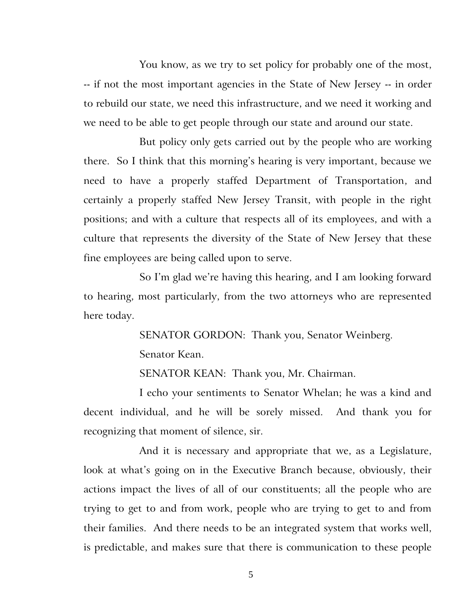You know, as we try to set policy for probably one of the most, -- if not the most important agencies in the State of New Jersey -- in order to rebuild our state, we need this infrastructure, and we need it working and we need to be able to get people through our state and around our state.

But policy only gets carried out by the people who are working there. So I think that this morning's hearing is very important, because we need to have a properly staffed Department of Transportation, and certainly a properly staffed New Jersey Transit, with people in the right positions; and with a culture that respects all of its employees, and with a culture that represents the diversity of the State of New Jersey that these fine employees are being called upon to serve.

So I'm glad we're having this hearing, and I am looking forward to hearing, most particularly, from the two attorneys who are represented here today.

> SENATOR GORDON: Thank you, Senator Weinberg. Senator Kean.

SENATOR KEAN: Thank you, Mr. Chairman.

I echo your sentiments to Senator Whelan; he was a kind and decent individual, and he will be sorely missed. And thank you for recognizing that moment of silence, sir.

And it is necessary and appropriate that we, as a Legislature, look at what's going on in the Executive Branch because, obviously, their actions impact the lives of all of our constituents; all the people who are trying to get to and from work, people who are trying to get to and from their families. And there needs to be an integrated system that works well, is predictable, and makes sure that there is communication to these people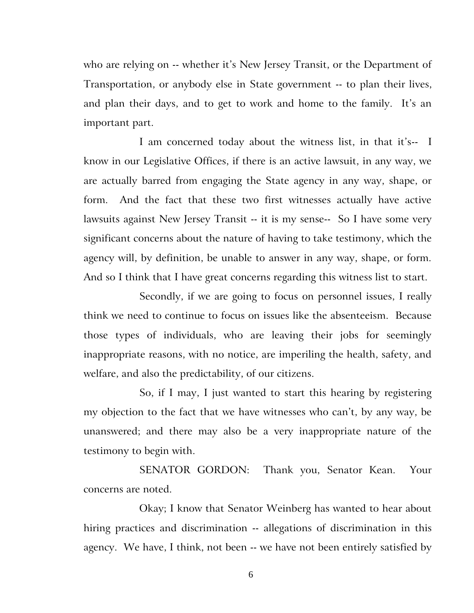who are relying on -- whether it's New Jersey Transit, or the Department of Transportation, or anybody else in State government -- to plan their lives, and plan their days, and to get to work and home to the family. It's an important part.

I am concerned today about the witness list, in that it's-- I know in our Legislative Offices, if there is an active lawsuit, in any way, we are actually barred from engaging the State agency in any way, shape, or form. And the fact that these two first witnesses actually have active lawsuits against New Jersey Transit -- it is my sense-- So I have some very significant concerns about the nature of having to take testimony, which the agency will, by definition, be unable to answer in any way, shape, or form. And so I think that I have great concerns regarding this witness list to start.

Secondly, if we are going to focus on personnel issues, I really think we need to continue to focus on issues like the absenteeism. Because those types of individuals, who are leaving their jobs for seemingly inappropriate reasons, with no notice, are imperiling the health, safety, and welfare, and also the predictability, of our citizens.

So, if I may, I just wanted to start this hearing by registering my objection to the fact that we have witnesses who can't, by any way, be unanswered; and there may also be a very inappropriate nature of the testimony to begin with.

SENATOR GORDON: Thank you, Senator Kean. Your concerns are noted.

Okay; I know that Senator Weinberg has wanted to hear about hiring practices and discrimination -- allegations of discrimination in this agency. We have, I think, not been -- we have not been entirely satisfied by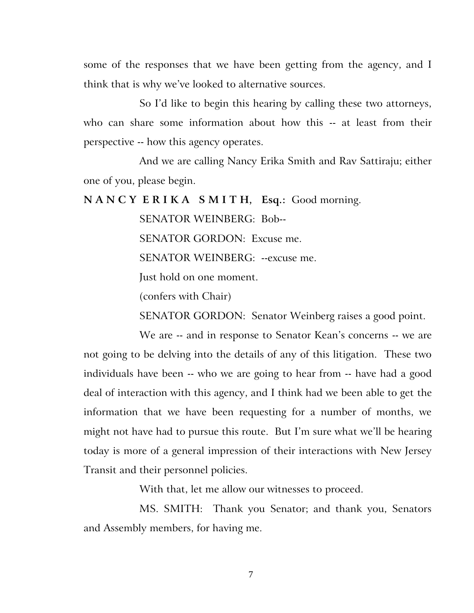some of the responses that we have been getting from the agency, and I think that is why we've looked to alternative sources.

So I'd like to begin this hearing by calling these two attorneys, who can share some information about how this -- at least from their perspective -- how this agency operates.

And we are calling Nancy Erika Smith and Rav Sattiraju; either one of you, please begin.

**N A N C Y E R I K A S M I T H, Esq.:** Good morning.

SENATOR WEINBERG: Bob-- SENATOR GORDON: Excuse me. SENATOR WEINBERG: --excuse me. Just hold on one moment.

(confers with Chair)

SENATOR GORDON: Senator Weinberg raises a good point.

We are -- and in response to Senator Kean's concerns -- we are not going to be delving into the details of any of this litigation. These two individuals have been -- who we are going to hear from -- have had a good deal of interaction with this agency, and I think had we been able to get the information that we have been requesting for a number of months, we might not have had to pursue this route. But I'm sure what we'll be hearing today is more of a general impression of their interactions with New Jersey Transit and their personnel policies.

With that, let me allow our witnesses to proceed.

MS. SMITH: Thank you Senator; and thank you, Senators and Assembly members, for having me.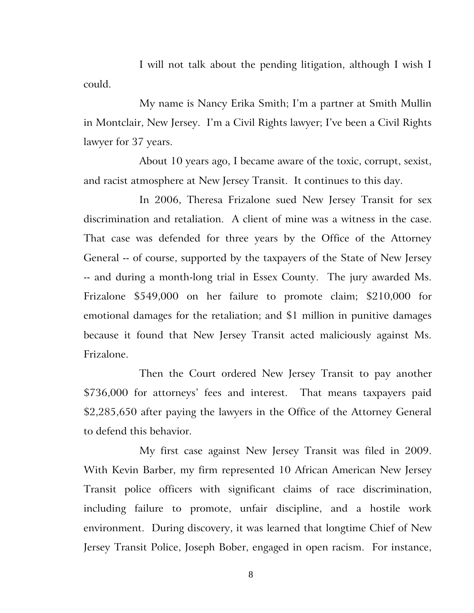I will not talk about the pending litigation, although I wish I could.

My name is Nancy Erika Smith; I'm a partner at Smith Mullin in Montclair, New Jersey. I'm a Civil Rights lawyer; I've been a Civil Rights lawyer for 37 years.

About 10 years ago, I became aware of the toxic, corrupt, sexist, and racist atmosphere at New Jersey Transit. It continues to this day.

In 2006, Theresa Frizalone sued New Jersey Transit for sex discrimination and retaliation. A client of mine was a witness in the case. That case was defended for three years by the Office of the Attorney General -- of course, supported by the taxpayers of the State of New Jersey -- and during a month-long trial in Essex County. The jury awarded Ms. Frizalone \$549,000 on her failure to promote claim; \$210,000 for emotional damages for the retaliation; and \$1 million in punitive damages because it found that New Jersey Transit acted maliciously against Ms. Frizalone.

Then the Court ordered New Jersey Transit to pay another \$736,000 for attorneys' fees and interest. That means taxpayers paid \$2,285,650 after paying the lawyers in the Office of the Attorney General to defend this behavior.

My first case against New Jersey Transit was filed in 2009. With Kevin Barber, my firm represented 10 African American New Jersey Transit police officers with significant claims of race discrimination, including failure to promote, unfair discipline, and a hostile work environment. During discovery, it was learned that longtime Chief of New Jersey Transit Police, Joseph Bober, engaged in open racism. For instance,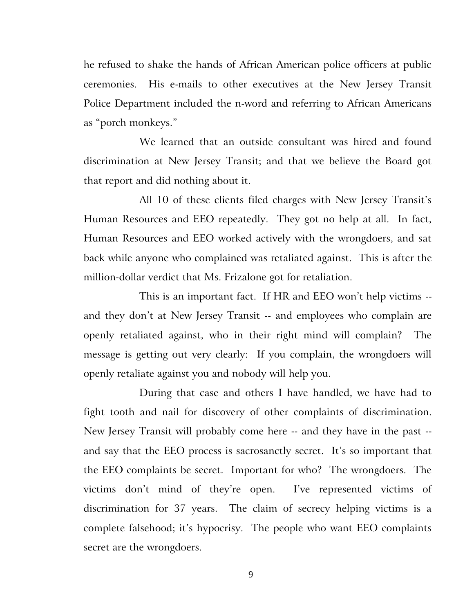he refused to shake the hands of African American police officers at public ceremonies. His e-mails to other executives at the New Jersey Transit Police Department included the n-word and referring to African Americans as "porch monkeys."

We learned that an outside consultant was hired and found discrimination at New Jersey Transit; and that we believe the Board got that report and did nothing about it.

All 10 of these clients filed charges with New Jersey Transit's Human Resources and EEO repeatedly. They got no help at all. In fact, Human Resources and EEO worked actively with the wrongdoers, and sat back while anyone who complained was retaliated against. This is after the million-dollar verdict that Ms. Frizalone got for retaliation.

This is an important fact. If HR and EEO won't help victims - and they don't at New Jersey Transit -- and employees who complain are openly retaliated against, who in their right mind will complain? The message is getting out very clearly: If you complain, the wrongdoers will openly retaliate against you and nobody will help you.

During that case and others I have handled, we have had to fight tooth and nail for discovery of other complaints of discrimination. New Jersey Transit will probably come here -- and they have in the past - and say that the EEO process is sacrosanctly secret. It's so important that the EEO complaints be secret. Important for who? The wrongdoers. The victims don't mind of they're open. I've represented victims of discrimination for 37 years. The claim of secrecy helping victims is a complete falsehood; it's hypocrisy. The people who want EEO complaints secret are the wrongdoers.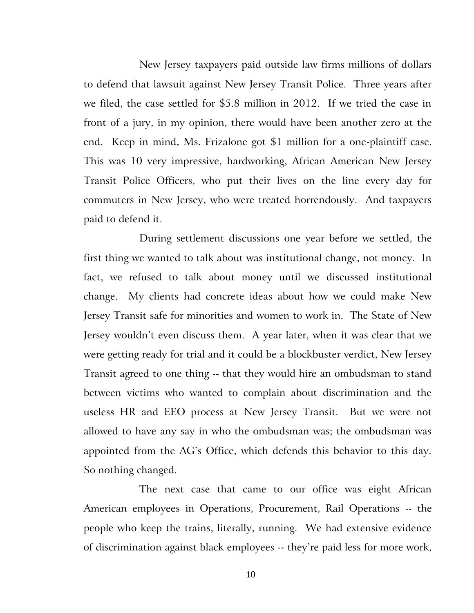New Jersey taxpayers paid outside law firms millions of dollars to defend that lawsuit against New Jersey Transit Police. Three years after we filed, the case settled for \$5.8 million in 2012. If we tried the case in front of a jury, in my opinion, there would have been another zero at the end. Keep in mind, Ms. Frizalone got \$1 million for a one-plaintiff case. This was 10 very impressive, hardworking, African American New Jersey Transit Police Officers, who put their lives on the line every day for commuters in New Jersey, who were treated horrendously. And taxpayers paid to defend it.

During settlement discussions one year before we settled, the first thing we wanted to talk about was institutional change, not money. In fact, we refused to talk about money until we discussed institutional change. My clients had concrete ideas about how we could make New Jersey Transit safe for minorities and women to work in. The State of New Jersey wouldn't even discuss them. A year later, when it was clear that we were getting ready for trial and it could be a blockbuster verdict, New Jersey Transit agreed to one thing -- that they would hire an ombudsman to stand between victims who wanted to complain about discrimination and the useless HR and EEO process at New Jersey Transit. But we were not allowed to have any say in who the ombudsman was; the ombudsman was appointed from the AG's Office, which defends this behavior to this day. So nothing changed.

The next case that came to our office was eight African American employees in Operations, Procurement, Rail Operations -- the people who keep the trains, literally, running. We had extensive evidence of discrimination against black employees -- they're paid less for more work,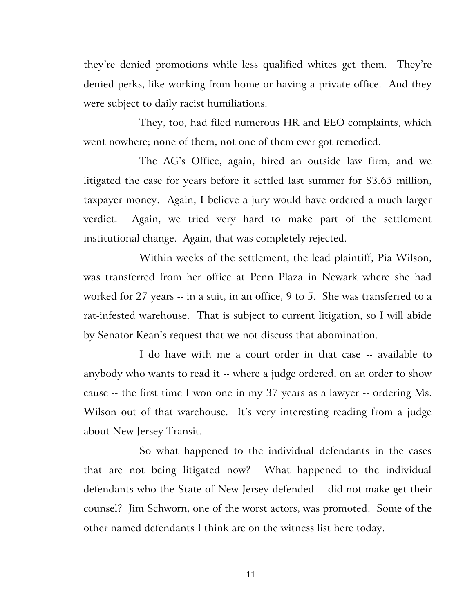they're denied promotions while less qualified whites get them. They're denied perks, like working from home or having a private office. And they were subject to daily racist humiliations.

They, too, had filed numerous HR and EEO complaints, which went nowhere; none of them, not one of them ever got remedied.

The AG's Office, again, hired an outside law firm, and we litigated the case for years before it settled last summer for \$3.65 million, taxpayer money. Again, I believe a jury would have ordered a much larger verdict. Again, we tried very hard to make part of the settlement institutional change. Again, that was completely rejected.

Within weeks of the settlement, the lead plaintiff, Pia Wilson, was transferred from her office at Penn Plaza in Newark where she had worked for 27 years -- in a suit, in an office, 9 to 5. She was transferred to a rat-infested warehouse. That is subject to current litigation, so I will abide by Senator Kean's request that we not discuss that abomination.

I do have with me a court order in that case -- available to anybody who wants to read it -- where a judge ordered, on an order to show cause -- the first time I won one in my 37 years as a lawyer -- ordering Ms. Wilson out of that warehouse. It's very interesting reading from a judge about New Jersey Transit.

So what happened to the individual defendants in the cases that are not being litigated now? What happened to the individual defendants who the State of New Jersey defended -- did not make get their counsel? Jim Schworn, one of the worst actors, was promoted. Some of the other named defendants I think are on the witness list here today.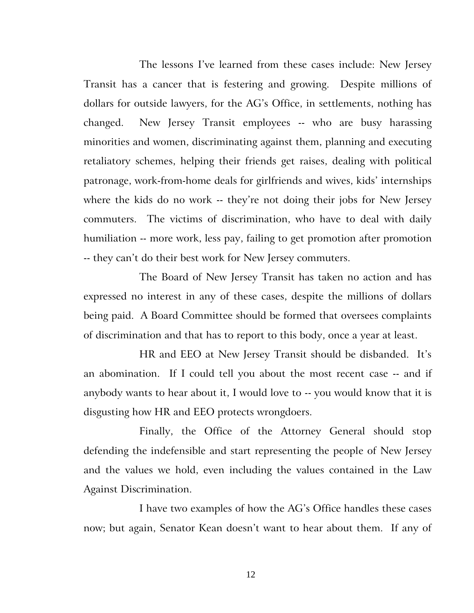The lessons I've learned from these cases include: New Jersey Transit has a cancer that is festering and growing. Despite millions of dollars for outside lawyers, for the AG's Office, in settlements, nothing has changed. New Jersey Transit employees -- who are busy harassing minorities and women, discriminating against them, planning and executing retaliatory schemes, helping their friends get raises, dealing with political patronage, work-from-home deals for girlfriends and wives, kids' internships where the kids do no work -- they're not doing their jobs for New Jersey commuters. The victims of discrimination, who have to deal with daily humiliation -- more work, less pay, failing to get promotion after promotion -- they can't do their best work for New Jersey commuters.

The Board of New Jersey Transit has taken no action and has expressed no interest in any of these cases, despite the millions of dollars being paid. A Board Committee should be formed that oversees complaints of discrimination and that has to report to this body, once a year at least.

HR and EEO at New Jersey Transit should be disbanded. It's an abomination. If I could tell you about the most recent case -- and if anybody wants to hear about it, I would love to -- you would know that it is disgusting how HR and EEO protects wrongdoers.

Finally, the Office of the Attorney General should stop defending the indefensible and start representing the people of New Jersey and the values we hold, even including the values contained in the Law Against Discrimination.

I have two examples of how the AG's Office handles these cases now; but again, Senator Kean doesn't want to hear about them. If any of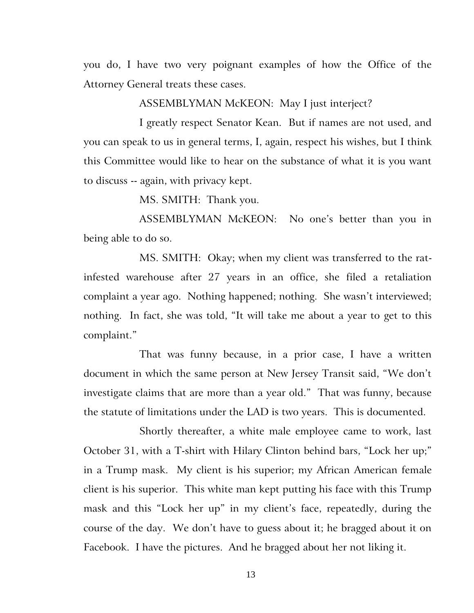you do, I have two very poignant examples of how the Office of the Attorney General treats these cases.

ASSEMBLYMAN McKEON: May I just interject?

I greatly respect Senator Kean. But if names are not used, and you can speak to us in general terms, I, again, respect his wishes, but I think this Committee would like to hear on the substance of what it is you want to discuss -- again, with privacy kept.

MS. SMITH: Thank you.

ASSEMBLYMAN McKEON: No one's better than you in being able to do so.

MS. SMITH: Okay; when my client was transferred to the ratinfested warehouse after 27 years in an office, she filed a retaliation complaint a year ago. Nothing happened; nothing. She wasn't interviewed; nothing. In fact, she was told, "It will take me about a year to get to this complaint."

That was funny because, in a prior case, I have a written document in which the same person at New Jersey Transit said, "We don't investigate claims that are more than a year old." That was funny, because the statute of limitations under the LAD is two years. This is documented.

Shortly thereafter, a white male employee came to work, last October 31, with a T-shirt with Hilary Clinton behind bars, "Lock her up;" in a Trump mask. My client is his superior; my African American female client is his superior. This white man kept putting his face with this Trump mask and this "Lock her up" in my client's face, repeatedly, during the course of the day. We don't have to guess about it; he bragged about it on Facebook. I have the pictures. And he bragged about her not liking it.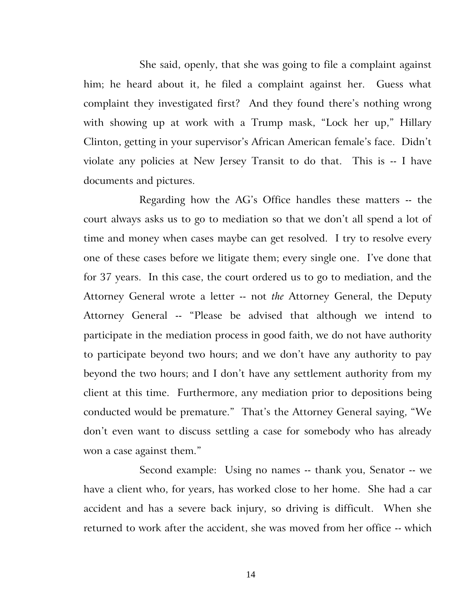She said, openly, that she was going to file a complaint against him; he heard about it, he filed a complaint against her. Guess what complaint they investigated first? And they found there's nothing wrong with showing up at work with a Trump mask, "Lock her up," Hillary Clinton, getting in your supervisor's African American female's face. Didn't violate any policies at New Jersey Transit to do that. This is -- I have documents and pictures.

Regarding how the AG's Office handles these matters -- the court always asks us to go to mediation so that we don't all spend a lot of time and money when cases maybe can get resolved. I try to resolve every one of these cases before we litigate them; every single one. I've done that for 37 years. In this case, the court ordered us to go to mediation, and the Attorney General wrote a letter -- not *the* Attorney General, the Deputy Attorney General -- "Please be advised that although we intend to participate in the mediation process in good faith, we do not have authority to participate beyond two hours; and we don't have any authority to pay beyond the two hours; and I don't have any settlement authority from my client at this time. Furthermore, any mediation prior to depositions being conducted would be premature." That's the Attorney General saying, "We don't even want to discuss settling a case for somebody who has already won a case against them."

Second example: Using no names -- thank you, Senator -- we have a client who, for years, has worked close to her home. She had a car accident and has a severe back injury, so driving is difficult. When she returned to work after the accident, she was moved from her office -- which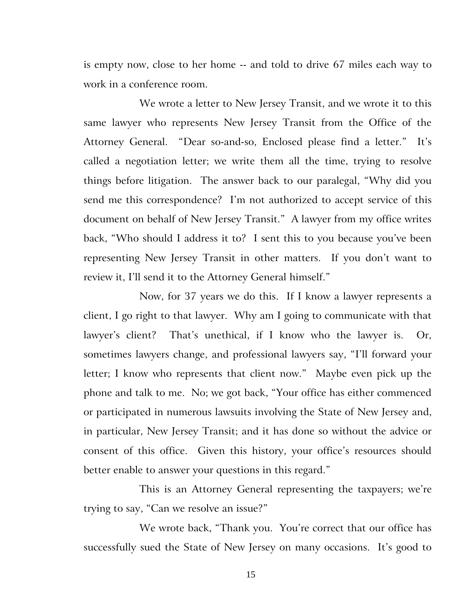is empty now, close to her home -- and told to drive 67 miles each way to work in a conference room.

We wrote a letter to New Jersey Transit, and we wrote it to this same lawyer who represents New Jersey Transit from the Office of the Attorney General. "Dear so-and-so, Enclosed please find a letter." It's called a negotiation letter; we write them all the time, trying to resolve things before litigation. The answer back to our paralegal, "Why did you send me this correspondence? I'm not authorized to accept service of this document on behalf of New Jersey Transit." A lawyer from my office writes back, "Who should I address it to? I sent this to you because you've been representing New Jersey Transit in other matters. If you don't want to review it, I'll send it to the Attorney General himself."

Now, for 37 years we do this. If I know a lawyer represents a client, I go right to that lawyer. Why am I going to communicate with that lawyer's client? That's unethical, if I know who the lawyer is. Or, sometimes lawyers change, and professional lawyers say, "I'll forward your letter; I know who represents that client now." Maybe even pick up the phone and talk to me. No; we got back, "Your office has either commenced or participated in numerous lawsuits involving the State of New Jersey and, in particular, New Jersey Transit; and it has done so without the advice or consent of this office. Given this history, your office's resources should better enable to answer your questions in this regard."

This is an Attorney General representing the taxpayers; we're trying to say, "Can we resolve an issue?"

We wrote back, "Thank you. You're correct that our office has successfully sued the State of New Jersey on many occasions. It's good to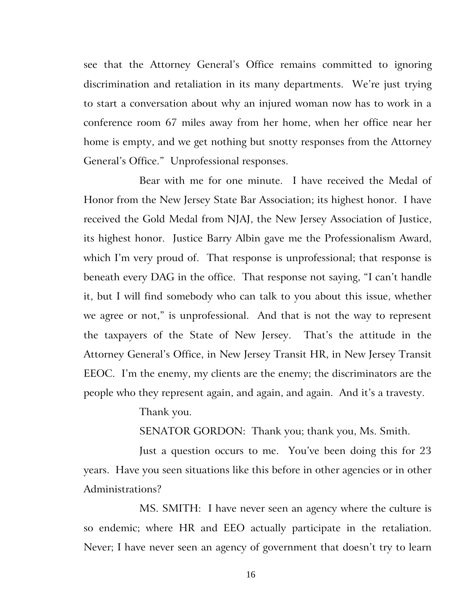see that the Attorney General's Office remains committed to ignoring discrimination and retaliation in its many departments. We're just trying to start a conversation about why an injured woman now has to work in a conference room 67 miles away from her home, when her office near her home is empty, and we get nothing but snotty responses from the Attorney General's Office." Unprofessional responses.

Bear with me for one minute. I have received the Medal of Honor from the New Jersey State Bar Association; its highest honor. I have received the Gold Medal from NJAJ, the New Jersey Association of Justice, its highest honor. Justice Barry Albin gave me the Professionalism Award, which I'm very proud of. That response is unprofessional; that response is beneath every DAG in the office. That response not saying, "I can't handle it, but I will find somebody who can talk to you about this issue, whether we agree or not," is unprofessional. And that is not the way to represent the taxpayers of the State of New Jersey. That's the attitude in the Attorney General's Office, in New Jersey Transit HR, in New Jersey Transit EEOC. I'm the enemy, my clients are the enemy; the discriminators are the people who they represent again, and again, and again. And it's a travesty.

Thank you.

SENATOR GORDON: Thank you; thank you, Ms. Smith.

Just a question occurs to me. You've been doing this for 23 years. Have you seen situations like this before in other agencies or in other Administrations?

MS. SMITH: I have never seen an agency where the culture is so endemic; where HR and EEO actually participate in the retaliation. Never; I have never seen an agency of government that doesn't try to learn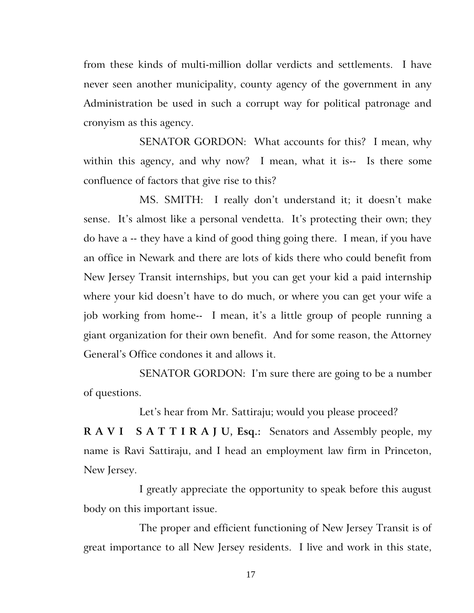from these kinds of multi-million dollar verdicts and settlements. I have never seen another municipality, county agency of the government in any Administration be used in such a corrupt way for political patronage and cronyism as this agency.

SENATOR GORDON: What accounts for this? I mean, why within this agency, and why now? I mean, what it is-- Is there some confluence of factors that give rise to this?

MS. SMITH: I really don't understand it; it doesn't make sense. It's almost like a personal vendetta. It's protecting their own; they do have a -- they have a kind of good thing going there. I mean, if you have an office in Newark and there are lots of kids there who could benefit from New Jersey Transit internships, but you can get your kid a paid internship where your kid doesn't have to do much, or where you can get your wife a job working from home-- I mean, it's a little group of people running a giant organization for their own benefit. And for some reason, the Attorney General's Office condones it and allows it.

SENATOR GORDON: I'm sure there are going to be a number of questions.

Let's hear from Mr. Sattiraju; would you please proceed?

**R A V I S A T T I R A J U, Esq.:** Senators and Assembly people, my name is Ravi Sattiraju, and I head an employment law firm in Princeton, New Jersey.

I greatly appreciate the opportunity to speak before this august body on this important issue.

The proper and efficient functioning of New Jersey Transit is of great importance to all New Jersey residents. I live and work in this state,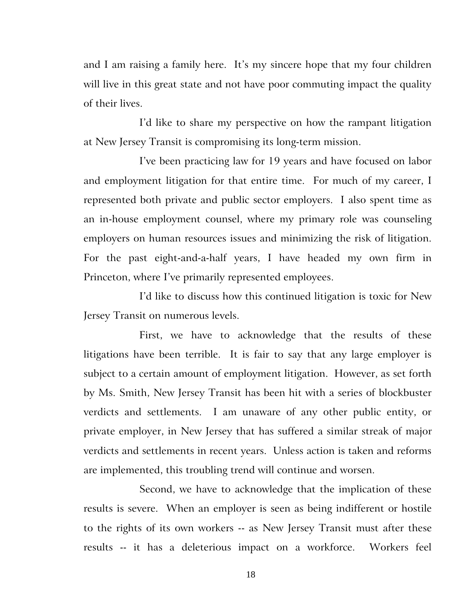and I am raising a family here. It's my sincere hope that my four children will live in this great state and not have poor commuting impact the quality of their lives.

I'd like to share my perspective on how the rampant litigation at New Jersey Transit is compromising its long-term mission.

I've been practicing law for 19 years and have focused on labor and employment litigation for that entire time. For much of my career, I represented both private and public sector employers. I also spent time as an in-house employment counsel, where my primary role was counseling employers on human resources issues and minimizing the risk of litigation. For the past eight-and-a-half years, I have headed my own firm in Princeton, where I've primarily represented employees.

I'd like to discuss how this continued litigation is toxic for New Jersey Transit on numerous levels.

First, we have to acknowledge that the results of these litigations have been terrible. It is fair to say that any large employer is subject to a certain amount of employment litigation. However, as set forth by Ms. Smith, New Jersey Transit has been hit with a series of blockbuster verdicts and settlements. I am unaware of any other public entity, or private employer, in New Jersey that has suffered a similar streak of major verdicts and settlements in recent years. Unless action is taken and reforms are implemented, this troubling trend will continue and worsen.

Second, we have to acknowledge that the implication of these results is severe. When an employer is seen as being indifferent or hostile to the rights of its own workers -- as New Jersey Transit must after these results -- it has a deleterious impact on a workforce. Workers feel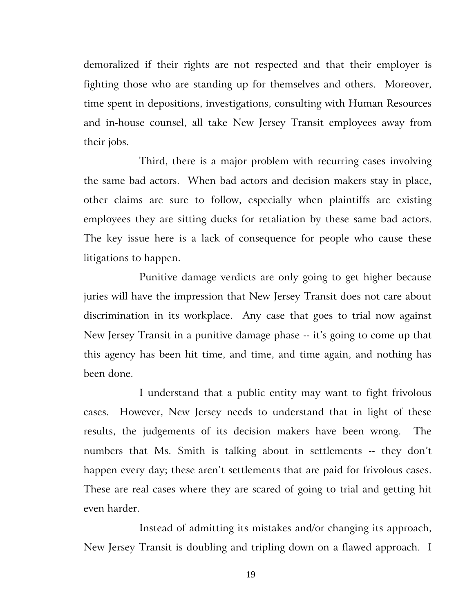demoralized if their rights are not respected and that their employer is fighting those who are standing up for themselves and others. Moreover, time spent in depositions, investigations, consulting with Human Resources and in-house counsel, all take New Jersey Transit employees away from their jobs.

Third, there is a major problem with recurring cases involving the same bad actors. When bad actors and decision makers stay in place, other claims are sure to follow, especially when plaintiffs are existing employees they are sitting ducks for retaliation by these same bad actors. The key issue here is a lack of consequence for people who cause these litigations to happen.

Punitive damage verdicts are only going to get higher because juries will have the impression that New Jersey Transit does not care about discrimination in its workplace. Any case that goes to trial now against New Jersey Transit in a punitive damage phase -- it's going to come up that this agency has been hit time, and time, and time again, and nothing has been done.

I understand that a public entity may want to fight frivolous cases. However, New Jersey needs to understand that in light of these results, the judgements of its decision makers have been wrong. The numbers that Ms. Smith is talking about in settlements -- they don't happen every day; these aren't settlements that are paid for frivolous cases. These are real cases where they are scared of going to trial and getting hit even harder.

Instead of admitting its mistakes and/or changing its approach, New Jersey Transit is doubling and tripling down on a flawed approach. I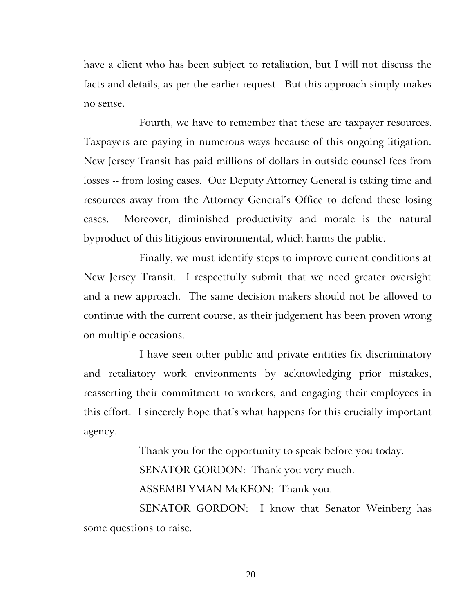have a client who has been subject to retaliation, but I will not discuss the facts and details, as per the earlier request. But this approach simply makes no sense.

Fourth, we have to remember that these are taxpayer resources. Taxpayers are paying in numerous ways because of this ongoing litigation. New Jersey Transit has paid millions of dollars in outside counsel fees from losses -- from losing cases. Our Deputy Attorney General is taking time and resources away from the Attorney General's Office to defend these losing cases. Moreover, diminished productivity and morale is the natural byproduct of this litigious environmental, which harms the public.

Finally, we must identify steps to improve current conditions at New Jersey Transit. I respectfully submit that we need greater oversight and a new approach. The same decision makers should not be allowed to continue with the current course, as their judgement has been proven wrong on multiple occasions.

I have seen other public and private entities fix discriminatory and retaliatory work environments by acknowledging prior mistakes, reasserting their commitment to workers, and engaging their employees in this effort. I sincerely hope that's what happens for this crucially important agency.

> Thank you for the opportunity to speak before you today. SENATOR GORDON: Thank you very much. ASSEMBLYMAN McKEON: Thank you.

SENATOR GORDON: I know that Senator Weinberg has some questions to raise.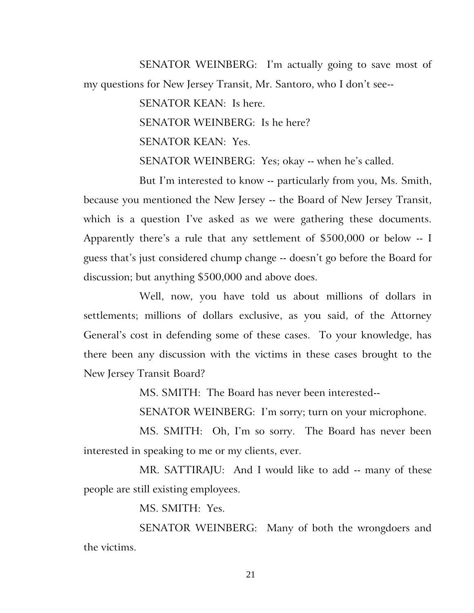SENATOR WEINBERG: I'm actually going to save most of my questions for New Jersey Transit, Mr. Santoro, who I don't see--

SENATOR KEAN: Is here.

SENATOR WEINBERG: Is he here?

SENATOR KEAN: Yes.

SENATOR WEINBERG: Yes; okay -- when he's called.

But I'm interested to know -- particularly from you, Ms. Smith, because you mentioned the New Jersey -- the Board of New Jersey Transit, which is a question I've asked as we were gathering these documents. Apparently there's a rule that any settlement of \$500,000 or below -- I guess that's just considered chump change -- doesn't go before the Board for discussion; but anything \$500,000 and above does.

Well, now, you have told us about millions of dollars in settlements; millions of dollars exclusive, as you said, of the Attorney General's cost in defending some of these cases. To your knowledge, has there been any discussion with the victims in these cases brought to the New Jersey Transit Board?

MS. SMITH: The Board has never been interested--

SENATOR WEINBERG: I'm sorry; turn on your microphone.

MS. SMITH: Oh, I'm so sorry. The Board has never been interested in speaking to me or my clients, ever.

MR. SATTIRAJU: And I would like to add -- many of these people are still existing employees.

MS. SMITH: Yes.

SENATOR WEINBERG: Many of both the wrongdoers and the victims.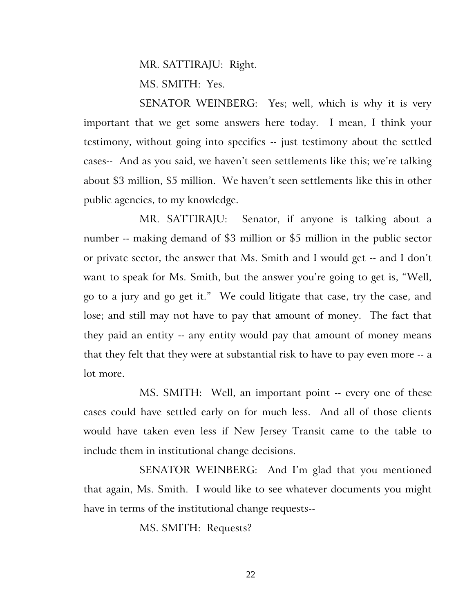MR. SATTIRAJU: Right.

MS. SMITH: Yes.

SENATOR WEINBERG: Yes; well, which is why it is very important that we get some answers here today. I mean, I think your testimony, without going into specifics -- just testimony about the settled cases-- And as you said, we haven't seen settlements like this; we're talking about \$3 million, \$5 million. We haven't seen settlements like this in other public agencies, to my knowledge.

MR. SATTIRAJU: Senator, if anyone is talking about a number -- making demand of \$3 million or \$5 million in the public sector or private sector, the answer that Ms. Smith and I would get -- and I don't want to speak for Ms. Smith, but the answer you're going to get is, "Well, go to a jury and go get it." We could litigate that case, try the case, and lose; and still may not have to pay that amount of money. The fact that they paid an entity -- any entity would pay that amount of money means that they felt that they were at substantial risk to have to pay even more -- a lot more.

MS. SMITH: Well, an important point -- every one of these cases could have settled early on for much less. And all of those clients would have taken even less if New Jersey Transit came to the table to include them in institutional change decisions.

SENATOR WEINBERG: And I'm glad that you mentioned that again, Ms. Smith. I would like to see whatever documents you might have in terms of the institutional change requests--

MS. SMITH: Requests?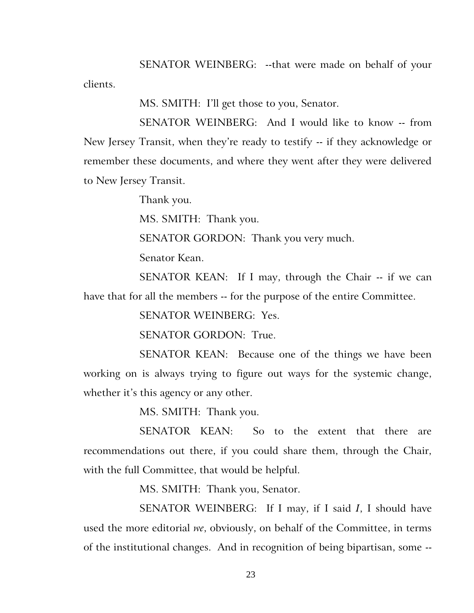SENATOR WEINBERG: --that were made on behalf of your clients.

MS. SMITH: I'll get those to you, Senator.

SENATOR WEINBERG: And I would like to know -- from New Jersey Transit, when they're ready to testify -- if they acknowledge or remember these documents, and where they went after they were delivered to New Jersey Transit.

Thank you.

MS. SMITH: Thank you.

SENATOR GORDON: Thank you very much.

Senator Kean.

SENATOR KEAN: If I may, through the Chair -- if we can have that for all the members -- for the purpose of the entire Committee.

SENATOR WEINBERG: Yes.

SENATOR GORDON: True.

SENATOR KEAN: Because one of the things we have been working on is always trying to figure out ways for the systemic change, whether it's this agency or any other.

MS. SMITH: Thank you.

SENATOR KEAN: So to the extent that there are recommendations out there, if you could share them, through the Chair, with the full Committee, that would be helpful.

MS. SMITH: Thank you, Senator.

SENATOR WEINBERG: If I may, if I said *I*, I should have used the more editorial *we*, obviously, on behalf of the Committee, in terms of the institutional changes. And in recognition of being bipartisan, some --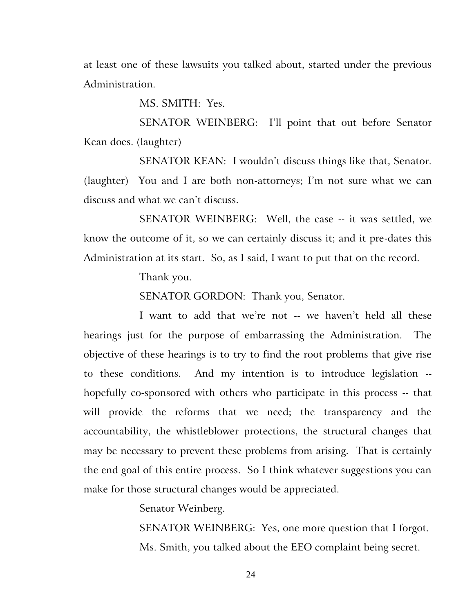at least one of these lawsuits you talked about, started under the previous Administration.

MS. SMITH: Yes.

SENATOR WEINBERG: I'll point that out before Senator Kean does. (laughter)

SENATOR KEAN: I wouldn't discuss things like that, Senator. (laughter) You and I are both non-attorneys; I'm not sure what we can discuss and what we can't discuss.

SENATOR WEINBERG: Well, the case -- it was settled, we know the outcome of it, so we can certainly discuss it; and it pre-dates this Administration at its start. So, as I said, I want to put that on the record.

Thank you.

SENATOR GORDON: Thank you, Senator.

I want to add that we're not -- we haven't held all these hearings just for the purpose of embarrassing the Administration. The objective of these hearings is to try to find the root problems that give rise to these conditions. And my intention is to introduce legislation - hopefully co-sponsored with others who participate in this process -- that will provide the reforms that we need; the transparency and the accountability, the whistleblower protections, the structural changes that may be necessary to prevent these problems from arising. That is certainly the end goal of this entire process. So I think whatever suggestions you can make for those structural changes would be appreciated.

Senator Weinberg.

SENATOR WEINBERG: Yes, one more question that I forgot. Ms. Smith, you talked about the EEO complaint being secret.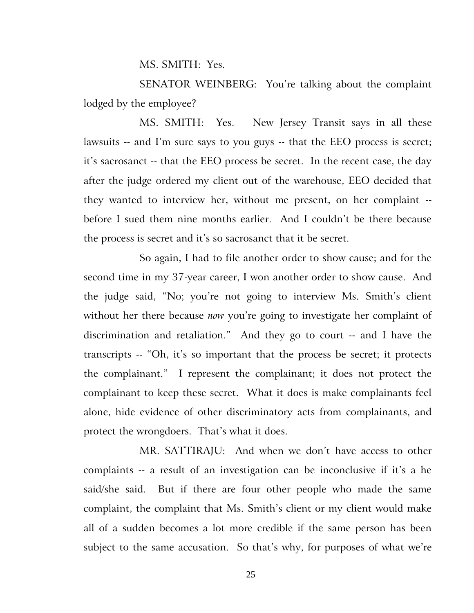MS. SMITH: Yes.

SENATOR WEINBERG: You're talking about the complaint lodged by the employee?

MS. SMITH: Yes. New Jersey Transit says in all these lawsuits -- and I'm sure says to you guys -- that the EEO process is secret; it's sacrosanct -- that the EEO process be secret. In the recent case, the day after the judge ordered my client out of the warehouse, EEO decided that they wanted to interview her, without me present, on her complaint - before I sued them nine months earlier. And I couldn't be there because the process is secret and it's so sacrosanct that it be secret.

So again, I had to file another order to show cause; and for the second time in my 37-year career, I won another order to show cause. And the judge said, "No; you're not going to interview Ms. Smith's client without her there because *now* you're going to investigate her complaint of discrimination and retaliation." And they go to court -- and I have the transcripts -- "Oh, it's so important that the process be secret; it protects the complainant." I represent the complainant; it does not protect the complainant to keep these secret. What it does is make complainants feel alone, hide evidence of other discriminatory acts from complainants, and protect the wrongdoers. That's what it does.

MR. SATTIRAJU: And when we don't have access to other complaints -- a result of an investigation can be inconclusive if it's a he said/she said. But if there are four other people who made the same complaint, the complaint that Ms. Smith's client or my client would make all of a sudden becomes a lot more credible if the same person has been subject to the same accusation. So that's why, for purposes of what we're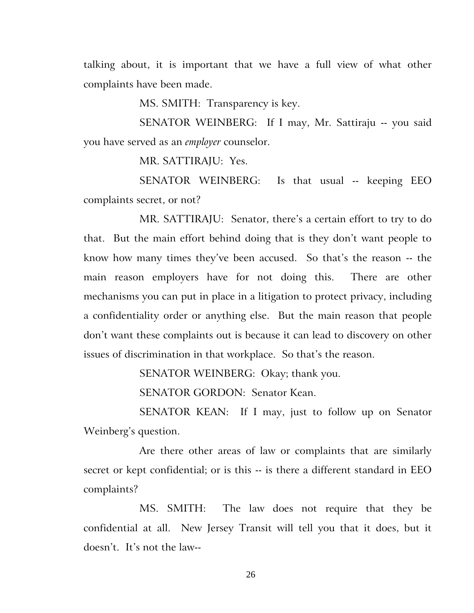talking about, it is important that we have a full view of what other complaints have been made.

MS. SMITH: Transparency is key.

SENATOR WEINBERG: If I may, Mr. Sattiraju -- you said you have served as an *employer* counselor.

MR. SATTIRAJU: Yes.

SENATOR WEINBERG: Is that usual -- keeping EEO complaints secret, or not?

MR. SATTIRAJU: Senator, there's a certain effort to try to do that. But the main effort behind doing that is they don't want people to know how many times they've been accused. So that's the reason -- the main reason employers have for not doing this. There are other mechanisms you can put in place in a litigation to protect privacy, including a confidentiality order or anything else. But the main reason that people don't want these complaints out is because it can lead to discovery on other issues of discrimination in that workplace. So that's the reason.

SENATOR WEINBERG: Okay; thank you.

SENATOR GORDON: Senator Kean.

SENATOR KEAN: If I may, just to follow up on Senator Weinberg's question.

Are there other areas of law or complaints that are similarly secret or kept confidential; or is this -- is there a different standard in EEO complaints?

MS. SMITH: The law does not require that they be confidential at all. New Jersey Transit will tell you that it does, but it doesn't. It's not the law--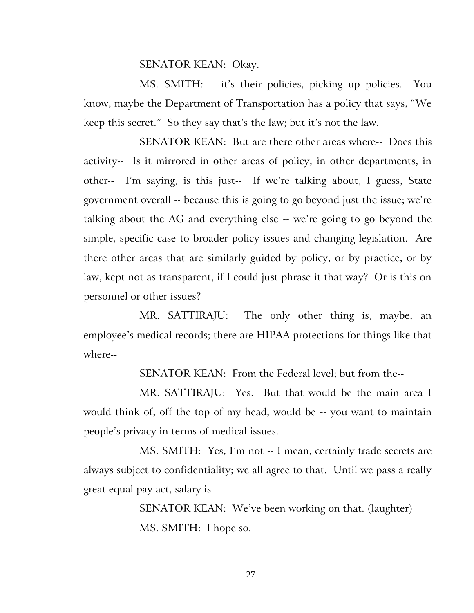### SENATOR KEAN: Okay.

MS. SMITH: --it's their policies, picking up policies. You know, maybe the Department of Transportation has a policy that says, "We keep this secret." So they say that's the law; but it's not the law.

SENATOR KEAN: But are there other areas where-- Does this activity-- Is it mirrored in other areas of policy, in other departments, in other-- I'm saying, is this just-- If we're talking about, I guess, State government overall -- because this is going to go beyond just the issue; we're talking about the AG and everything else -- we're going to go beyond the simple, specific case to broader policy issues and changing legislation. Are there other areas that are similarly guided by policy, or by practice, or by law, kept not as transparent, if I could just phrase it that way? Or is this on personnel or other issues?

MR. SATTIRAJU: The only other thing is, maybe, an employee's medical records; there are HIPAA protections for things like that where--

SENATOR KEAN: From the Federal level; but from the--

MR. SATTIRAJU: Yes. But that would be the main area I would think of, off the top of my head, would be -- you want to maintain people's privacy in terms of medical issues.

MS. SMITH: Yes, I'm not -- I mean, certainly trade secrets are always subject to confidentiality; we all agree to that. Until we pass a really great equal pay act, salary is--

> SENATOR KEAN: We've been working on that. (laughter) MS. SMITH: I hope so.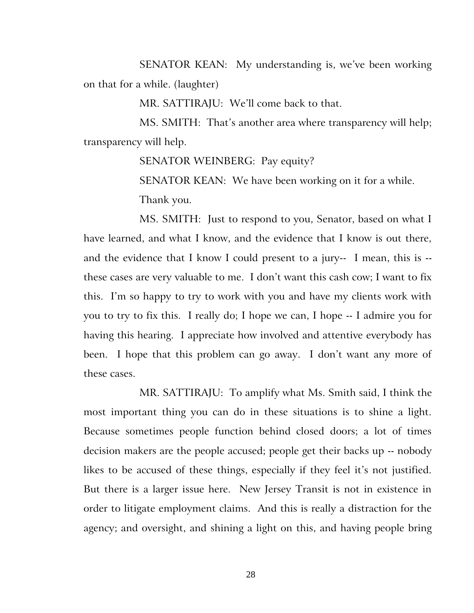SENATOR KEAN: My understanding is, we've been working on that for a while. (laughter)

MR. SATTIRAJU: We'll come back to that.

MS. SMITH: That's another area where transparency will help; transparency will help.

SENATOR WEINBERG: Pay equity?

SENATOR KEAN: We have been working on it for a while. Thank you.

MS. SMITH: Just to respond to you, Senator, based on what I have learned, and what I know, and the evidence that I know is out there, and the evidence that I know I could present to a jury-- I mean, this is - these cases are very valuable to me. I don't want this cash cow; I want to fix this. I'm so happy to try to work with you and have my clients work with you to try to fix this. I really do; I hope we can, I hope -- I admire you for having this hearing. I appreciate how involved and attentive everybody has been. I hope that this problem can go away. I don't want any more of these cases.

MR. SATTIRAJU: To amplify what Ms. Smith said, I think the most important thing you can do in these situations is to shine a light. Because sometimes people function behind closed doors; a lot of times decision makers are the people accused; people get their backs up -- nobody likes to be accused of these things, especially if they feel it's not justified. But there is a larger issue here. New Jersey Transit is not in existence in order to litigate employment claims. And this is really a distraction for the agency; and oversight, and shining a light on this, and having people bring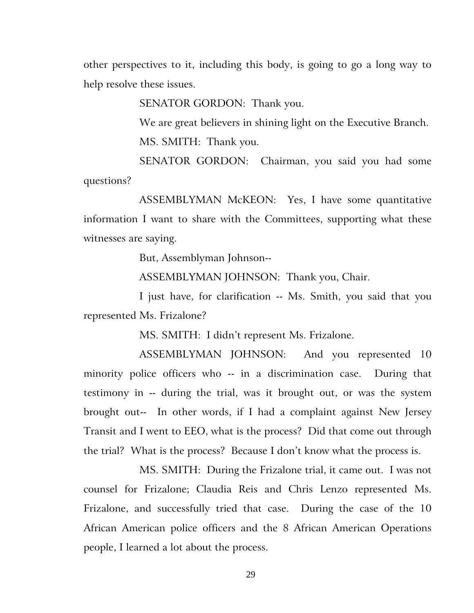other perspectives to it, including this body, is going to go a long way to help resolve these issues.

SENATOR GORDON: Thank you.

We are great believers in shining light on the Executive Branch. MS. SMITH: Thank you.

SENATOR GORDON: Chairman, you said you had some questions?

ASSEMBLYMAN McKEON: Yes, I have some quantitative information I want to share with the Committees, supporting what these witnesses are saying.

But, Assemblyman Johnson--

ASSEMBLYMAN JOHNSON: Thank you, Chair.

I just have, for clarification -- Ms. Smith, you said that you represented Ms. Frizalone?

MS. SMITH: I didn't represent Ms. Frizalone.

ASSEMBLYMAN JOHNSON: And you represented 10 minority police officers who -- in a discrimination case. During that testimony in -- during the trial, was it brought out, or was the system brought out-- In other words, if I had a complaint against New Jersey Transit and I went to EEO, what is the process? Did that come out through the trial? What is the process? Because I don't know what the process is.

MS. SMITH: During the Frizalone trial, it came out. I was not counsel for Frizalone; Claudia Reis and Chris Lenzo represented Ms. Frizalone, and successfully tried that case. During the case of the 10 African American police officers and the 8 African American Operations people, I learned a lot about the process.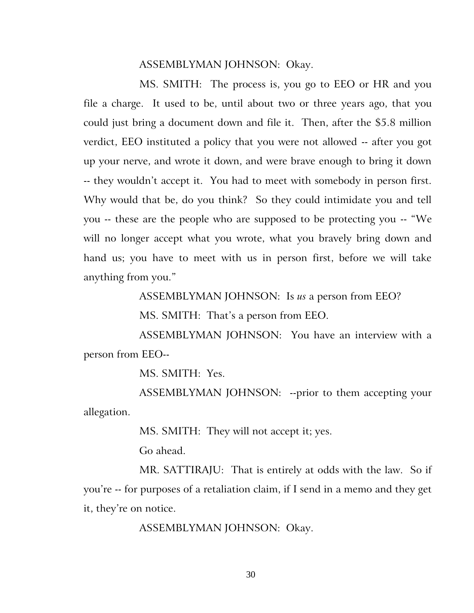### ASSEMBLYMAN JOHNSON: Okay.

MS. SMITH: The process is, you go to EEO or HR and you file a charge. It used to be, until about two or three years ago, that you could just bring a document down and file it. Then, after the \$5.8 million verdict, EEO instituted a policy that you were not allowed -- after you got up your nerve, and wrote it down, and were brave enough to bring it down -- they wouldn't accept it. You had to meet with somebody in person first. Why would that be, do you think? So they could intimidate you and tell you -- these are the people who are supposed to be protecting you -- "We will no longer accept what you wrote, what you bravely bring down and hand us; you have to meet with us in person first, before we will take anything from you."

ASSEMBLYMAN JOHNSON: Is *us* a person from EEO?

MS. SMITH: That's a person from EEO.

ASSEMBLYMAN JOHNSON: You have an interview with a person from EEO--

MS. SMITH: Yes.

ASSEMBLYMAN JOHNSON: --prior to them accepting your allegation.

MS. SMITH: They will not accept it; yes.

Go ahead.

MR. SATTIRAJU: That is entirely at odds with the law. So if you're -- for purposes of a retaliation claim, if I send in a memo and they get it, they're on notice.

ASSEMBLYMAN JOHNSON: Okay.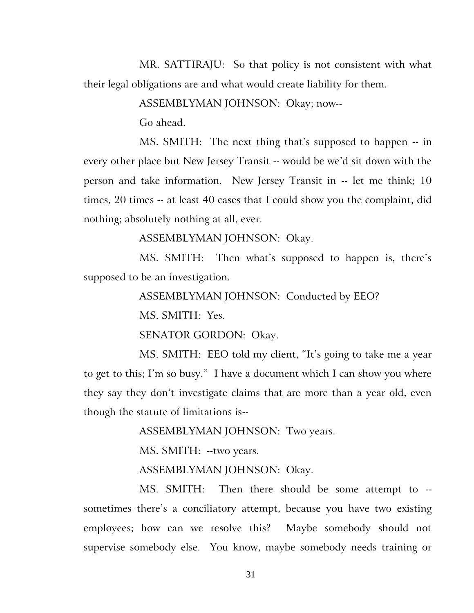MR. SATTIRAJU: So that policy is not consistent with what their legal obligations are and what would create liability for them.

ASSEMBLYMAN JOHNSON: Okay; now--

Go ahead.

MS. SMITH: The next thing that's supposed to happen -- in every other place but New Jersey Transit -- would be we'd sit down with the person and take information. New Jersey Transit in -- let me think; 10 times, 20 times -- at least 40 cases that I could show you the complaint, did nothing; absolutely nothing at all, ever.

ASSEMBLYMAN JOHNSON: Okay.

MS. SMITH: Then what's supposed to happen is, there's supposed to be an investigation.

ASSEMBLYMAN JOHNSON: Conducted by EEO?

MS. SMITH: Yes.

SENATOR GORDON: Okay.

MS. SMITH: EEO told my client, "It's going to take me a year to get to this; I'm so busy." I have a document which I can show you where they say they don't investigate claims that are more than a year old, even though the statute of limitations is--

ASSEMBLYMAN JOHNSON: Two years.

MS. SMITH: --two years.

ASSEMBLYMAN JOHNSON: Okay.

MS. SMITH: Then there should be some attempt to - sometimes there's a conciliatory attempt, because you have two existing employees; how can we resolve this? Maybe somebody should not supervise somebody else. You know, maybe somebody needs training or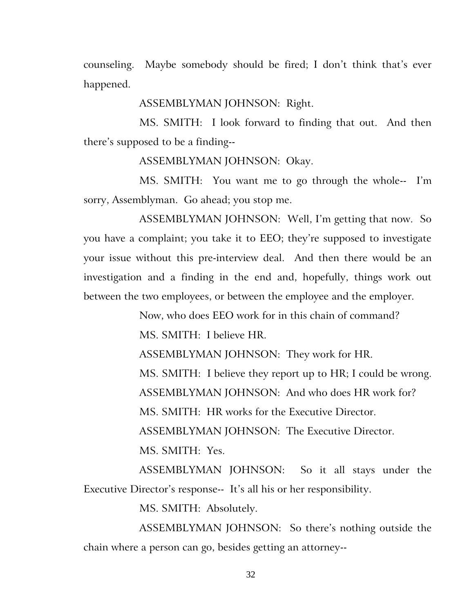counseling. Maybe somebody should be fired; I don't think that's ever happened.

ASSEMBLYMAN JOHNSON: Right.

MS. SMITH: I look forward to finding that out. And then there's supposed to be a finding--

ASSEMBLYMAN JOHNSON: Okay.

MS. SMITH: You want me to go through the whole-- I'm sorry, Assemblyman. Go ahead; you stop me.

ASSEMBLYMAN JOHNSON: Well, I'm getting that now. So you have a complaint; you take it to EEO; they're supposed to investigate your issue without this pre-interview deal. And then there would be an investigation and a finding in the end and, hopefully, things work out between the two employees, or between the employee and the employer.

Now, who does EEO work for in this chain of command?

MS. SMITH: I believe HR.

ASSEMBLYMAN JOHNSON: They work for HR.

MS. SMITH: I believe they report up to HR; I could be wrong.

ASSEMBLYMAN JOHNSON: And who does HR work for?

MS. SMITH: HR works for the Executive Director.

ASSEMBLYMAN JOHNSON: The Executive Director.

MS. SMITH: Yes.

ASSEMBLYMAN JOHNSON: So it all stays under the Executive Director's response-- It's all his or her responsibility.

MS. SMITH: Absolutely.

ASSEMBLYMAN JOHNSON: So there's nothing outside the chain where a person can go, besides getting an attorney--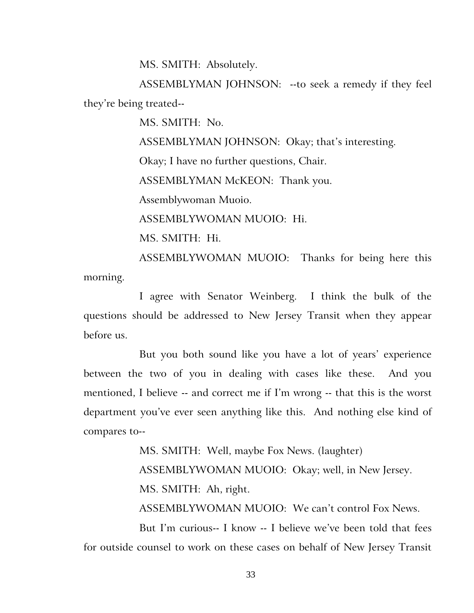MS. SMITH: Absolutely.

ASSEMBLYMAN JOHNSON: --to seek a remedy if they feel they're being treated--

MS. SMITH: No.

ASSEMBLYMAN JOHNSON: Okay; that's interesting.

Okay; I have no further questions, Chair.

ASSEMBLYMAN McKEON: Thank you.

Assemblywoman Muoio.

ASSEMBLYWOMAN MUOIO: Hi.

MS. SMITH: Hi.

ASSEMBLYWOMAN MUOIO: Thanks for being here this morning.

I agree with Senator Weinberg. I think the bulk of the questions should be addressed to New Jersey Transit when they appear before us.

But you both sound like you have a lot of years' experience between the two of you in dealing with cases like these. And you mentioned, I believe -- and correct me if I'm wrong -- that this is the worst department you've ever seen anything like this. And nothing else kind of compares to--

MS. SMITH: Well, maybe Fox News. (laughter)

ASSEMBLYWOMAN MUOIO: Okay; well, in New Jersey.

MS. SMITH: Ah, right.

ASSEMBLYWOMAN MUOIO: We can't control Fox News.

But I'm curious-- I know -- I believe we've been told that fees for outside counsel to work on these cases on behalf of New Jersey Transit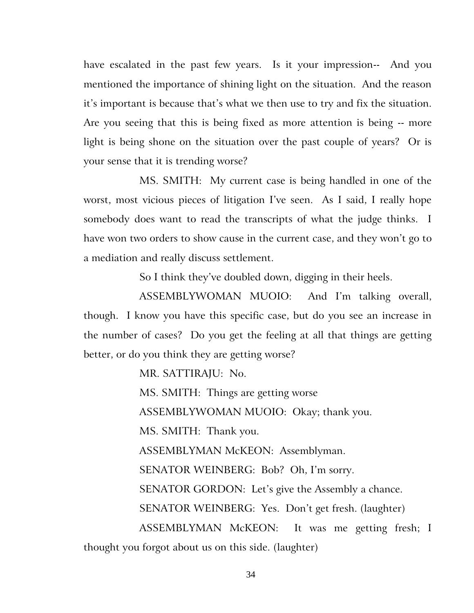have escalated in the past few years. Is it your impression-- And you mentioned the importance of shining light on the situation. And the reason it's important is because that's what we then use to try and fix the situation. Are you seeing that this is being fixed as more attention is being -- more light is being shone on the situation over the past couple of years? Or is your sense that it is trending worse?

MS. SMITH: My current case is being handled in one of the worst, most vicious pieces of litigation I've seen. As I said, I really hope somebody does want to read the transcripts of what the judge thinks. I have won two orders to show cause in the current case, and they won't go to a mediation and really discuss settlement.

So I think they've doubled down, digging in their heels.

ASSEMBLYWOMAN MUOIO: And I'm talking overall, though. I know you have this specific case, but do you see an increase in the number of cases? Do you get the feeling at all that things are getting better, or do you think they are getting worse?

MR. SATTIRAJU: No.

MS. SMITH: Things are getting worse

ASSEMBLYWOMAN MUOIO: Okay; thank you.

MS. SMITH: Thank you.

ASSEMBLYMAN McKEON: Assemblyman.

SENATOR WEINBERG: Bob? Oh, I'm sorry.

SENATOR GORDON: Let's give the Assembly a chance.

SENATOR WEINBERG: Yes. Don't get fresh. (laughter)

ASSEMBLYMAN McKEON: It was me getting fresh; I thought you forgot about us on this side. (laughter)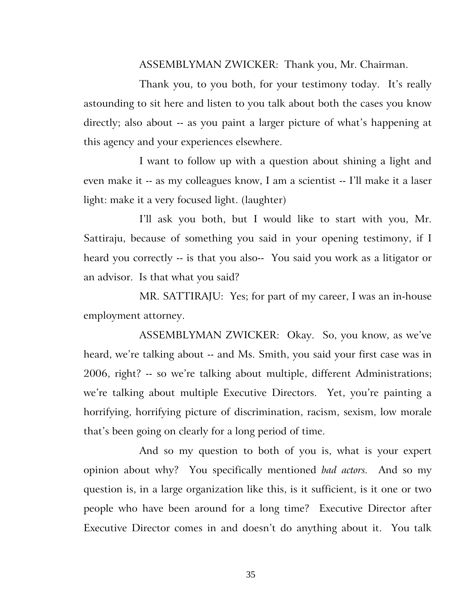ASSEMBLYMAN ZWICKER: Thank you, Mr. Chairman.

Thank you, to you both, for your testimony today. It's really astounding to sit here and listen to you talk about both the cases you know directly; also about -- as you paint a larger picture of what's happening at this agency and your experiences elsewhere.

I want to follow up with a question about shining a light and even make it -- as my colleagues know, I am a scientist -- I'll make it a laser light: make it a very focused light. (laughter)

I'll ask you both, but I would like to start with you, Mr. Sattiraju, because of something you said in your opening testimony, if I heard you correctly -- is that you also-- You said you work as a litigator or an advisor. Is that what you said?

MR. SATTIRAJU: Yes; for part of my career, I was an in-house employment attorney.

ASSEMBLYMAN ZWICKER: Okay. So, you know, as we've heard, we're talking about -- and Ms. Smith, you said your first case was in 2006, right? -- so we're talking about multiple, different Administrations; we're talking about multiple Executive Directors. Yet, you're painting a horrifying, horrifying picture of discrimination, racism, sexism, low morale that's been going on clearly for a long period of time.

And so my question to both of you is, what is your expert opinion about why? You specifically mentioned *bad actors.* And so my question is, in a large organization like this, is it sufficient, is it one or two people who have been around for a long time? Executive Director after Executive Director comes in and doesn't do anything about it. You talk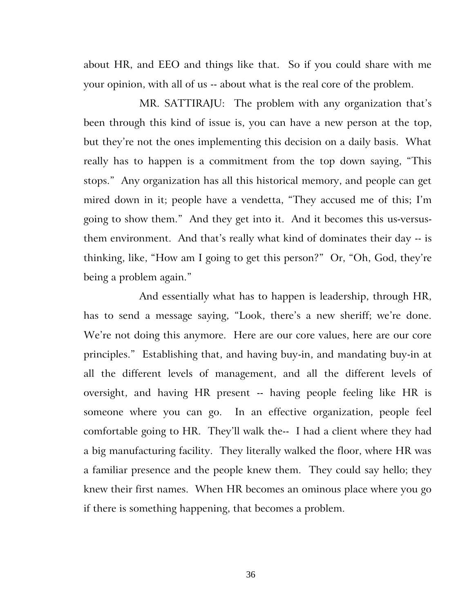about HR, and EEO and things like that. So if you could share with me your opinion, with all of us -- about what is the real core of the problem.

MR. SATTIRAJU: The problem with any organization that's been through this kind of issue is, you can have a new person at the top, but they're not the ones implementing this decision on a daily basis. What really has to happen is a commitment from the top down saying, "This stops." Any organization has all this historical memory, and people can get mired down in it; people have a vendetta, "They accused me of this; I'm going to show them." And they get into it. And it becomes this us-versusthem environment. And that's really what kind of dominates their day -- is thinking, like, "How am I going to get this person?" Or, "Oh, God, they're being a problem again."

And essentially what has to happen is leadership, through HR, has to send a message saying, "Look, there's a new sheriff; we're done. We're not doing this anymore. Here are our core values, here are our core principles." Establishing that, and having buy-in, and mandating buy-in at all the different levels of management, and all the different levels of oversight, and having HR present -- having people feeling like HR is someone where you can go. In an effective organization, people feel comfortable going to HR. They'll walk the-- I had a client where they had a big manufacturing facility. They literally walked the floor, where HR was a familiar presence and the people knew them. They could say hello; they knew their first names. When HR becomes an ominous place where you go if there is something happening, that becomes a problem.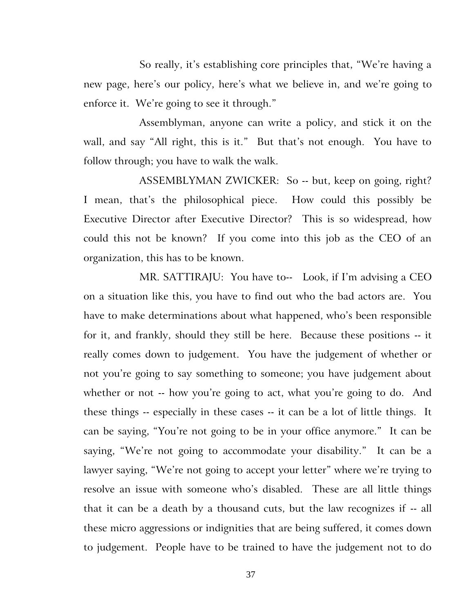So really, it's establishing core principles that, "We're having a new page, here's our policy, here's what we believe in, and we're going to enforce it. We're going to see it through."

Assemblyman, anyone can write a policy, and stick it on the wall, and say "All right, this is it." But that's not enough. You have to follow through; you have to walk the walk.

ASSEMBLYMAN ZWICKER: So -- but, keep on going, right? I mean, that's the philosophical piece. How could this possibly be Executive Director after Executive Director? This is so widespread, how could this not be known? If you come into this job as the CEO of an organization, this has to be known.

MR. SATTIRAJU: You have to-- Look, if I'm advising a CEO on a situation like this, you have to find out who the bad actors are. You have to make determinations about what happened, who's been responsible for it, and frankly, should they still be here. Because these positions -- it really comes down to judgement. You have the judgement of whether or not you're going to say something to someone; you have judgement about whether or not -- how you're going to act, what you're going to do. And these things -- especially in these cases -- it can be a lot of little things. It can be saying, "You're not going to be in your office anymore." It can be saying, "We're not going to accommodate your disability." It can be a lawyer saying, "We're not going to accept your letter" where we're trying to resolve an issue with someone who's disabled. These are all little things that it can be a death by a thousand cuts, but the law recognizes if -- all these micro aggressions or indignities that are being suffered, it comes down to judgement. People have to be trained to have the judgement not to do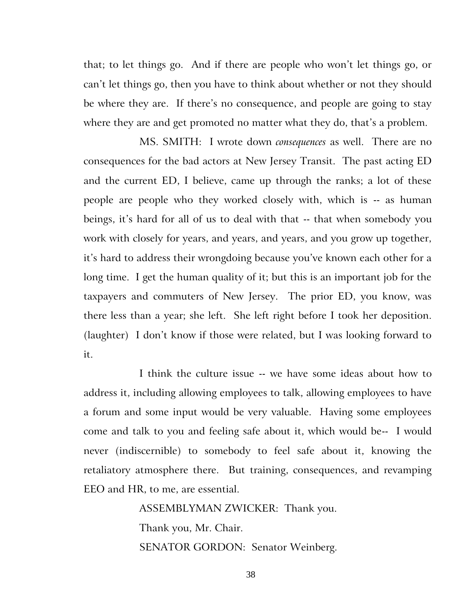that; to let things go. And if there are people who won't let things go, or can't let things go, then you have to think about whether or not they should be where they are. If there's no consequence, and people are going to stay where they are and get promoted no matter what they do, that's a problem.

MS. SMITH: I wrote down *consequences* as well. There are no consequences for the bad actors at New Jersey Transit. The past acting ED and the current ED, I believe, came up through the ranks; a lot of these people are people who they worked closely with, which is -- as human beings, it's hard for all of us to deal with that -- that when somebody you work with closely for years, and years, and years, and you grow up together, it's hard to address their wrongdoing because you've known each other for a long time. I get the human quality of it; but this is an important job for the taxpayers and commuters of New Jersey. The prior ED, you know, was there less than a year; she left. She left right before I took her deposition. (laughter) I don't know if those were related, but I was looking forward to it.

I think the culture issue -- we have some ideas about how to address it, including allowing employees to talk, allowing employees to have a forum and some input would be very valuable. Having some employees come and talk to you and feeling safe about it, which would be-- I would never (indiscernible) to somebody to feel safe about it, knowing the retaliatory atmosphere there. But training, consequences, and revamping EEO and HR, to me, are essential.

> ASSEMBLYMAN ZWICKER: Thank you. Thank you, Mr. Chair. SENATOR GORDON: Senator Weinberg.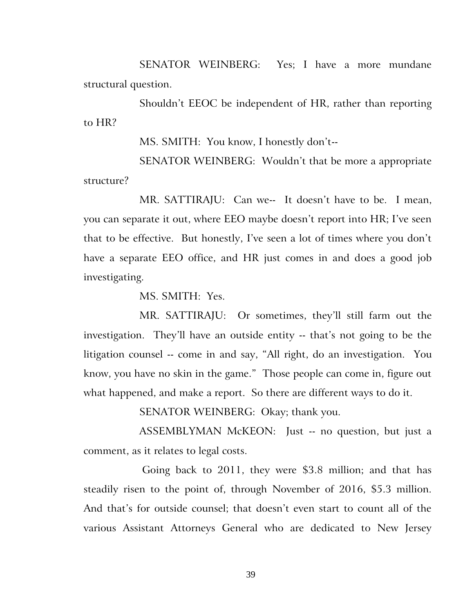SENATOR WEINBERG: Yes; I have a more mundane structural question.

Shouldn't EEOC be independent of HR, rather than reporting to HR?

MS. SMITH: You know, I honestly don't--

SENATOR WEINBERG: Wouldn't that be more a appropriate structure?

MR. SATTIRAJU: Can we-- It doesn't have to be. I mean, you can separate it out, where EEO maybe doesn't report into HR; I've seen that to be effective. But honestly, I've seen a lot of times where you don't have a separate EEO office, and HR just comes in and does a good job investigating.

MS. SMITH: Yes.

MR. SATTIRAJU: Or sometimes, they'll still farm out the investigation. They'll have an outside entity -- that's not going to be the litigation counsel -- come in and say, "All right, do an investigation. You know, you have no skin in the game." Those people can come in, figure out what happened, and make a report. So there are different ways to do it.

SENATOR WEINBERG: Okay; thank you.

ASSEMBLYMAN McKEON: Just -- no question, but just a comment, as it relates to legal costs.

 Going back to 2011, they were \$3.8 million; and that has steadily risen to the point of, through November of 2016, \$5.3 million. And that's for outside counsel; that doesn't even start to count all of the various Assistant Attorneys General who are dedicated to New Jersey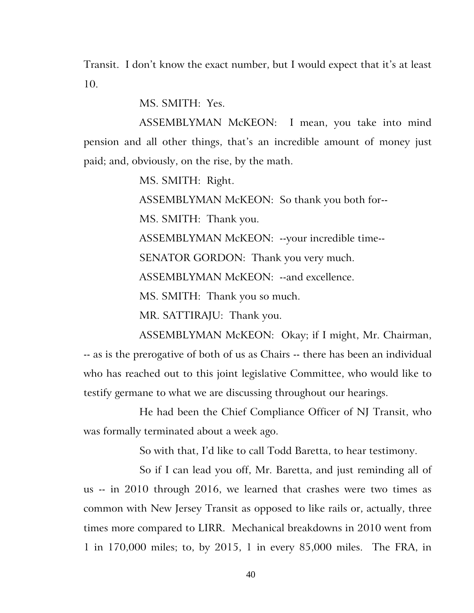Transit. I don't know the exact number, but I would expect that it's at least 10.

MS. SMITH: Yes.

ASSEMBLYMAN McKEON: I mean, you take into mind pension and all other things, that's an incredible amount of money just paid; and, obviously, on the rise, by the math.

MS. SMITH: Right.

ASSEMBLYMAN McKEON: So thank you both for--

MS. SMITH: Thank you.

ASSEMBLYMAN McKEON: --your incredible time--

SENATOR GORDON: Thank you very much.

ASSEMBLYMAN McKEON: --and excellence.

MS. SMITH: Thank you so much.

MR. SATTIRAJU: Thank you.

ASSEMBLYMAN McKEON: Okay; if I might, Mr. Chairman, -- as is the prerogative of both of us as Chairs -- there has been an individual who has reached out to this joint legislative Committee, who would like to testify germane to what we are discussing throughout our hearings.

He had been the Chief Compliance Officer of NJ Transit, who was formally terminated about a week ago.

So with that, I'd like to call Todd Baretta, to hear testimony.

So if I can lead you off, Mr. Baretta, and just reminding all of us -- in 2010 through 2016, we learned that crashes were two times as common with New Jersey Transit as opposed to like rails or, actually, three times more compared to LIRR. Mechanical breakdowns in 2010 went from 1 in 170,000 miles; to, by 2015, 1 in every 85,000 miles. The FRA, in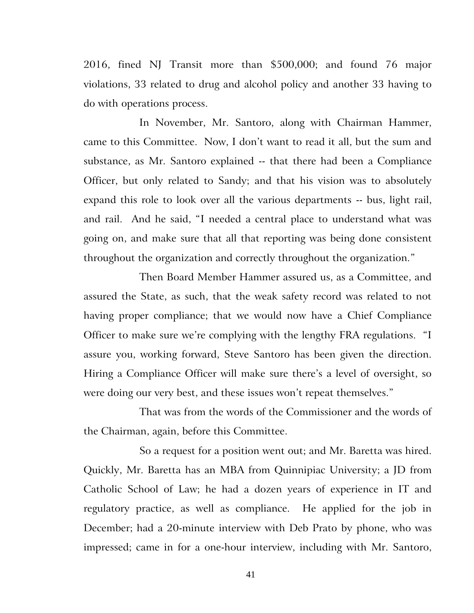2016, fined NJ Transit more than \$500,000; and found 76 major violations, 33 related to drug and alcohol policy and another 33 having to do with operations process.

In November, Mr. Santoro, along with Chairman Hammer, came to this Committee. Now, I don't want to read it all, but the sum and substance, as Mr. Santoro explained -- that there had been a Compliance Officer, but only related to Sandy; and that his vision was to absolutely expand this role to look over all the various departments -- bus, light rail, and rail. And he said, "I needed a central place to understand what was going on, and make sure that all that reporting was being done consistent throughout the organization and correctly throughout the organization."

Then Board Member Hammer assured us, as a Committee, and assured the State, as such, that the weak safety record was related to not having proper compliance; that we would now have a Chief Compliance Officer to make sure we're complying with the lengthy FRA regulations. "I assure you, working forward, Steve Santoro has been given the direction. Hiring a Compliance Officer will make sure there's a level of oversight, so were doing our very best, and these issues won't repeat themselves."

That was from the words of the Commissioner and the words of the Chairman, again, before this Committee.

So a request for a position went out; and Mr. Baretta was hired. Quickly, Mr. Baretta has an MBA from Quinnipiac University; a JD from Catholic School of Law; he had a dozen years of experience in IT and regulatory practice, as well as compliance. He applied for the job in December; had a 20-minute interview with Deb Prato by phone, who was impressed; came in for a one-hour interview, including with Mr. Santoro,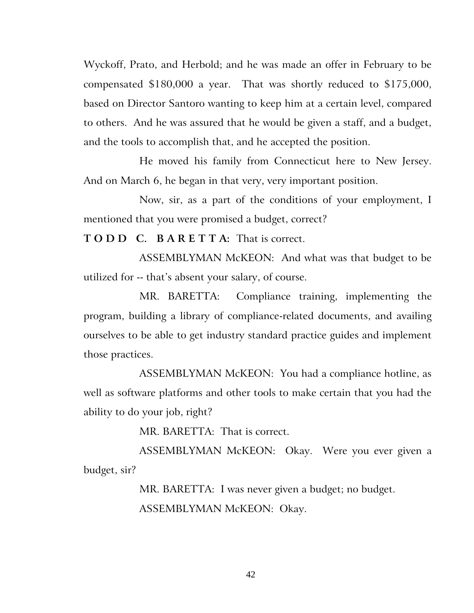Wyckoff, Prato, and Herbold; and he was made an offer in February to be compensated \$180,000 a year. That was shortly reduced to \$175,000, based on Director Santoro wanting to keep him at a certain level, compared to others. And he was assured that he would be given a staff, and a budget, and the tools to accomplish that, and he accepted the position.

He moved his family from Connecticut here to New Jersey. And on March 6, he began in that very, very important position.

Now, sir, as a part of the conditions of your employment, I mentioned that you were promised a budget, correct?

**T O D D C. B A R E T T A:** That is correct.

ASSEMBLYMAN McKEON: And what was that budget to be utilized for -- that's absent your salary, of course.

MR. BARETTA: Compliance training, implementing the program, building a library of compliance-related documents, and availing ourselves to be able to get industry standard practice guides and implement those practices.

ASSEMBLYMAN McKEON: You had a compliance hotline, as well as software platforms and other tools to make certain that you had the ability to do your job, right?

MR. BARETTA: That is correct.

ASSEMBLYMAN McKEON: Okay. Were you ever given a budget, sir?

> MR. BARETTA: I was never given a budget; no budget. ASSEMBLYMAN McKEON: Okay.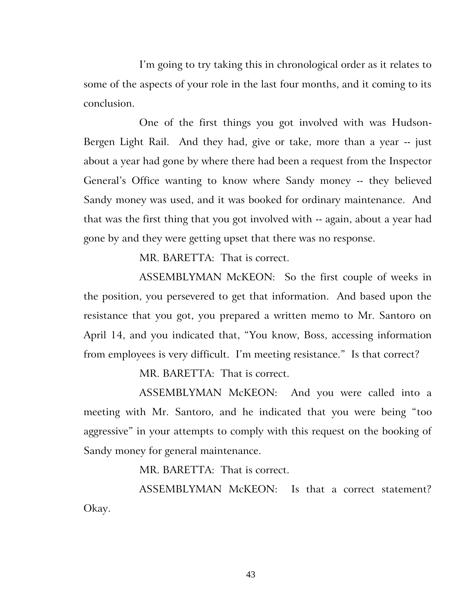I'm going to try taking this in chronological order as it relates to some of the aspects of your role in the last four months, and it coming to its conclusion.

One of the first things you got involved with was Hudson-Bergen Light Rail. And they had, give or take, more than a year -- just about a year had gone by where there had been a request from the Inspector General's Office wanting to know where Sandy money -- they believed Sandy money was used, and it was booked for ordinary maintenance. And that was the first thing that you got involved with -- again, about a year had gone by and they were getting upset that there was no response.

MR. BARETTA: That is correct.

ASSEMBLYMAN McKEON: So the first couple of weeks in the position, you persevered to get that information. And based upon the resistance that you got, you prepared a written memo to Mr. Santoro on April 14, and you indicated that, "You know, Boss, accessing information from employees is very difficult. I'm meeting resistance." Is that correct?

MR. BARETTA: That is correct.

ASSEMBLYMAN McKEON: And you were called into a meeting with Mr. Santoro, and he indicated that you were being "too aggressive" in your attempts to comply with this request on the booking of Sandy money for general maintenance.

MR. BARETTA: That is correct.

ASSEMBLYMAN McKEON: Is that a correct statement? Okay.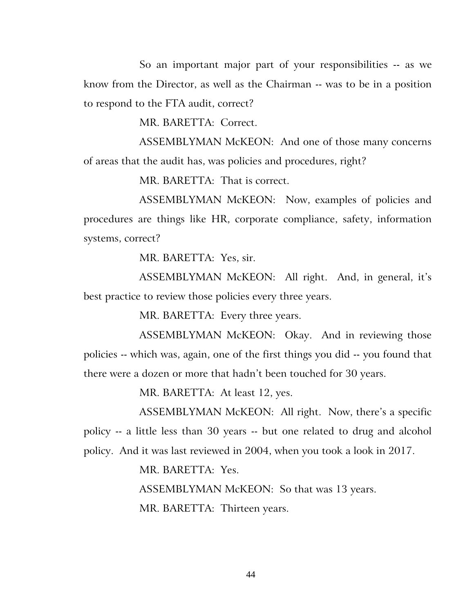So an important major part of your responsibilities -- as we know from the Director, as well as the Chairman -- was to be in a position to respond to the FTA audit, correct?

MR. BARETTA: Correct.

ASSEMBLYMAN McKEON: And one of those many concerns of areas that the audit has, was policies and procedures, right?

MR. BARETTA: That is correct.

ASSEMBLYMAN McKEON: Now, examples of policies and procedures are things like HR, corporate compliance, safety, information systems, correct?

MR. BARETTA: Yes, sir.

ASSEMBLYMAN McKEON: All right. And, in general, it's best practice to review those policies every three years.

MR. BARETTA: Every three years.

ASSEMBLYMAN McKEON: Okay. And in reviewing those policies -- which was, again, one of the first things you did -- you found that there were a dozen or more that hadn't been touched for 30 years.

MR. BARETTA: At least 12, yes.

ASSEMBLYMAN McKEON: All right. Now, there's a specific policy -- a little less than 30 years -- but one related to drug and alcohol policy. And it was last reviewed in 2004, when you took a look in 2017.

MR. BARETTA: Yes.

ASSEMBLYMAN McKEON: So that was 13 years.

MR. BARETTA: Thirteen years.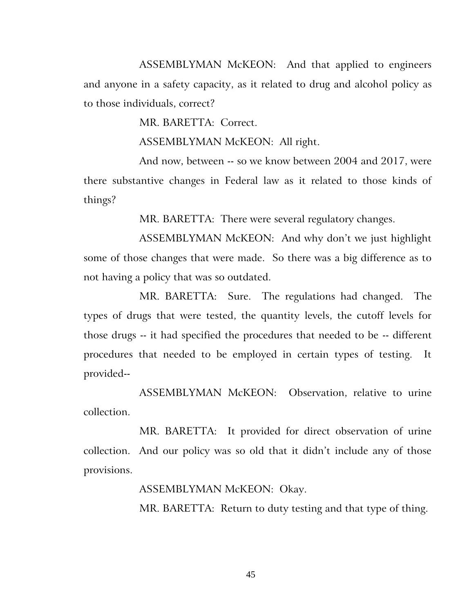ASSEMBLYMAN McKEON: And that applied to engineers and anyone in a safety capacity, as it related to drug and alcohol policy as to those individuals, correct?

MR. BARETTA: Correct.

ASSEMBLYMAN McKEON: All right.

And now, between -- so we know between 2004 and 2017, were there substantive changes in Federal law as it related to those kinds of things?

MR. BARETTA: There were several regulatory changes.

ASSEMBLYMAN McKEON: And why don't we just highlight some of those changes that were made. So there was a big difference as to not having a policy that was so outdated.

MR. BARETTA: Sure. The regulations had changed. The types of drugs that were tested, the quantity levels, the cutoff levels for those drugs -- it had specified the procedures that needed to be -- different procedures that needed to be employed in certain types of testing. It provided--

ASSEMBLYMAN McKEON: Observation, relative to urine collection.

MR. BARETTA: It provided for direct observation of urine collection. And our policy was so old that it didn't include any of those provisions.

ASSEMBLYMAN McKEON: Okay.

MR. BARETTA: Return to duty testing and that type of thing.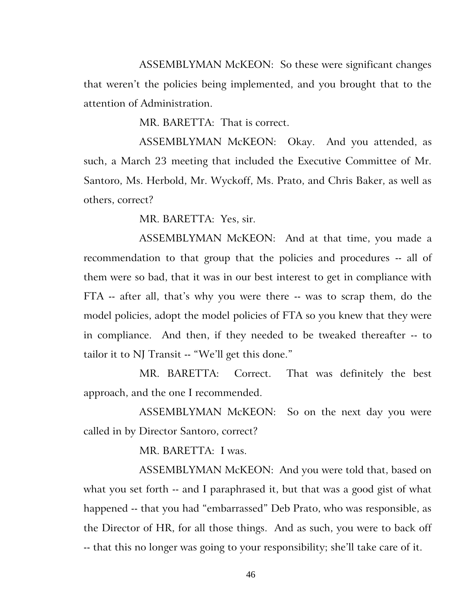ASSEMBLYMAN McKEON: So these were significant changes that weren't the policies being implemented, and you brought that to the attention of Administration.

MR. BARETTA: That is correct.

ASSEMBLYMAN McKEON: Okay. And you attended, as such, a March 23 meeting that included the Executive Committee of Mr. Santoro, Ms. Herbold, Mr. Wyckoff, Ms. Prato, and Chris Baker, as well as others, correct?

MR. BARETTA: Yes, sir.

ASSEMBLYMAN McKEON: And at that time, you made a recommendation to that group that the policies and procedures -- all of them were so bad, that it was in our best interest to get in compliance with FTA -- after all, that's why you were there -- was to scrap them, do the model policies, adopt the model policies of FTA so you knew that they were in compliance. And then, if they needed to be tweaked thereafter -- to tailor it to NJ Transit -- "We'll get this done."

MR. BARETTA: Correct. That was definitely the best approach, and the one I recommended.

ASSEMBLYMAN McKEON: So on the next day you were called in by Director Santoro, correct?

MR. BARETTA: I was.

ASSEMBLYMAN McKEON: And you were told that, based on what you set forth -- and I paraphrased it, but that was a good gist of what happened -- that you had "embarrassed" Deb Prato, who was responsible, as the Director of HR, for all those things. And as such, you were to back off -- that this no longer was going to your responsibility; she'll take care of it.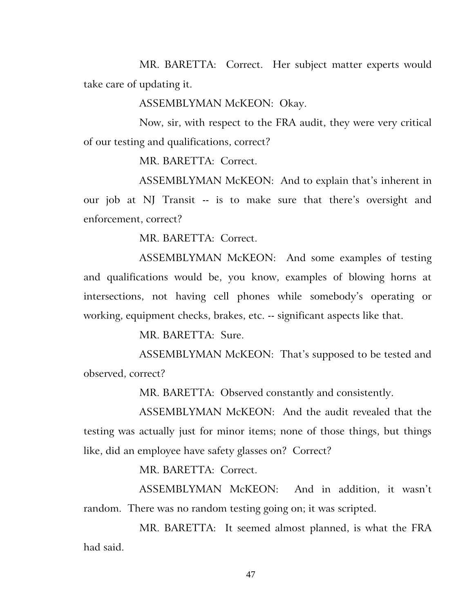MR. BARETTA: Correct. Her subject matter experts would take care of updating it.

ASSEMBLYMAN McKEON: Okay.

Now, sir, with respect to the FRA audit, they were very critical of our testing and qualifications, correct?

MR. BARETTA: Correct.

ASSEMBLYMAN McKEON: And to explain that's inherent in our job at NJ Transit -- is to make sure that there's oversight and enforcement, correct?

MR. BARETTA: Correct.

ASSEMBLYMAN McKEON: And some examples of testing and qualifications would be, you know, examples of blowing horns at intersections, not having cell phones while somebody's operating or working, equipment checks, brakes, etc. -- significant aspects like that.

MR. BARETTA: Sure.

ASSEMBLYMAN McKEON: That's supposed to be tested and observed, correct?

MR. BARETTA: Observed constantly and consistently.

ASSEMBLYMAN McKEON: And the audit revealed that the testing was actually just for minor items; none of those things, but things like, did an employee have safety glasses on? Correct?

MR. BARETTA: Correct.

ASSEMBLYMAN McKEON: And in addition, it wasn't random. There was no random testing going on; it was scripted.

MR. BARETTA: It seemed almost planned, is what the FRA had said.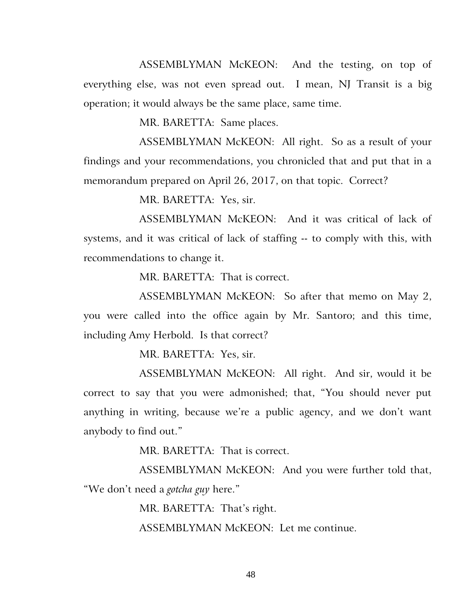ASSEMBLYMAN McKEON: And the testing, on top of everything else, was not even spread out. I mean, NJ Transit is a big operation; it would always be the same place, same time.

MR. BARETTA: Same places.

ASSEMBLYMAN McKEON: All right. So as a result of your findings and your recommendations, you chronicled that and put that in a memorandum prepared on April 26, 2017, on that topic. Correct?

MR. BARETTA: Yes, sir.

ASSEMBLYMAN McKEON: And it was critical of lack of systems, and it was critical of lack of staffing -- to comply with this, with recommendations to change it.

MR. BARETTA: That is correct.

ASSEMBLYMAN McKEON: So after that memo on May 2, you were called into the office again by Mr. Santoro; and this time, including Amy Herbold. Is that correct?

MR. BARETTA: Yes, sir.

ASSEMBLYMAN McKEON: All right. And sir, would it be correct to say that you were admonished; that, "You should never put anything in writing, because we're a public agency, and we don't want anybody to find out."

MR. BARETTA: That is correct.

ASSEMBLYMAN McKEON: And you were further told that, "We don't need a *gotcha guy* here."

MR. BARETTA: That's right.

ASSEMBLYMAN McKEON: Let me continue.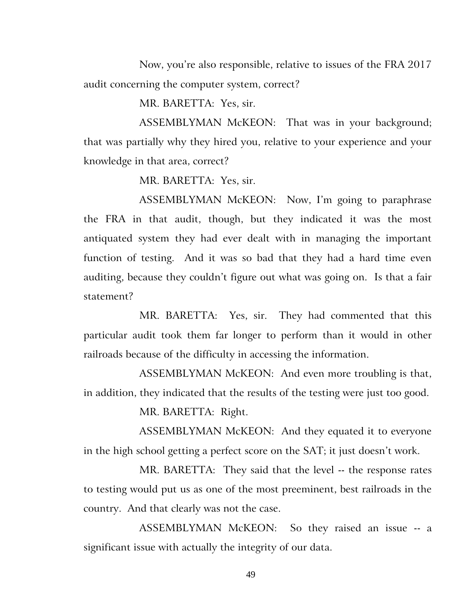Now, you're also responsible, relative to issues of the FRA 2017 audit concerning the computer system, correct?

MR. BARETTA: Yes, sir.

ASSEMBLYMAN McKEON: That was in your background; that was partially why they hired you, relative to your experience and your knowledge in that area, correct?

MR. BARETTA: Yes, sir.

ASSEMBLYMAN McKEON: Now, I'm going to paraphrase the FRA in that audit, though, but they indicated it was the most antiquated system they had ever dealt with in managing the important function of testing. And it was so bad that they had a hard time even auditing, because they couldn't figure out what was going on. Is that a fair statement?

MR. BARETTA: Yes, sir. They had commented that this particular audit took them far longer to perform than it would in other railroads because of the difficulty in accessing the information.

ASSEMBLYMAN McKEON: And even more troubling is that, in addition, they indicated that the results of the testing were just too good.

MR. BARETTA: Right.

ASSEMBLYMAN McKEON: And they equated it to everyone in the high school getting a perfect score on the SAT; it just doesn't work.

MR. BARETTA: They said that the level -- the response rates to testing would put us as one of the most preeminent, best railroads in the country. And that clearly was not the case.

ASSEMBLYMAN McKEON: So they raised an issue -- a significant issue with actually the integrity of our data.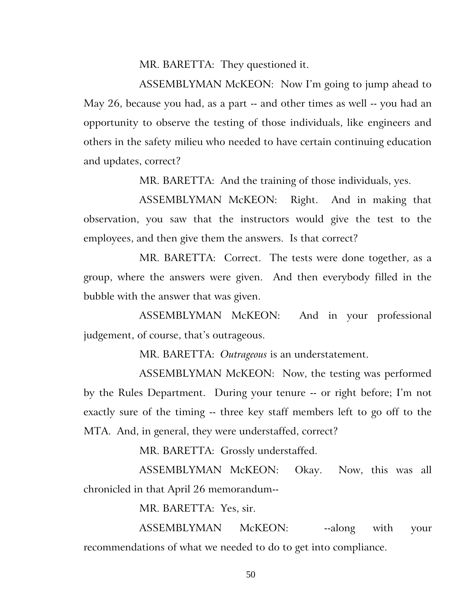MR. BARETTA: They questioned it.

ASSEMBLYMAN McKEON: Now I'm going to jump ahead to May 26, because you had, as a part -- and other times as well -- you had an opportunity to observe the testing of those individuals, like engineers and others in the safety milieu who needed to have certain continuing education and updates, correct?

MR. BARETTA: And the training of those individuals, yes.

ASSEMBLYMAN McKEON: Right. And in making that observation, you saw that the instructors would give the test to the employees, and then give them the answers. Is that correct?

MR. BARETTA: Correct. The tests were done together, as a group, where the answers were given. And then everybody filled in the bubble with the answer that was given.

ASSEMBLYMAN McKEON: And in your professional judgement, of course, that's outrageous.

MR. BARETTA: *Outrageous* is an understatement.

ASSEMBLYMAN McKEON: Now, the testing was performed by the Rules Department. During your tenure -- or right before; I'm not exactly sure of the timing -- three key staff members left to go off to the MTA. And, in general, they were understaffed, correct?

MR. BARETTA: Grossly understaffed.

ASSEMBLYMAN McKEON: Okay. Now, this was all chronicled in that April 26 memorandum--

MR. BARETTA: Yes, sir.

ASSEMBLYMAN McKEON: --along with your recommendations of what we needed to do to get into compliance.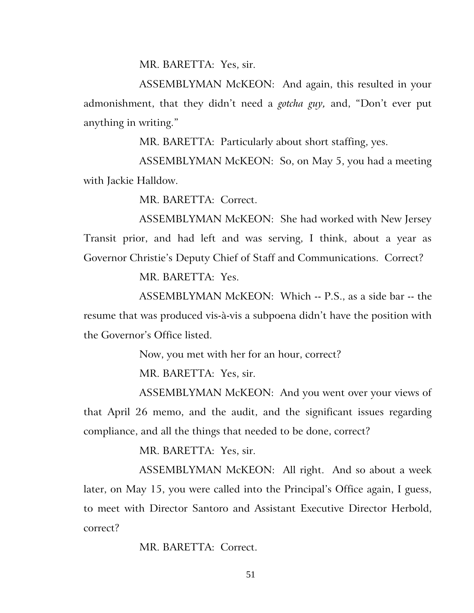MR. BARETTA: Yes, sir.

ASSEMBLYMAN McKEON: And again, this resulted in your admonishment, that they didn't need a *gotcha guy,* and, "Don't ever put anything in writing."

MR. BARETTA: Particularly about short staffing, yes.

ASSEMBLYMAN McKEON: So, on May 5, you had a meeting with Jackie Halldow.

MR. BARETTA: Correct.

ASSEMBLYMAN McKEON: She had worked with New Jersey Transit prior, and had left and was serving, I think, about a year as Governor Christie's Deputy Chief of Staff and Communications. Correct?

MR. BARETTA: Yes.

ASSEMBLYMAN McKEON: Which -- P.S., as a side bar -- the resume that was produced vis-à-vis a subpoena didn't have the position with the Governor's Office listed.

Now, you met with her for an hour, correct?

MR. BARETTA: Yes, sir.

ASSEMBLYMAN McKEON: And you went over your views of that April 26 memo, and the audit, and the significant issues regarding compliance, and all the things that needed to be done, correct?

MR. BARETTA: Yes, sir.

ASSEMBLYMAN McKEON: All right. And so about a week later, on May 15, you were called into the Principal's Office again, I guess, to meet with Director Santoro and Assistant Executive Director Herbold, correct?

MR. BARETTA: Correct.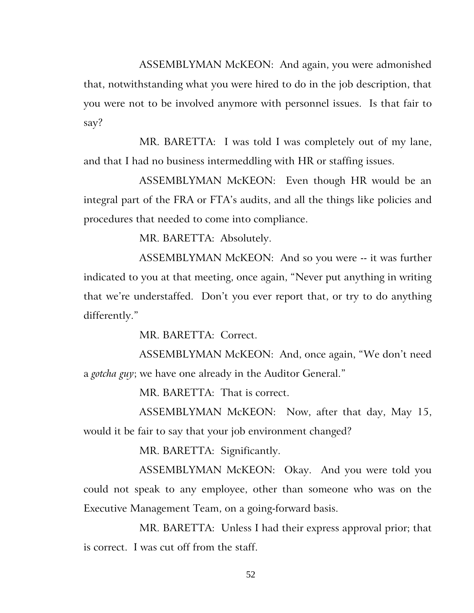ASSEMBLYMAN McKEON: And again, you were admonished that, notwithstanding what you were hired to do in the job description, that you were not to be involved anymore with personnel issues. Is that fair to say?

MR. BARETTA: I was told I was completely out of my lane, and that I had no business intermeddling with HR or staffing issues.

ASSEMBLYMAN McKEON: Even though HR would be an integral part of the FRA or FTA's audits, and all the things like policies and procedures that needed to come into compliance.

MR. BARETTA: Absolutely.

ASSEMBLYMAN McKEON: And so you were -- it was further indicated to you at that meeting, once again, "Never put anything in writing that we're understaffed. Don't you ever report that, or try to do anything differently."

MR. BARETTA: Correct.

ASSEMBLYMAN McKEON: And, once again, "We don't need a *gotcha guy*; we have one already in the Auditor General."

MR. BARETTA: That is correct.

ASSEMBLYMAN McKEON: Now, after that day, May 15, would it be fair to say that your job environment changed?

MR. BARETTA: Significantly.

ASSEMBLYMAN McKEON: Okay. And you were told you could not speak to any employee, other than someone who was on the Executive Management Team, on a going-forward basis.

MR. BARETTA: Unless I had their express approval prior; that is correct. I was cut off from the staff.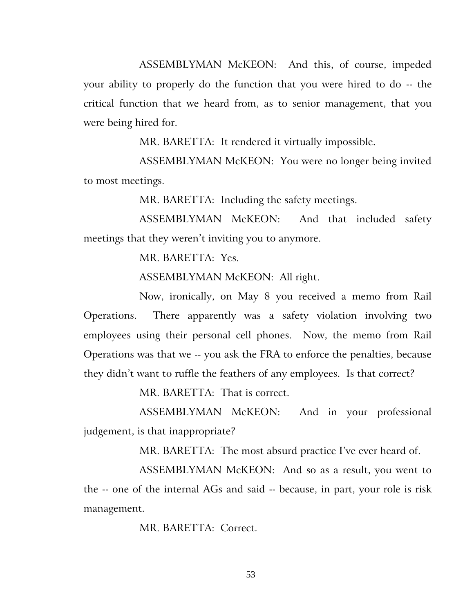ASSEMBLYMAN McKEON: And this, of course, impeded your ability to properly do the function that you were hired to do -- the critical function that we heard from, as to senior management, that you were being hired for.

MR. BARETTA: It rendered it virtually impossible.

ASSEMBLYMAN McKEON: You were no longer being invited to most meetings.

MR. BARETTA: Including the safety meetings.

ASSEMBLYMAN McKEON: And that included safety meetings that they weren't inviting you to anymore.

MR. BARETTA: Yes.

ASSEMBLYMAN McKEON: All right.

Now, ironically, on May 8 you received a memo from Rail Operations. There apparently was a safety violation involving two employees using their personal cell phones. Now, the memo from Rail Operations was that we -- you ask the FRA to enforce the penalties, because they didn't want to ruffle the feathers of any employees. Is that correct?

MR. BARETTA: That is correct.

ASSEMBLYMAN McKEON: And in your professional judgement, is that inappropriate?

MR. BARETTA: The most absurd practice I've ever heard of.

ASSEMBLYMAN McKEON: And so as a result, you went to the -- one of the internal AGs and said -- because, in part, your role is risk management.

MR. BARETTA: Correct.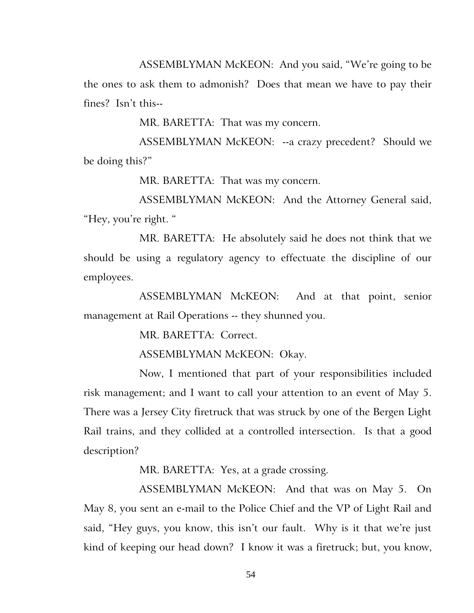ASSEMBLYMAN McKEON: And you said, "We're going to be the ones to ask them to admonish? Does that mean we have to pay their fines? Isn't this--

MR. BARETTA: That was my concern.

ASSEMBLYMAN McKEON: --a crazy precedent? Should we be doing this?"

MR. BARETTA: That was my concern.

ASSEMBLYMAN McKEON: And the Attorney General said, "Hey, you're right. "

MR. BARETTA: He absolutely said he does not think that we should be using a regulatory agency to effectuate the discipline of our employees.

ASSEMBLYMAN McKEON: And at that point, senior management at Rail Operations -- they shunned you.

MR. BARETTA: Correct.

ASSEMBLYMAN McKEON: Okay.

Now, I mentioned that part of your responsibilities included risk management; and I want to call your attention to an event of May 5. There was a Jersey City firetruck that was struck by one of the Bergen Light Rail trains, and they collided at a controlled intersection. Is that a good description?

MR. BARETTA: Yes, at a grade crossing.

ASSEMBLYMAN McKEON: And that was on May 5. On May 8, you sent an e-mail to the Police Chief and the VP of Light Rail and said, "Hey guys, you know, this isn't our fault. Why is it that we're just kind of keeping our head down? I know it was a firetruck; but, you know,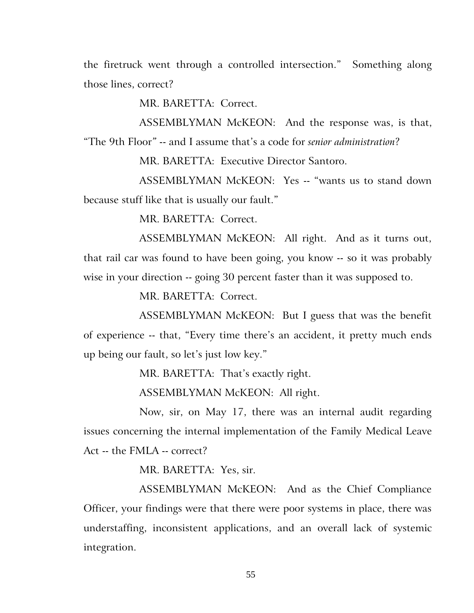the firetruck went through a controlled intersection." Something along those lines, correct?

MR. BARETTA: Correct.

ASSEMBLYMAN McKEON: And the response was, is that, "The 9th Floor*"* -- and I assume that's a code for *senior administration*?

MR. BARETTA: Executive Director Santoro.

ASSEMBLYMAN McKEON: Yes -- "wants us to stand down because stuff like that is usually our fault."

MR. BARETTA: Correct.

ASSEMBLYMAN McKEON: All right. And as it turns out, that rail car was found to have been going, you know -- so it was probably wise in your direction -- going 30 percent faster than it was supposed to.

MR. BARETTA: Correct.

ASSEMBLYMAN McKEON: But I guess that was the benefit of experience -- that, "Every time there's an accident, it pretty much ends up being our fault, so let's just low key."

MR. BARETTA: That's exactly right.

ASSEMBLYMAN McKEON: All right.

Now, sir, on May 17, there was an internal audit regarding issues concerning the internal implementation of the Family Medical Leave Act -- the FMLA -- correct?

MR. BARETTA: Yes, sir.

ASSEMBLYMAN McKEON: And as the Chief Compliance Officer, your findings were that there were poor systems in place, there was understaffing, inconsistent applications, and an overall lack of systemic integration.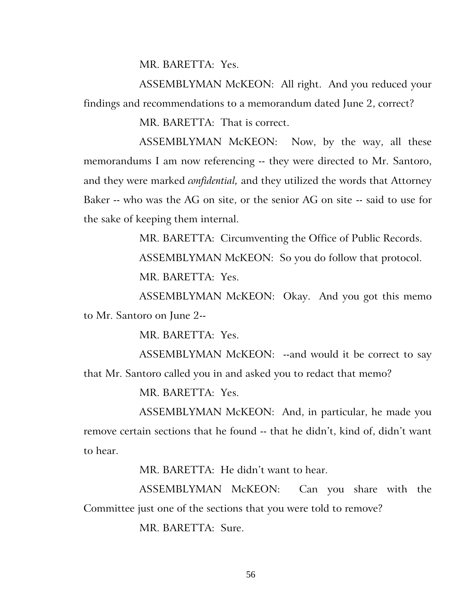MR. BARETTA: Yes.

ASSEMBLYMAN McKEON: All right. And you reduced your findings and recommendations to a memorandum dated June 2, correct?

MR. BARETTA: That is correct.

ASSEMBLYMAN McKEON: Now, by the way, all these memorandums I am now referencing -- they were directed to Mr. Santoro, and they were marked *confidential,* and they utilized the words that Attorney Baker -- who was the AG on site, or the senior AG on site -- said to use for the sake of keeping them internal.

> MR. BARETTA: Circumventing the Office of Public Records. ASSEMBLYMAN McKEON: So you do follow that protocol. MR. BARETTA: Yes.

ASSEMBLYMAN McKEON: Okay. And you got this memo to Mr. Santoro on June 2--

MR. BARETTA: Yes.

ASSEMBLYMAN McKEON: --and would it be correct to say that Mr. Santoro called you in and asked you to redact that memo?

MR. BARETTA: Yes.

ASSEMBLYMAN McKEON: And, in particular, he made you remove certain sections that he found -- that he didn't, kind of, didn't want to hear.

MR. BARETTA: He didn't want to hear.

ASSEMBLYMAN McKEON: Can you share with the Committee just one of the sections that you were told to remove?

MR. BARETTA: Sure.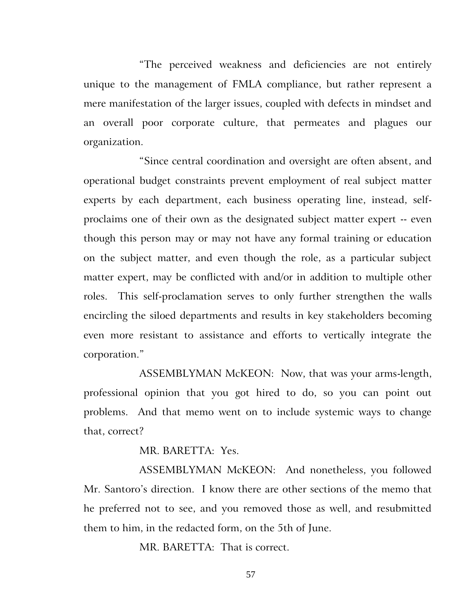"The perceived weakness and deficiencies are not entirely unique to the management of FMLA compliance, but rather represent a mere manifestation of the larger issues, coupled with defects in mindset and an overall poor corporate culture, that permeates and plagues our organization.

"Since central coordination and oversight are often absent, and operational budget constraints prevent employment of real subject matter experts by each department, each business operating line, instead, selfproclaims one of their own as the designated subject matter expert -- even though this person may or may not have any formal training or education on the subject matter, and even though the role, as a particular subject matter expert, may be conflicted with and/or in addition to multiple other roles. This self-proclamation serves to only further strengthen the walls encircling the siloed departments and results in key stakeholders becoming even more resistant to assistance and efforts to vertically integrate the corporation."

ASSEMBLYMAN McKEON: Now, that was your arms-length, professional opinion that you got hired to do, so you can point out problems. And that memo went on to include systemic ways to change that, correct?

MR. BARETTA: Yes.

ASSEMBLYMAN McKEON: And nonetheless, you followed Mr. Santoro's direction. I know there are other sections of the memo that he preferred not to see, and you removed those as well, and resubmitted them to him, in the redacted form, on the 5th of June.

MR. BARETTA: That is correct.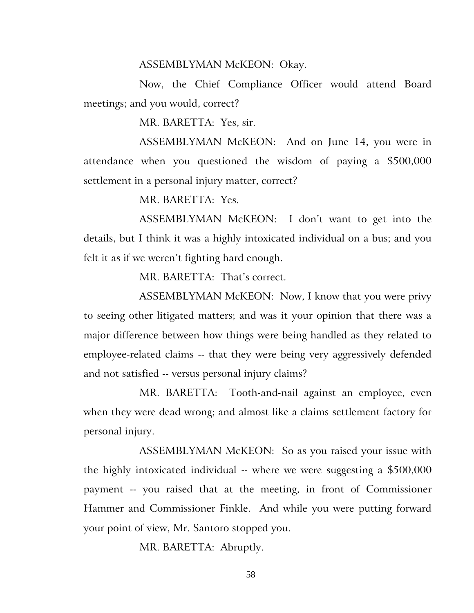## ASSEMBLYMAN McKEON: Okay.

Now, the Chief Compliance Officer would attend Board meetings; and you would, correct?

MR. BARETTA: Yes, sir.

ASSEMBLYMAN McKEON: And on June 14, you were in attendance when you questioned the wisdom of paying a \$500,000 settlement in a personal injury matter, correct?

MR. BARETTA: Yes.

ASSEMBLYMAN McKEON: I don't want to get into the details, but I think it was a highly intoxicated individual on a bus; and you felt it as if we weren't fighting hard enough.

MR. BARETTA: That's correct.

ASSEMBLYMAN McKEON: Now, I know that you were privy to seeing other litigated matters; and was it your opinion that there was a major difference between how things were being handled as they related to employee-related claims -- that they were being very aggressively defended and not satisfied -- versus personal injury claims?

MR. BARETTA: Tooth-and-nail against an employee, even when they were dead wrong; and almost like a claims settlement factory for personal injury.

ASSEMBLYMAN McKEON: So as you raised your issue with the highly intoxicated individual -- where we were suggesting a \$500,000 payment -- you raised that at the meeting, in front of Commissioner Hammer and Commissioner Finkle. And while you were putting forward your point of view, Mr. Santoro stopped you.

MR. BARETTA: Abruptly.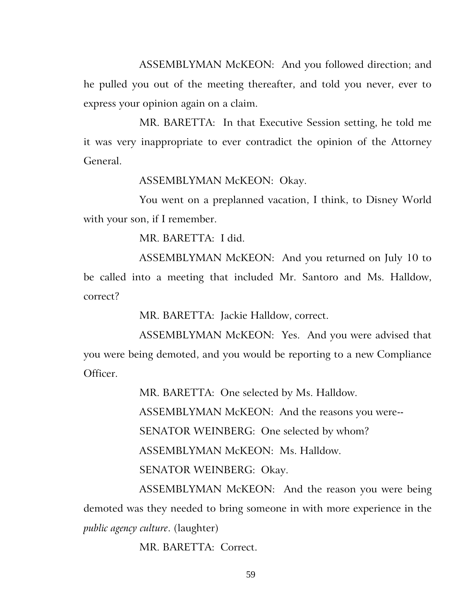ASSEMBLYMAN McKEON: And you followed direction; and he pulled you out of the meeting thereafter, and told you never, ever to express your opinion again on a claim.

MR. BARETTA: In that Executive Session setting, he told me it was very inappropriate to ever contradict the opinion of the Attorney General.

ASSEMBLYMAN McKEON: Okay.

You went on a preplanned vacation, I think, to Disney World with your son, if I remember.

MR. BARETTA: I did.

ASSEMBLYMAN McKEON: And you returned on July 10 to be called into a meeting that included Mr. Santoro and Ms. Halldow, correct?

MR. BARETTA: Jackie Halldow, correct.

ASSEMBLYMAN McKEON: Yes. And you were advised that you were being demoted, and you would be reporting to a new Compliance Officer.

MR. BARETTA: One selected by Ms. Halldow.

ASSEMBLYMAN McKEON: And the reasons you were--

SENATOR WEINBERG: One selected by whom?

ASSEMBLYMAN McKEON: Ms. Halldow.

SENATOR WEINBERG: Okay.

ASSEMBLYMAN McKEON: And the reason you were being demoted was they needed to bring someone in with more experience in the *public agency culture*. (laughter)

MR. BARETTA: Correct.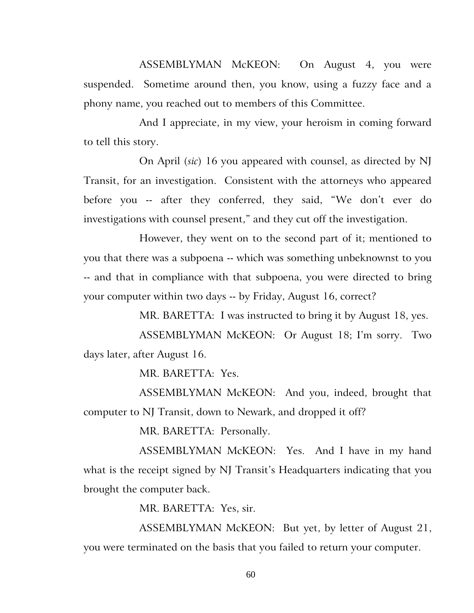ASSEMBLYMAN McKEON: On August 4, you were suspended. Sometime around then, you know, using a fuzzy face and a phony name, you reached out to members of this Committee.

And I appreciate, in my view, your heroism in coming forward to tell this story.

On April (*sic*) 16 you appeared with counsel, as directed by NJ Transit, for an investigation. Consistent with the attorneys who appeared before you -- after they conferred, they said, "We don't ever do investigations with counsel present," and they cut off the investigation.

However, they went on to the second part of it; mentioned to you that there was a subpoena -- which was something unbeknownst to you -- and that in compliance with that subpoena, you were directed to bring your computer within two days -- by Friday, August 16, correct?

MR. BARETTA: I was instructed to bring it by August 18, yes.

ASSEMBLYMAN McKEON: Or August 18; I'm sorry. Two days later, after August 16.

MR. BARETTA: Yes.

ASSEMBLYMAN McKEON: And you, indeed, brought that computer to NJ Transit, down to Newark, and dropped it off?

MR. BARETTA: Personally.

ASSEMBLYMAN McKEON: Yes. And I have in my hand what is the receipt signed by NJ Transit's Headquarters indicating that you brought the computer back.

MR. BARETTA: Yes, sir.

ASSEMBLYMAN McKEON: But yet, by letter of August 21, you were terminated on the basis that you failed to return your computer.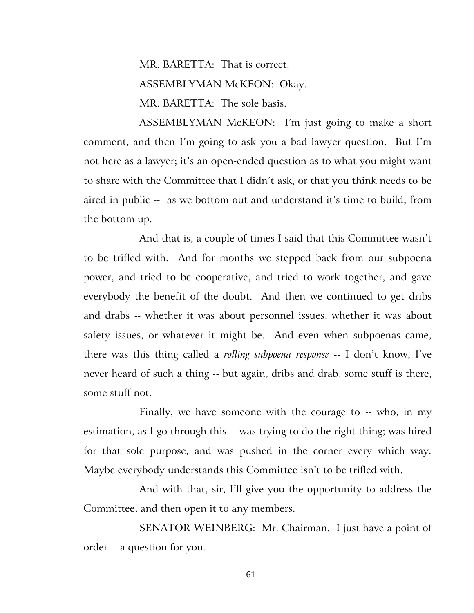MR. BARETTA: That is correct. ASSEMBLYMAN McKEON: Okay. MR. BARETTA: The sole basis.

ASSEMBLYMAN McKEON: I'm just going to make a short comment, and then I'm going to ask you a bad lawyer question. But I'm not here as a lawyer; it's an open-ended question as to what you might want to share with the Committee that I didn't ask, or that you think needs to be aired in public -- as we bottom out and understand it's time to build, from the bottom up.

And that is, a couple of times I said that this Committee wasn't to be trifled with. And for months we stepped back from our subpoena power, and tried to be cooperative, and tried to work together, and gave everybody the benefit of the doubt. And then we continued to get dribs and drabs -- whether it was about personnel issues, whether it was about safety issues, or whatever it might be. And even when subpoenas came, there was this thing called a *rolling subpoena response* -- I don't know, I've never heard of such a thing -- but again, dribs and drab, some stuff is there, some stuff not.

Finally, we have someone with the courage to -- who, in my estimation, as I go through this -- was trying to do the right thing; was hired for that sole purpose, and was pushed in the corner every which way. Maybe everybody understands this Committee isn't to be trifled with.

And with that, sir, I'll give you the opportunity to address the Committee, and then open it to any members.

SENATOR WEINBERG: Mr. Chairman. I just have a point of order -- a question for you.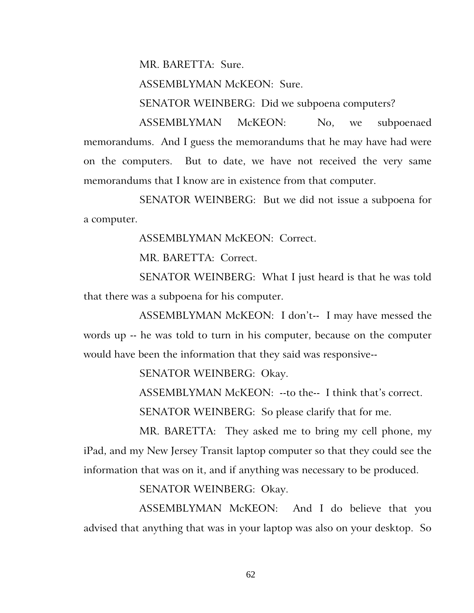MR. BARETTA: Sure.

ASSEMBLYMAN McKEON: Sure.

SENATOR WEINBERG: Did we subpoena computers?

ASSEMBLYMAN McKEON: No, we subpoenaed memorandums. And I guess the memorandums that he may have had were on the computers. But to date, we have not received the very same memorandums that I know are in existence from that computer.

SENATOR WEINBERG: But we did not issue a subpoena for a computer.

ASSEMBLYMAN McKEON: Correct.

MR. BARETTA: Correct.

SENATOR WEINBERG: What I just heard is that he was told that there was a subpoena for his computer.

ASSEMBLYMAN McKEON: I don't-- I may have messed the words up -- he was told to turn in his computer, because on the computer would have been the information that they said was responsive--

SENATOR WEINBERG: Okay.

ASSEMBLYMAN McKEON: --to the-- I think that's correct. SENATOR WEINBERG: So please clarify that for me.

MR. BARETTA: They asked me to bring my cell phone, my iPad, and my New Jersey Transit laptop computer so that they could see the information that was on it, and if anything was necessary to be produced.

SENATOR WEINBERG: Okay.

ASSEMBLYMAN McKEON: And I do believe that you advised that anything that was in your laptop was also on your desktop. So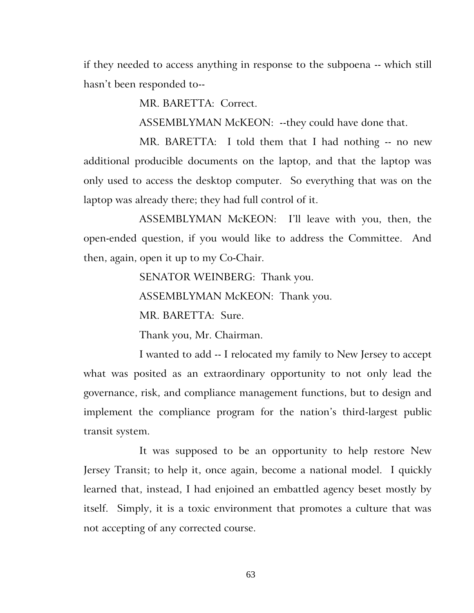if they needed to access anything in response to the subpoena -- which still hasn't been responded to--

MR. BARETTA: Correct.

ASSEMBLYMAN McKEON: --they could have done that.

MR. BARETTA: I told them that I had nothing -- no new additional producible documents on the laptop, and that the laptop was only used to access the desktop computer. So everything that was on the laptop was already there; they had full control of it.

ASSEMBLYMAN McKEON: I'll leave with you, then, the open-ended question, if you would like to address the Committee. And then, again, open it up to my Co-Chair.

SENATOR WEINBERG: Thank you.

ASSEMBLYMAN McKEON: Thank you.

MR. BARETTA: Sure.

Thank you, Mr. Chairman.

I wanted to add -- I relocated my family to New Jersey to accept what was posited as an extraordinary opportunity to not only lead the governance, risk, and compliance management functions, but to design and implement the compliance program for the nation's third-largest public transit system.

It was supposed to be an opportunity to help restore New Jersey Transit; to help it, once again, become a national model. I quickly learned that, instead, I had enjoined an embattled agency beset mostly by itself. Simply, it is a toxic environment that promotes a culture that was not accepting of any corrected course.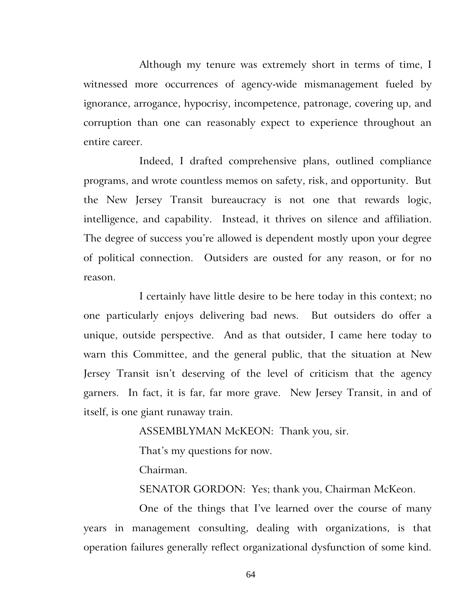Although my tenure was extremely short in terms of time, I witnessed more occurrences of agency-wide mismanagement fueled by ignorance, arrogance, hypocrisy, incompetence, patronage, covering up, and corruption than one can reasonably expect to experience throughout an entire career.

Indeed, I drafted comprehensive plans, outlined compliance programs, and wrote countless memos on safety, risk, and opportunity. But the New Jersey Transit bureaucracy is not one that rewards logic, intelligence, and capability. Instead, it thrives on silence and affiliation. The degree of success you're allowed is dependent mostly upon your degree of political connection. Outsiders are ousted for any reason, or for no reason.

I certainly have little desire to be here today in this context; no one particularly enjoys delivering bad news. But outsiders do offer a unique, outside perspective. And as that outsider, I came here today to warn this Committee, and the general public, that the situation at New Jersey Transit isn't deserving of the level of criticism that the agency garners. In fact, it is far, far more grave. New Jersey Transit, in and of itself, is one giant runaway train.

ASSEMBLYMAN McKEON: Thank you, sir.

That's my questions for now.

Chairman.

SENATOR GORDON: Yes; thank you, Chairman McKeon.

One of the things that I've learned over the course of many years in management consulting, dealing with organizations, is that operation failures generally reflect organizational dysfunction of some kind.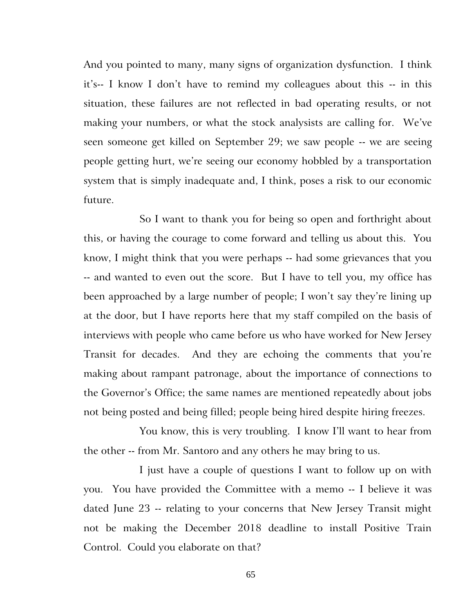And you pointed to many, many signs of organization dysfunction. I think it's-- I know I don't have to remind my colleagues about this -- in this situation, these failures are not reflected in bad operating results, or not making your numbers, or what the stock analysists are calling for. We've seen someone get killed on September 29; we saw people -- we are seeing people getting hurt, we're seeing our economy hobbled by a transportation system that is simply inadequate and, I think, poses a risk to our economic future.

So I want to thank you for being so open and forthright about this, or having the courage to come forward and telling us about this. You know, I might think that you were perhaps -- had some grievances that you -- and wanted to even out the score. But I have to tell you, my office has been approached by a large number of people; I won't say they're lining up at the door, but I have reports here that my staff compiled on the basis of interviews with people who came before us who have worked for New Jersey Transit for decades. And they are echoing the comments that you're making about rampant patronage, about the importance of connections to the Governor's Office; the same names are mentioned repeatedly about jobs not being posted and being filled; people being hired despite hiring freezes.

You know, this is very troubling. I know I'll want to hear from the other -- from Mr. Santoro and any others he may bring to us.

I just have a couple of questions I want to follow up on with you. You have provided the Committee with a memo -- I believe it was dated June 23 -- relating to your concerns that New Jersey Transit might not be making the December 2018 deadline to install Positive Train Control. Could you elaborate on that?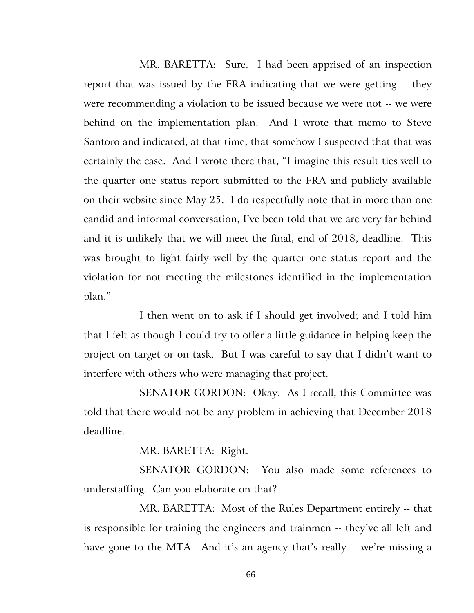MR. BARETTA: Sure. I had been apprised of an inspection report that was issued by the FRA indicating that we were getting -- they were recommending a violation to be issued because we were not -- we were behind on the implementation plan. And I wrote that memo to Steve Santoro and indicated, at that time, that somehow I suspected that that was certainly the case. And I wrote there that, "I imagine this result ties well to the quarter one status report submitted to the FRA and publicly available on their website since May 25. I do respectfully note that in more than one candid and informal conversation, I've been told that we are very far behind and it is unlikely that we will meet the final, end of 2018, deadline. This was brought to light fairly well by the quarter one status report and the violation for not meeting the milestones identified in the implementation plan."

I then went on to ask if I should get involved; and I told him that I felt as though I could try to offer a little guidance in helping keep the project on target or on task. But I was careful to say that I didn't want to interfere with others who were managing that project.

SENATOR GORDON: Okay. As I recall, this Committee was told that there would not be any problem in achieving that December 2018 deadline.

MR. BARETTA: Right.

SENATOR GORDON: You also made some references to understaffing. Can you elaborate on that?

MR. BARETTA: Most of the Rules Department entirely -- that is responsible for training the engineers and trainmen -- they've all left and have gone to the MTA. And it's an agency that's really -- we're missing a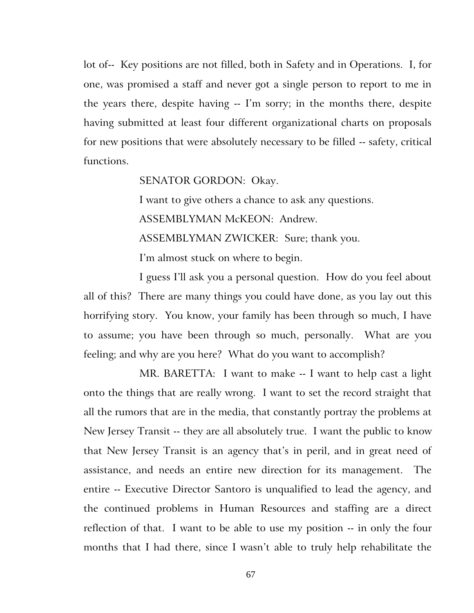lot of-- Key positions are not filled, both in Safety and in Operations. I, for one, was promised a staff and never got a single person to report to me in the years there, despite having -- I'm sorry; in the months there, despite having submitted at least four different organizational charts on proposals for new positions that were absolutely necessary to be filled -- safety, critical functions.

SENATOR GORDON: Okay.

I want to give others a chance to ask any questions.

ASSEMBLYMAN McKEON: Andrew.

ASSEMBLYMAN ZWICKER: Sure; thank you.

I'm almost stuck on where to begin.

I guess I'll ask you a personal question. How do you feel about all of this? There are many things you could have done, as you lay out this horrifying story. You know, your family has been through so much, I have to assume; you have been through so much, personally. What are you feeling; and why are you here? What do you want to accomplish?

MR. BARETTA: I want to make -- I want to help cast a light onto the things that are really wrong. I want to set the record straight that all the rumors that are in the media, that constantly portray the problems at New Jersey Transit -- they are all absolutely true. I want the public to know that New Jersey Transit is an agency that's in peril, and in great need of assistance, and needs an entire new direction for its management. The entire -- Executive Director Santoro is unqualified to lead the agency, and the continued problems in Human Resources and staffing are a direct reflection of that. I want to be able to use my position -- in only the four months that I had there, since I wasn't able to truly help rehabilitate the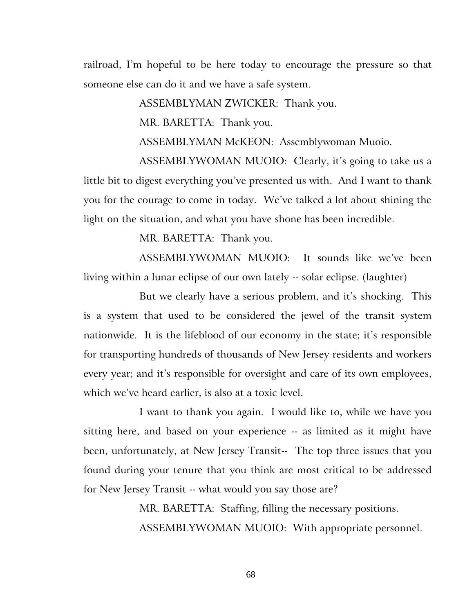railroad, I'm hopeful to be here today to encourage the pressure so that someone else can do it and we have a safe system.

ASSEMBLYMAN ZWICKER: Thank you.

MR. BARETTA: Thank you.

ASSEMBLYMAN McKEON: Assemblywoman Muoio.

ASSEMBLYWOMAN MUOIO: Clearly, it's going to take us a little bit to digest everything you've presented us with. And I want to thank you for the courage to come in today. We've talked a lot about shining the light on the situation, and what you have shone has been incredible.

MR. BARETTA: Thank you.

ASSEMBLYWOMAN MUOIO: It sounds like we've been living within a lunar eclipse of our own lately -- solar eclipse. (laughter)

But we clearly have a serious problem, and it's shocking. This is a system that used to be considered the jewel of the transit system nationwide. It is the lifeblood of our economy in the state; it's responsible for transporting hundreds of thousands of New Jersey residents and workers every year; and it's responsible for oversight and care of its own employees, which we've heard earlier, is also at a toxic level.

I want to thank you again. I would like to, while we have you sitting here, and based on your experience -- as limited as it might have been, unfortunately, at New Jersey Transit-- The top three issues that you found during your tenure that you think are most critical to be addressed for New Jersey Transit -- what would you say those are?

> MR. BARETTA: Staffing, filling the necessary positions. ASSEMBLYWOMAN MUOIO: With appropriate personnel.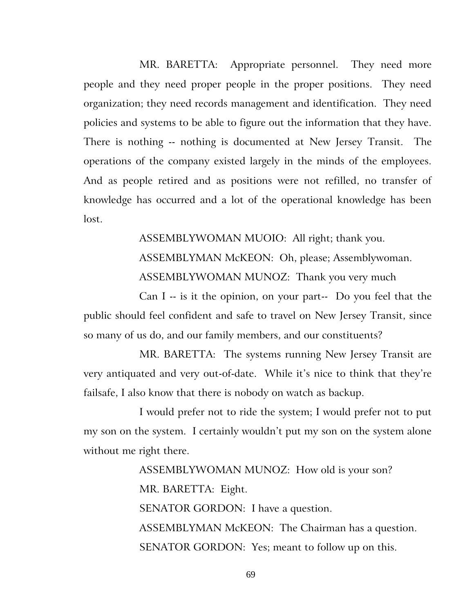MR. BARETTA: Appropriate personnel. They need more people and they need proper people in the proper positions. They need organization; they need records management and identification. They need policies and systems to be able to figure out the information that they have. There is nothing -- nothing is documented at New Jersey Transit. The operations of the company existed largely in the minds of the employees. And as people retired and as positions were not refilled, no transfer of knowledge has occurred and a lot of the operational knowledge has been lost.

> ASSEMBLYWOMAN MUOIO: All right; thank you. ASSEMBLYMAN McKEON: Oh, please; Assemblywoman. ASSEMBLYWOMAN MUNOZ: Thank you very much

Can I -- is it the opinion, on your part-- Do you feel that the public should feel confident and safe to travel on New Jersey Transit, since so many of us do, and our family members, and our constituents?

MR. BARETTA: The systems running New Jersey Transit are very antiquated and very out-of-date. While it's nice to think that they're failsafe, I also know that there is nobody on watch as backup.

I would prefer not to ride the system; I would prefer not to put my son on the system. I certainly wouldn't put my son on the system alone without me right there.

> ASSEMBLYWOMAN MUNOZ: How old is your son? MR. BARETTA: Eight. SENATOR GORDON: I have a question. ASSEMBLYMAN McKEON: The Chairman has a question. SENATOR GORDON: Yes; meant to follow up on this.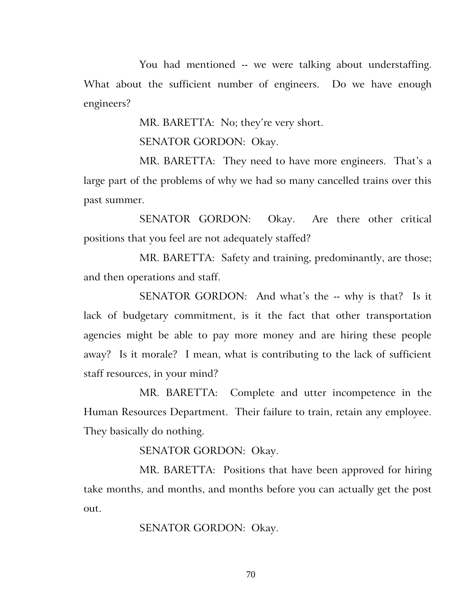You had mentioned -- we were talking about understaffing. What about the sufficient number of engineers. Do we have enough engineers?

MR. BARETTA: No; they're very short.

SENATOR GORDON: Okay.

MR. BARETTA: They need to have more engineers. That's a large part of the problems of why we had so many cancelled trains over this past summer.

SENATOR GORDON: Okay. Are there other critical positions that you feel are not adequately staffed?

MR. BARETTA: Safety and training, predominantly, are those; and then operations and staff.

SENATOR GORDON: And what's the -- why is that? Is it lack of budgetary commitment, is it the fact that other transportation agencies might be able to pay more money and are hiring these people away? Is it morale? I mean, what is contributing to the lack of sufficient staff resources, in your mind?

MR. BARETTA: Complete and utter incompetence in the Human Resources Department. Their failure to train, retain any employee. They basically do nothing.

SENATOR GORDON: Okay.

MR. BARETTA: Positions that have been approved for hiring take months, and months, and months before you can actually get the post out.

SENATOR GORDON: Okay.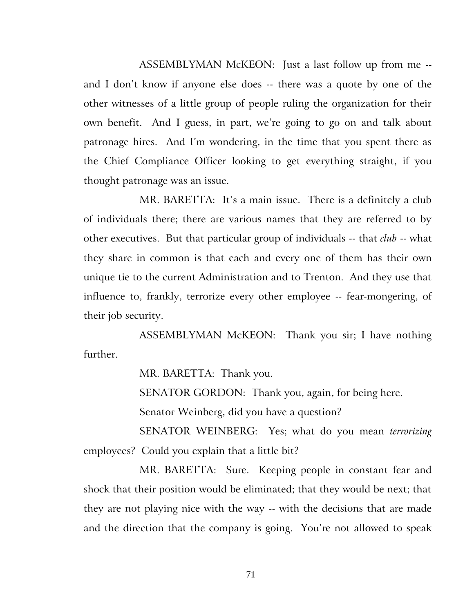ASSEMBLYMAN McKEON: Just a last follow up from me - and I don't know if anyone else does -- there was a quote by one of the other witnesses of a little group of people ruling the organization for their own benefit. And I guess, in part, we're going to go on and talk about patronage hires. And I'm wondering, in the time that you spent there as the Chief Compliance Officer looking to get everything straight, if you thought patronage was an issue.

MR. BARETTA: It's a main issue. There is a definitely a club of individuals there; there are various names that they are referred to by other executives. But that particular group of individuals -- that *club* -- what they share in common is that each and every one of them has their own unique tie to the current Administration and to Trenton. And they use that influence to, frankly, terrorize every other employee -- fear-mongering, of their job security.

ASSEMBLYMAN McKEON: Thank you sir; I have nothing further.

MR. BARETTA: Thank you.

SENATOR GORDON: Thank you, again, for being here.

Senator Weinberg, did you have a question?

SENATOR WEINBERG: Yes; what do you mean *terrorizing*  employees? Could you explain that a little bit?

MR. BARETTA: Sure. Keeping people in constant fear and shock that their position would be eliminated; that they would be next; that they are not playing nice with the way -- with the decisions that are made and the direction that the company is going. You're not allowed to speak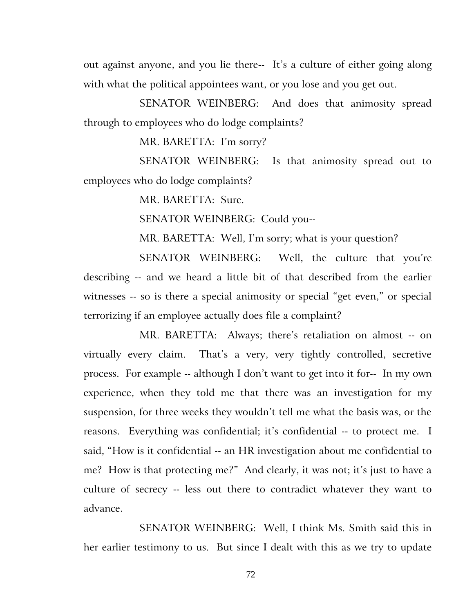out against anyone, and you lie there-- It's a culture of either going along with what the political appointees want, or you lose and you get out.

SENATOR WEINBERG: And does that animosity spread through to employees who do lodge complaints?

MR. BARETTA: I'm sorry?

SENATOR WEINBERG: Is that animosity spread out to employees who do lodge complaints?

MR. BARETTA: Sure.

SENATOR WEINBERG: Could you--

MR. BARETTA: Well, I'm sorry; what is your question?

SENATOR WEINBERG: Well, the culture that you're describing -- and we heard a little bit of that described from the earlier witnesses -- so is there a special animosity or special "get even," or special terrorizing if an employee actually does file a complaint?

MR. BARETTA: Always; there's retaliation on almost -- on virtually every claim. That's a very, very tightly controlled, secretive process. For example -- although I don't want to get into it for-- In my own experience, when they told me that there was an investigation for my suspension, for three weeks they wouldn't tell me what the basis was, or the reasons. Everything was confidential; it's confidential -- to protect me. I said, "How is it confidential -- an HR investigation about me confidential to me? How is that protecting me?" And clearly, it was not; it's just to have a culture of secrecy -- less out there to contradict whatever they want to advance.

SENATOR WEINBERG: Well, I think Ms. Smith said this in her earlier testimony to us. But since I dealt with this as we try to update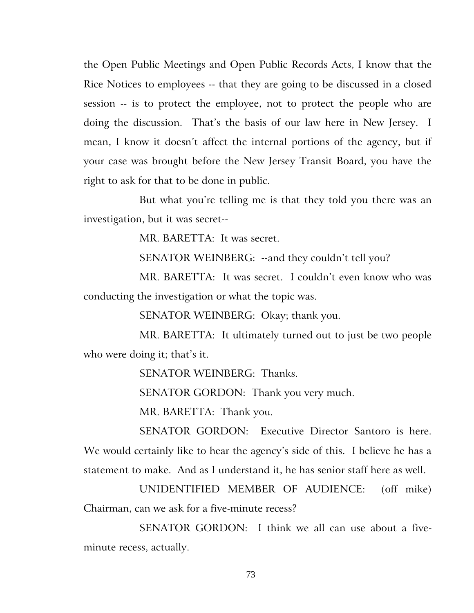the Open Public Meetings and Open Public Records Acts, I know that the Rice Notices to employees -- that they are going to be discussed in a closed session -- is to protect the employee, not to protect the people who are doing the discussion. That's the basis of our law here in New Jersey. I mean, I know it doesn't affect the internal portions of the agency, but if your case was brought before the New Jersey Transit Board, you have the right to ask for that to be done in public.

But what you're telling me is that they told you there was an investigation, but it was secret--

MR. BARETTA: It was secret.

SENATOR WEINBERG: -- and they couldn't tell you?

MR. BARETTA: It was secret. I couldn't even know who was conducting the investigation or what the topic was.

SENATOR WEINBERG: Okay; thank you.

MR. BARETTA: It ultimately turned out to just be two people who were doing it; that's it.

SENATOR WEINBERG: Thanks.

SENATOR GORDON: Thank you very much.

MR. BARETTA: Thank you.

SENATOR GORDON: Executive Director Santoro is here. We would certainly like to hear the agency's side of this. I believe he has a statement to make. And as I understand it, he has senior staff here as well.

UNIDENTIFIED MEMBER OF AUDIENCE: (off mike) Chairman, can we ask for a five-minute recess?

SENATOR GORDON: I think we all can use about a fiveminute recess, actually.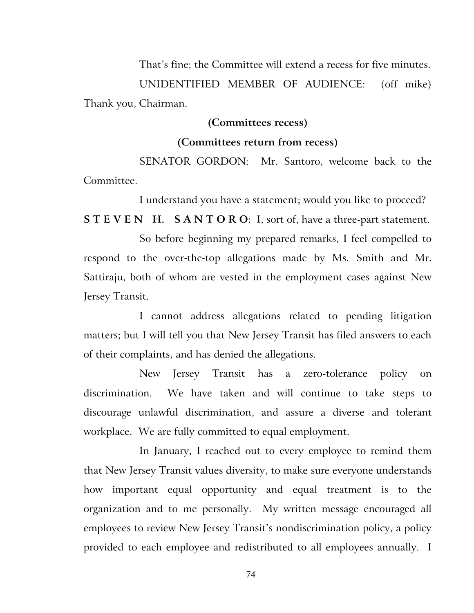That's fine; the Committee will extend a recess for five minutes.

UNIDENTIFIED MEMBER OF AUDIENCE: (off mike) Thank you, Chairman.

## **(Committees recess)**

## **(Committees return from recess)**

SENATOR GORDON: Mr. Santoro, welcome back to the Committee.

I understand you have a statement; would you like to proceed?

**STEVEN H. SANTORO:** I, sort of, have a three-part statement.

So before beginning my prepared remarks, I feel compelled to respond to the over-the-top allegations made by Ms. Smith and Mr. Sattiraju, both of whom are vested in the employment cases against New Jersey Transit.

I cannot address allegations related to pending litigation matters; but I will tell you that New Jersey Transit has filed answers to each of their complaints, and has denied the allegations.

New Jersey Transit has a zero-tolerance policy on discrimination. We have taken and will continue to take steps to discourage unlawful discrimination, and assure a diverse and tolerant workplace. We are fully committed to equal employment.

In January, I reached out to every employee to remind them that New Jersey Transit values diversity, to make sure everyone understands how important equal opportunity and equal treatment is to the organization and to me personally. My written message encouraged all employees to review New Jersey Transit's nondiscrimination policy, a policy provided to each employee and redistributed to all employees annually. I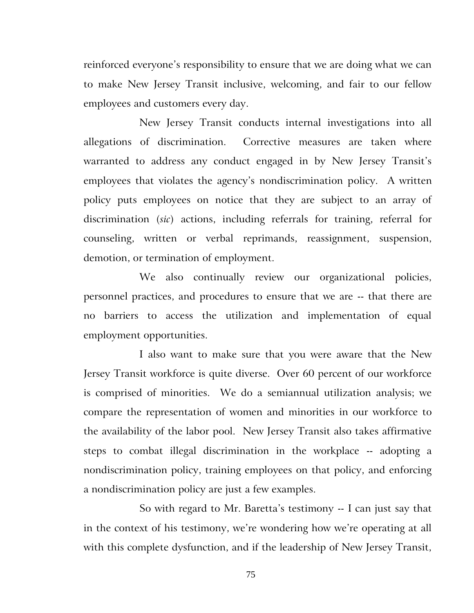reinforced everyone's responsibility to ensure that we are doing what we can to make New Jersey Transit inclusive, welcoming, and fair to our fellow employees and customers every day.

New Jersey Transit conducts internal investigations into all allegations of discrimination. Corrective measures are taken where warranted to address any conduct engaged in by New Jersey Transit's employees that violates the agency's nondiscrimination policy. A written policy puts employees on notice that they are subject to an array of discrimination (*sic*) actions, including referrals for training, referral for counseling, written or verbal reprimands, reassignment, suspension, demotion, or termination of employment.

We also continually review our organizational policies, personnel practices, and procedures to ensure that we are -- that there are no barriers to access the utilization and implementation of equal employment opportunities.

I also want to make sure that you were aware that the New Jersey Transit workforce is quite diverse. Over 60 percent of our workforce is comprised of minorities. We do a semiannual utilization analysis; we compare the representation of women and minorities in our workforce to the availability of the labor pool. New Jersey Transit also takes affirmative steps to combat illegal discrimination in the workplace -- adopting a nondiscrimination policy, training employees on that policy, and enforcing a nondiscrimination policy are just a few examples.

So with regard to Mr. Baretta's testimony -- I can just say that in the context of his testimony, we're wondering how we're operating at all with this complete dysfunction, and if the leadership of New Jersey Transit,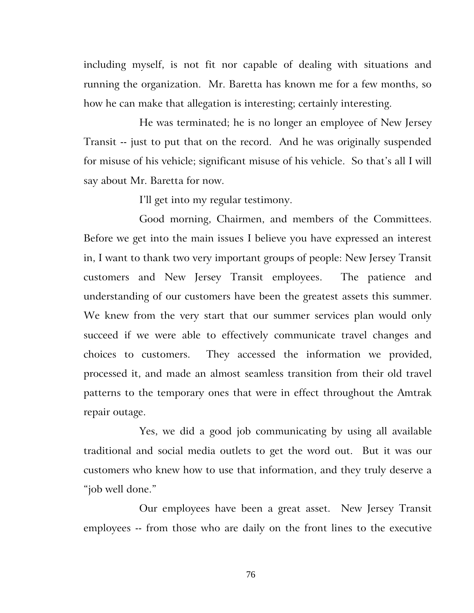including myself, is not fit nor capable of dealing with situations and running the organization. Mr. Baretta has known me for a few months, so how he can make that allegation is interesting; certainly interesting.

He was terminated; he is no longer an employee of New Jersey Transit -- just to put that on the record. And he was originally suspended for misuse of his vehicle; significant misuse of his vehicle. So that's all I will say about Mr. Baretta for now.

I'll get into my regular testimony.

Good morning, Chairmen, and members of the Committees. Before we get into the main issues I believe you have expressed an interest in, I want to thank two very important groups of people: New Jersey Transit customers and New Jersey Transit employees. The patience and understanding of our customers have been the greatest assets this summer. We knew from the very start that our summer services plan would only succeed if we were able to effectively communicate travel changes and choices to customers. They accessed the information we provided, processed it, and made an almost seamless transition from their old travel patterns to the temporary ones that were in effect throughout the Amtrak repair outage.

Yes, we did a good job communicating by using all available traditional and social media outlets to get the word out. But it was our customers who knew how to use that information, and they truly deserve a "job well done."

Our employees have been a great asset. New Jersey Transit employees -- from those who are daily on the front lines to the executive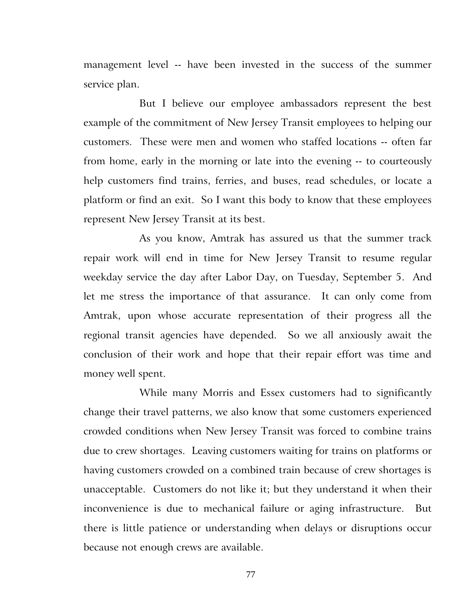management level -- have been invested in the success of the summer service plan.

But I believe our employee ambassadors represent the best example of the commitment of New Jersey Transit employees to helping our customers. These were men and women who staffed locations -- often far from home, early in the morning or late into the evening -- to courteously help customers find trains, ferries, and buses, read schedules, or locate a platform or find an exit. So I want this body to know that these employees represent New Jersey Transit at its best.

As you know, Amtrak has assured us that the summer track repair work will end in time for New Jersey Transit to resume regular weekday service the day after Labor Day, on Tuesday, September 5. And let me stress the importance of that assurance. It can only come from Amtrak, upon whose accurate representation of their progress all the regional transit agencies have depended. So we all anxiously await the conclusion of their work and hope that their repair effort was time and money well spent.

While many Morris and Essex customers had to significantly change their travel patterns, we also know that some customers experienced crowded conditions when New Jersey Transit was forced to combine trains due to crew shortages. Leaving customers waiting for trains on platforms or having customers crowded on a combined train because of crew shortages is unacceptable. Customers do not like it; but they understand it when their inconvenience is due to mechanical failure or aging infrastructure. But there is little patience or understanding when delays or disruptions occur because not enough crews are available.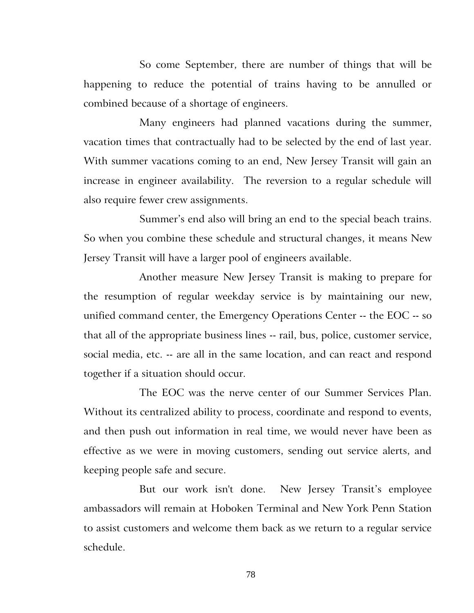So come September, there are number of things that will be happening to reduce the potential of trains having to be annulled or combined because of a shortage of engineers.

Many engineers had planned vacations during the summer, vacation times that contractually had to be selected by the end of last year. With summer vacations coming to an end, New Jersey Transit will gain an increase in engineer availability. The reversion to a regular schedule will also require fewer crew assignments.

Summer's end also will bring an end to the special beach trains. So when you combine these schedule and structural changes, it means New Jersey Transit will have a larger pool of engineers available.

Another measure New Jersey Transit is making to prepare for the resumption of regular weekday service is by maintaining our new, unified command center, the Emergency Operations Center -- the EOC -- so that all of the appropriate business lines -- rail, bus, police, customer service, social media, etc. -- are all in the same location, and can react and respond together if a situation should occur.

The EOC was the nerve center of our Summer Services Plan. Without its centralized ability to process, coordinate and respond to events, and then push out information in real time, we would never have been as effective as we were in moving customers, sending out service alerts, and keeping people safe and secure.

But our work isn't done. New Jersey Transit's employee ambassadors will remain at Hoboken Terminal and New York Penn Station to assist customers and welcome them back as we return to a regular service schedule.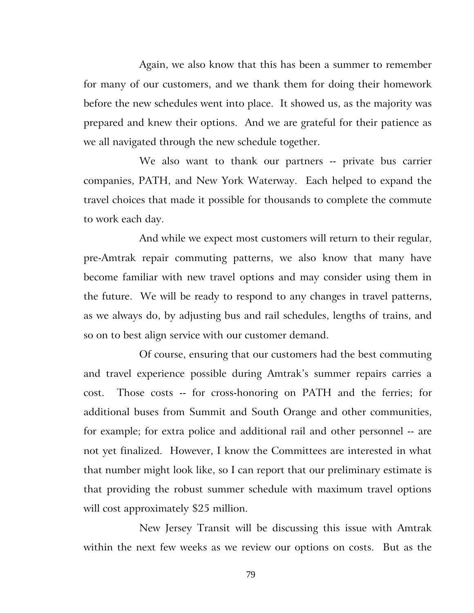Again, we also know that this has been a summer to remember for many of our customers, and we thank them for doing their homework before the new schedules went into place. It showed us, as the majority was prepared and knew their options. And we are grateful for their patience as we all navigated through the new schedule together.

We also want to thank our partners -- private bus carrier companies, PATH, and New York Waterway. Each helped to expand the travel choices that made it possible for thousands to complete the commute to work each day.

And while we expect most customers will return to their regular, pre-Amtrak repair commuting patterns, we also know that many have become familiar with new travel options and may consider using them in the future. We will be ready to respond to any changes in travel patterns, as we always do, by adjusting bus and rail schedules, lengths of trains, and so on to best align service with our customer demand.

Of course, ensuring that our customers had the best commuting and travel experience possible during Amtrak's summer repairs carries a cost. Those costs -- for cross-honoring on PATH and the ferries; for additional buses from Summit and South Orange and other communities, for example; for extra police and additional rail and other personnel -- are not yet finalized. However, I know the Committees are interested in what that number might look like, so I can report that our preliminary estimate is that providing the robust summer schedule with maximum travel options will cost approximately \$25 million.

New Jersey Transit will be discussing this issue with Amtrak within the next few weeks as we review our options on costs. But as the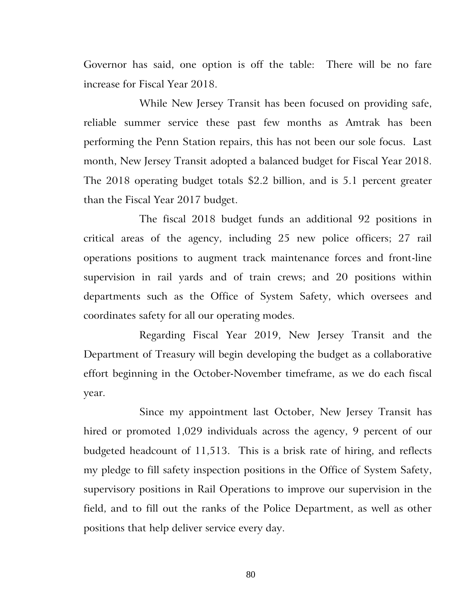Governor has said, one option is off the table: There will be no fare increase for Fiscal Year 2018.

While New Jersey Transit has been focused on providing safe, reliable summer service these past few months as Amtrak has been performing the Penn Station repairs, this has not been our sole focus. Last month, New Jersey Transit adopted a balanced budget for Fiscal Year 2018. The 2018 operating budget totals \$2.2 billion, and is 5.1 percent greater than the Fiscal Year 2017 budget.

The fiscal 2018 budget funds an additional 92 positions in critical areas of the agency, including 25 new police officers; 27 rail operations positions to augment track maintenance forces and front-line supervision in rail yards and of train crews; and 20 positions within departments such as the Office of System Safety, which oversees and coordinates safety for all our operating modes.

Regarding Fiscal Year 2019, New Jersey Transit and the Department of Treasury will begin developing the budget as a collaborative effort beginning in the October-November timeframe, as we do each fiscal year.

Since my appointment last October, New Jersey Transit has hired or promoted 1,029 individuals across the agency, 9 percent of our budgeted headcount of 11,513. This is a brisk rate of hiring, and reflects my pledge to fill safety inspection positions in the Office of System Safety, supervisory positions in Rail Operations to improve our supervision in the field, and to fill out the ranks of the Police Department, as well as other positions that help deliver service every day.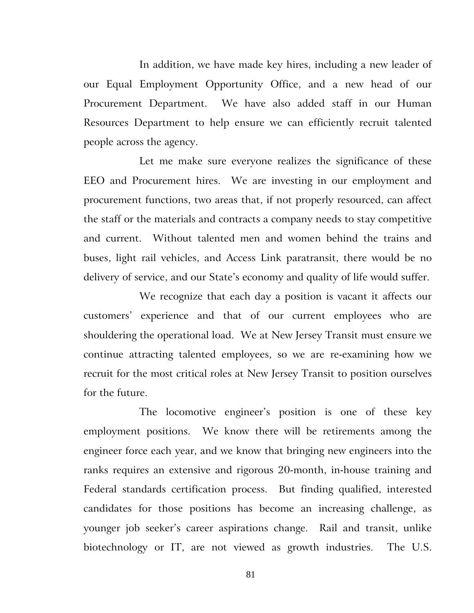In addition, we have made key hires, including a new leader of our Equal Employment Opportunity Office, and a new head of our Procurement Department. We have also added staff in our Human Resources Department to help ensure we can efficiently recruit talented people across the agency.

Let me make sure everyone realizes the significance of these EEO and Procurement hires. We are investing in our employment and procurement functions, two areas that, if not properly resourced, can affect the staff or the materials and contracts a company needs to stay competitive and current. Without talented men and women behind the trains and buses, light rail vehicles, and Access Link paratransit, there would be no delivery of service, and our State's economy and quality of life would suffer.

We recognize that each day a position is vacant it affects our customers' experience and that of our current employees who are shouldering the operational load. We at New Jersey Transit must ensure we continue attracting talented employees, so we are re-examining how we recruit for the most critical roles at New Jersey Transit to position ourselves for the future.

The locomotive engineer's position is one of these key employment positions. We know there will be retirements among the engineer force each year, and we know that bringing new engineers into the ranks requires an extensive and rigorous 20-month, in-house training and Federal standards certification process. But finding qualified, interested candidates for those positions has become an increasing challenge, as younger job seeker's career aspirations change. Rail and transit, unlike biotechnology or IT, are not viewed as growth industries. The U.S.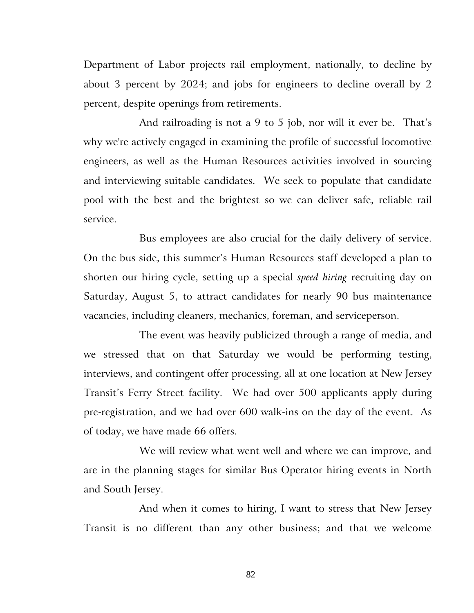Department of Labor projects rail employment, nationally, to decline by about 3 percent by 2024; and jobs for engineers to decline overall by 2 percent, despite openings from retirements.

And railroading is not a 9 to 5 job, nor will it ever be. That's why we're actively engaged in examining the profile of successful locomotive engineers, as well as the Human Resources activities involved in sourcing and interviewing suitable candidates. We seek to populate that candidate pool with the best and the brightest so we can deliver safe, reliable rail service.

Bus employees are also crucial for the daily delivery of service. On the bus side, this summer's Human Resources staff developed a plan to shorten our hiring cycle, setting up a special *speed hiring* recruiting day on Saturday, August 5, to attract candidates for nearly 90 bus maintenance vacancies, including cleaners, mechanics, foreman, and serviceperson.

The event was heavily publicized through a range of media, and we stressed that on that Saturday we would be performing testing, interviews, and contingent offer processing, all at one location at New Jersey Transit's Ferry Street facility. We had over 500 applicants apply during pre-registration, and we had over 600 walk-ins on the day of the event. As of today, we have made 66 offers.

We will review what went well and where we can improve, and are in the planning stages for similar Bus Operator hiring events in North and South Jersey.

And when it comes to hiring, I want to stress that New Jersey Transit is no different than any other business; and that we welcome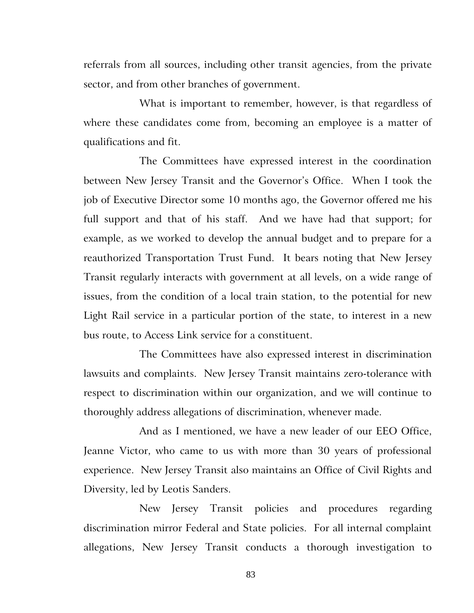referrals from all sources, including other transit agencies, from the private sector, and from other branches of government.

What is important to remember, however, is that regardless of where these candidates come from, becoming an employee is a matter of qualifications and fit.

The Committees have expressed interest in the coordination between New Jersey Transit and the Governor's Office. When I took the job of Executive Director some 10 months ago, the Governor offered me his full support and that of his staff. And we have had that support; for example, as we worked to develop the annual budget and to prepare for a reauthorized Transportation Trust Fund. It bears noting that New Jersey Transit regularly interacts with government at all levels, on a wide range of issues, from the condition of a local train station, to the potential for new Light Rail service in a particular portion of the state, to interest in a new bus route, to Access Link service for a constituent.

The Committees have also expressed interest in discrimination lawsuits and complaints. New Jersey Transit maintains zero-tolerance with respect to discrimination within our organization, and we will continue to thoroughly address allegations of discrimination, whenever made.

And as I mentioned, we have a new leader of our EEO Office, Jeanne Victor, who came to us with more than 30 years of professional experience. New Jersey Transit also maintains an Office of Civil Rights and Diversity, led by Leotis Sanders.

New Jersey Transit policies and procedures regarding discrimination mirror Federal and State policies. For all internal complaint allegations, New Jersey Transit conducts a thorough investigation to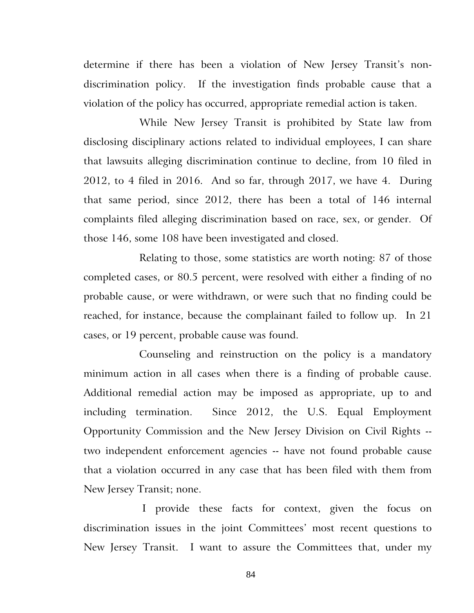determine if there has been a violation of New Jersey Transit's nondiscrimination policy. If the investigation finds probable cause that a violation of the policy has occurred, appropriate remedial action is taken.

While New Jersey Transit is prohibited by State law from disclosing disciplinary actions related to individual employees, I can share that lawsuits alleging discrimination continue to decline, from 10 filed in 2012, to 4 filed in 2016. And so far, through 2017, we have 4. During that same period, since 2012, there has been a total of 146 internal complaints filed alleging discrimination based on race, sex, or gender. Of those 146, some 108 have been investigated and closed.

Relating to those, some statistics are worth noting: 87 of those completed cases, or 80.5 percent, were resolved with either a finding of no probable cause, or were withdrawn, or were such that no finding could be reached, for instance, because the complainant failed to follow up. In 21 cases, or 19 percent, probable cause was found.

Counseling and reinstruction on the policy is a mandatory minimum action in all cases when there is a finding of probable cause. Additional remedial action may be imposed as appropriate, up to and including termination. Since 2012, the U.S. Equal Employment Opportunity Commission and the New Jersey Division on Civil Rights - two independent enforcement agencies -- have not found probable cause that a violation occurred in any case that has been filed with them from New Jersey Transit; none.

 I provide these facts for context, given the focus on discrimination issues in the joint Committees' most recent questions to New Jersey Transit. I want to assure the Committees that, under my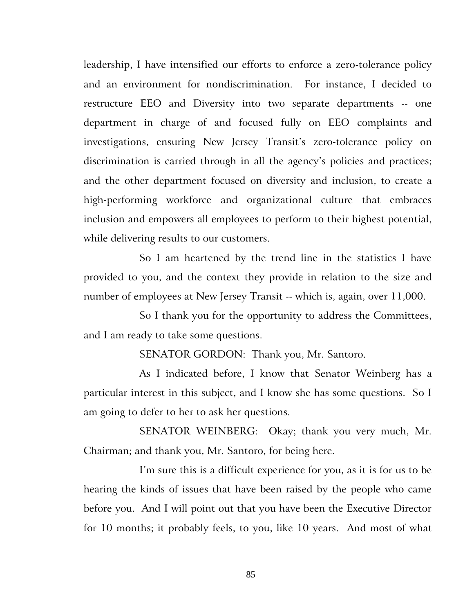leadership, I have intensified our efforts to enforce a zero-tolerance policy and an environment for nondiscrimination. For instance, I decided to restructure EEO and Diversity into two separate departments -- one department in charge of and focused fully on EEO complaints and investigations, ensuring New Jersey Transit's zero-tolerance policy on discrimination is carried through in all the agency's policies and practices; and the other department focused on diversity and inclusion, to create a high-performing workforce and organizational culture that embraces inclusion and empowers all employees to perform to their highest potential, while delivering results to our customers.

So I am heartened by the trend line in the statistics I have provided to you, and the context they provide in relation to the size and number of employees at New Jersey Transit -- which is, again, over 11,000.

So I thank you for the opportunity to address the Committees, and I am ready to take some questions.

SENATOR GORDON: Thank you, Mr. Santoro.

As I indicated before, I know that Senator Weinberg has a particular interest in this subject, and I know she has some questions. So I am going to defer to her to ask her questions.

SENATOR WEINBERG: Okay; thank you very much, Mr. Chairman; and thank you, Mr. Santoro, for being here.

I'm sure this is a difficult experience for you, as it is for us to be hearing the kinds of issues that have been raised by the people who came before you. And I will point out that you have been the Executive Director for 10 months; it probably feels, to you, like 10 years. And most of what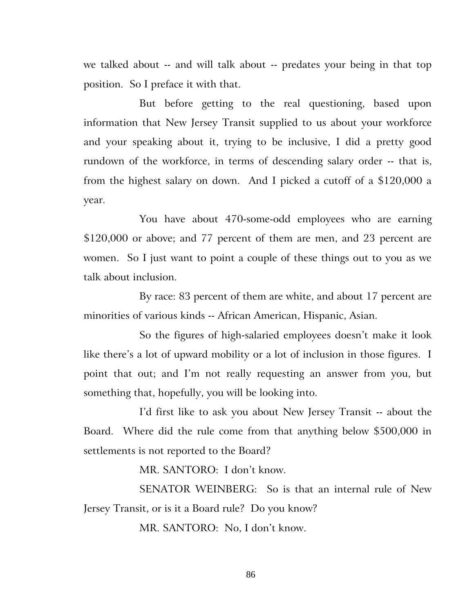we talked about -- and will talk about -- predates your being in that top position. So I preface it with that.

But before getting to the real questioning, based upon information that New Jersey Transit supplied to us about your workforce and your speaking about it, trying to be inclusive, I did a pretty good rundown of the workforce, in terms of descending salary order -- that is, from the highest salary on down. And I picked a cutoff of a \$120,000 a year.

You have about 470-some-odd employees who are earning \$120,000 or above; and 77 percent of them are men, and 23 percent are women. So I just want to point a couple of these things out to you as we talk about inclusion.

By race: 83 percent of them are white, and about 17 percent are minorities of various kinds -- African American, Hispanic, Asian.

So the figures of high-salaried employees doesn't make it look like there's a lot of upward mobility or a lot of inclusion in those figures. I point that out; and I'm not really requesting an answer from you, but something that, hopefully, you will be looking into.

I'd first like to ask you about New Jersey Transit -- about the Board. Where did the rule come from that anything below \$500,000 in settlements is not reported to the Board?

MR. SANTORO: I don't know.

SENATOR WEINBERG: So is that an internal rule of New Jersey Transit, or is it a Board rule? Do you know?

MR. SANTORO: No, I don't know.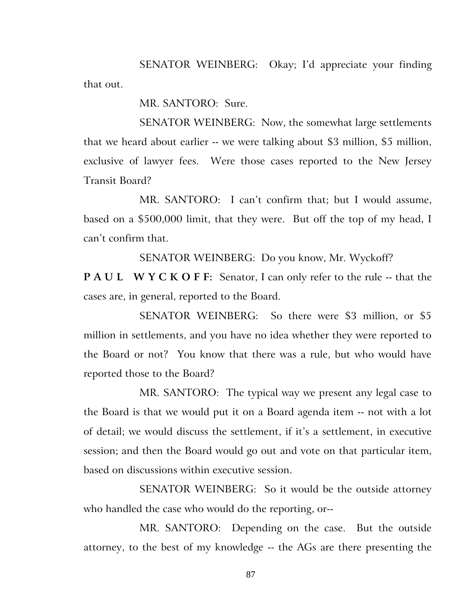SENATOR WEINBERG: Okay; I'd appreciate your finding that out.

MR. SANTORO: Sure.

SENATOR WEINBERG: Now, the somewhat large settlements that we heard about earlier -- we were talking about \$3 million, \$5 million, exclusive of lawyer fees. Were those cases reported to the New Jersey Transit Board?

MR. SANTORO: I can't confirm that; but I would assume, based on a \$500,000 limit, that they were. But off the top of my head, I can't confirm that.

SENATOR WEINBERG: Do you know, Mr. Wyckoff?

**P A U L W Y C K O F F:** Senator, I can only refer to the rule -- that the cases are, in general, reported to the Board.

SENATOR WEINBERG: So there were \$3 million, or \$5 million in settlements, and you have no idea whether they were reported to the Board or not? You know that there was a rule, but who would have reported those to the Board?

MR. SANTORO: The typical way we present any legal case to the Board is that we would put it on a Board agenda item -- not with a lot of detail; we would discuss the settlement, if it's a settlement, in executive session; and then the Board would go out and vote on that particular item, based on discussions within executive session.

SENATOR WEINBERG: So it would be the outside attorney who handled the case who would do the reporting, or--

MR. SANTORO: Depending on the case. But the outside attorney, to the best of my knowledge -- the AGs are there presenting the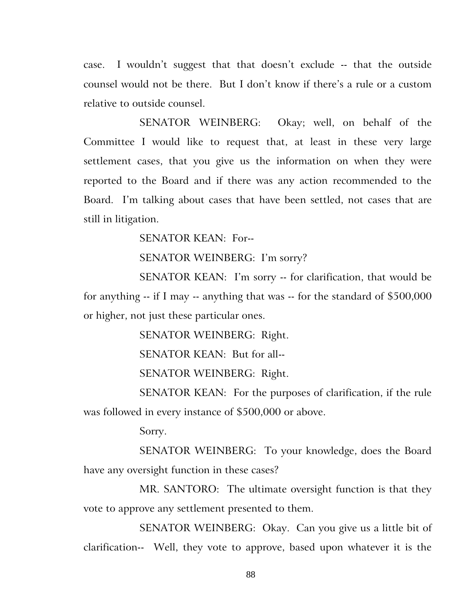case. I wouldn't suggest that that doesn't exclude -- that the outside counsel would not be there. But I don't know if there's a rule or a custom relative to outside counsel.

SENATOR WEINBERG: Okay; well, on behalf of the Committee I would like to request that, at least in these very large settlement cases, that you give us the information on when they were reported to the Board and if there was any action recommended to the Board. I'm talking about cases that have been settled, not cases that are still in litigation.

SENATOR KEAN: For--

SENATOR WEINBERG: I'm sorry?

SENATOR KEAN: I'm sorry -- for clarification, that would be for anything -- if I may -- anything that was -- for the standard of \$500,000 or higher, not just these particular ones.

SENATOR WEINBERG: Right.

SENATOR KEAN: But for all--

SENATOR WEINBERG: Right.

SENATOR KEAN: For the purposes of clarification, if the rule was followed in every instance of \$500,000 or above.

Sorry.

SENATOR WEINBERG: To your knowledge, does the Board have any oversight function in these cases?

MR. SANTORO: The ultimate oversight function is that they vote to approve any settlement presented to them.

SENATOR WEINBERG: Okay. Can you give us a little bit of clarification-- Well, they vote to approve, based upon whatever it is the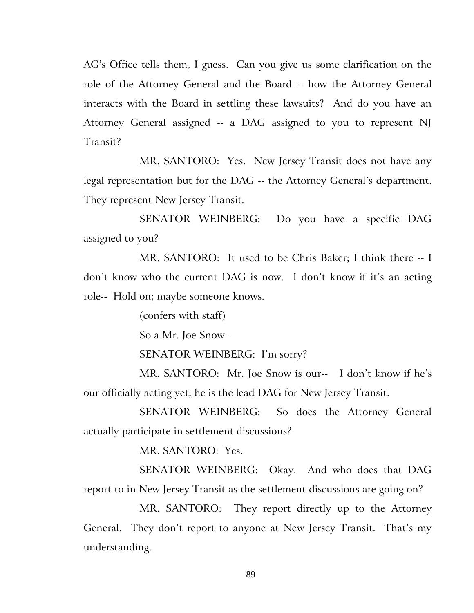AG's Office tells them, I guess. Can you give us some clarification on the role of the Attorney General and the Board -- how the Attorney General interacts with the Board in settling these lawsuits? And do you have an Attorney General assigned -- a DAG assigned to you to represent NJ Transit?

MR. SANTORO: Yes. New Jersey Transit does not have any legal representation but for the DAG -- the Attorney General's department. They represent New Jersey Transit.

SENATOR WEINBERG: Do you have a specific DAG assigned to you?

MR. SANTORO: It used to be Chris Baker; I think there -- I don't know who the current DAG is now. I don't know if it's an acting role-- Hold on; maybe someone knows.

(confers with staff)

So a Mr. Joe Snow--

SENATOR WEINBERG: I'm sorry?

MR. SANTORO: Mr. Joe Snow is our-- I don't know if he's our officially acting yet; he is the lead DAG for New Jersey Transit.

SENATOR WEINBERG: So does the Attorney General actually participate in settlement discussions?

MR. SANTORO: Yes.

SENATOR WEINBERG: Okay. And who does that DAG report to in New Jersey Transit as the settlement discussions are going on?

MR. SANTORO: They report directly up to the Attorney General. They don't report to anyone at New Jersey Transit. That's my understanding.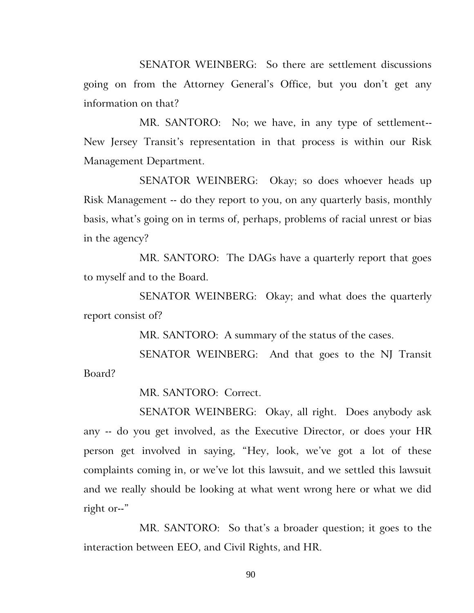SENATOR WEINBERG: So there are settlement discussions going on from the Attorney General's Office, but you don't get any information on that?

MR. SANTORO: No; we have, in any type of settlement-- New Jersey Transit's representation in that process is within our Risk Management Department.

SENATOR WEINBERG: Okay; so does whoever heads up Risk Management -- do they report to you, on any quarterly basis, monthly basis, what's going on in terms of, perhaps, problems of racial unrest or bias in the agency?

MR. SANTORO: The DAGs have a quarterly report that goes to myself and to the Board.

SENATOR WEINBERG: Okay; and what does the quarterly report consist of?

MR. SANTORO: A summary of the status of the cases.

SENATOR WEINBERG: And that goes to the NJ Transit Board?

MR. SANTORO: Correct.

SENATOR WEINBERG: Okay, all right. Does anybody ask any -- do you get involved, as the Executive Director, or does your HR person get involved in saying, "Hey, look, we've got a lot of these complaints coming in, or we've lot this lawsuit, and we settled this lawsuit and we really should be looking at what went wrong here or what we did right or--"

MR. SANTORO: So that's a broader question; it goes to the interaction between EEO, and Civil Rights, and HR.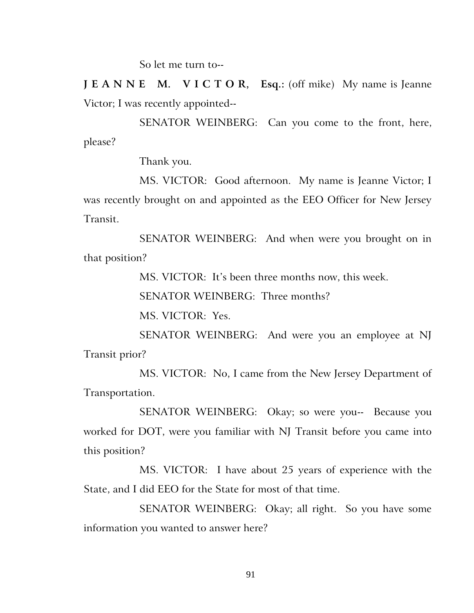So let me turn to--

**J E A N N E M. V I C T O R, Esq.:** (off mike) My name is Jeanne Victor; I was recently appointed--

SENATOR WEINBERG: Can you come to the front, here, please?

Thank you.

MS. VICTOR: Good afternoon. My name is Jeanne Victor; I was recently brought on and appointed as the EEO Officer for New Jersey Transit.

SENATOR WEINBERG: And when were you brought on in that position?

MS. VICTOR: It's been three months now, this week.

SENATOR WEINBERG: Three months?

MS. VICTOR: Yes.

SENATOR WEINBERG: And were you an employee at NJ Transit prior?

MS. VICTOR: No, I came from the New Jersey Department of Transportation.

SENATOR WEINBERG: Okay; so were you-- Because you worked for DOT, were you familiar with NJ Transit before you came into this position?

MS. VICTOR: I have about 25 years of experience with the State, and I did EEO for the State for most of that time.

SENATOR WEINBERG: Okay; all right. So you have some information you wanted to answer here?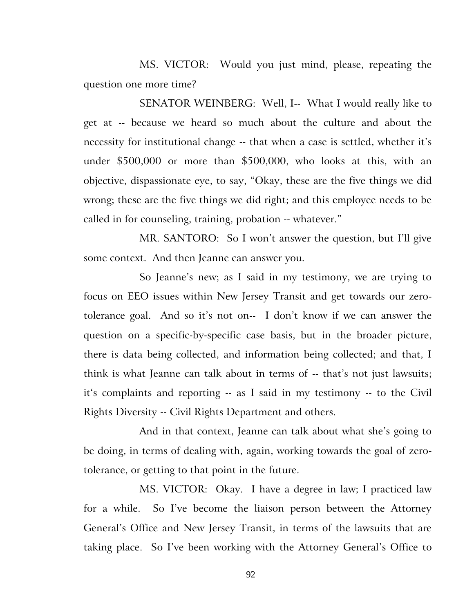MS. VICTOR: Would you just mind, please, repeating the question one more time?

SENATOR WEINBERG: Well, I-- What I would really like to get at -- because we heard so much about the culture and about the necessity for institutional change -- that when a case is settled, whether it's under \$500,000 or more than \$500,000, who looks at this, with an objective, dispassionate eye, to say, "Okay, these are the five things we did wrong; these are the five things we did right; and this employee needs to be called in for counseling, training, probation -- whatever."

MR. SANTORO: So I won't answer the question, but I'll give some context. And then Jeanne can answer you.

So Jeanne's new; as I said in my testimony, we are trying to focus on EEO issues within New Jersey Transit and get towards our zerotolerance goal. And so it's not on-- I don't know if we can answer the question on a specific-by-specific case basis, but in the broader picture, there is data being collected, and information being collected; and that, I think is what Jeanne can talk about in terms of -- that's not just lawsuits; it's complaints and reporting -- as I said in my testimony -- to the Civil Rights Diversity -- Civil Rights Department and others.

And in that context, Jeanne can talk about what she's going to be doing, in terms of dealing with, again, working towards the goal of zerotolerance, or getting to that point in the future.

MS. VICTOR: Okay. I have a degree in law; I practiced law for a while. So I've become the liaison person between the Attorney General's Office and New Jersey Transit, in terms of the lawsuits that are taking place. So I've been working with the Attorney General's Office to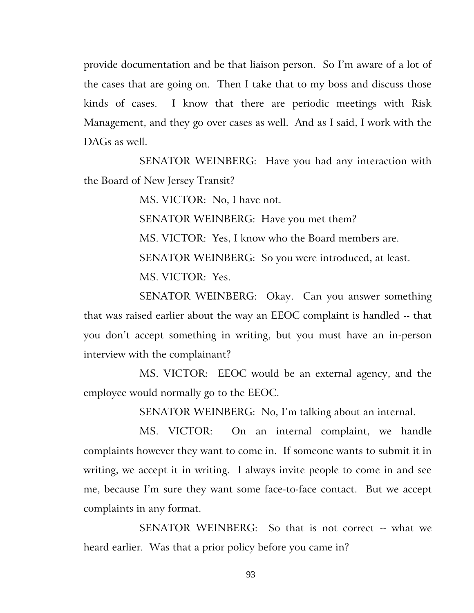provide documentation and be that liaison person. So I'm aware of a lot of the cases that are going on. Then I take that to my boss and discuss those kinds of cases. I know that there are periodic meetings with Risk Management, and they go over cases as well. And as I said, I work with the DAGs as well.

SENATOR WEINBERG: Have you had any interaction with the Board of New Jersey Transit?

MS. VICTOR: No, I have not.

SENATOR WEINBERG: Have you met them?

MS. VICTOR: Yes, I know who the Board members are.

SENATOR WEINBERG: So you were introduced, at least.

MS. VICTOR: Yes.

SENATOR WEINBERG: Okay. Can you answer something that was raised earlier about the way an EEOC complaint is handled -- that you don't accept something in writing, but you must have an in-person interview with the complainant?

MS. VICTOR: EEOC would be an external agency, and the employee would normally go to the EEOC.

SENATOR WEINBERG: No, I'm talking about an internal.

MS. VICTOR: On an internal complaint, we handle complaints however they want to come in. If someone wants to submit it in writing, we accept it in writing. I always invite people to come in and see me, because I'm sure they want some face-to-face contact. But we accept complaints in any format.

SENATOR WEINBERG: So that is not correct -- what we heard earlier. Was that a prior policy before you came in?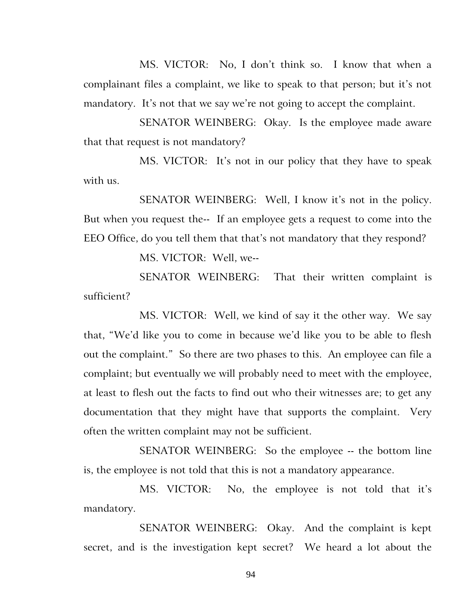MS. VICTOR: No, I don't think so. I know that when a complainant files a complaint, we like to speak to that person; but it's not mandatory. It's not that we say we're not going to accept the complaint.

SENATOR WEINBERG: Okay. Is the employee made aware that that request is not mandatory?

MS. VICTOR: It's not in our policy that they have to speak with us.

SENATOR WEINBERG: Well, I know it's not in the policy. But when you request the-- If an employee gets a request to come into the EEO Office, do you tell them that that's not mandatory that they respond?

MS. VICTOR: Well, we--

SENATOR WEINBERG: That their written complaint is sufficient?

MS. VICTOR: Well, we kind of say it the other way. We say that, "We'd like you to come in because we'd like you to be able to flesh out the complaint." So there are two phases to this. An employee can file a complaint; but eventually we will probably need to meet with the employee, at least to flesh out the facts to find out who their witnesses are; to get any documentation that they might have that supports the complaint. Very often the written complaint may not be sufficient.

SENATOR WEINBERG: So the employee -- the bottom line is, the employee is not told that this is not a mandatory appearance.

MS. VICTOR: No, the employee is not told that it's mandatory.

SENATOR WEINBERG: Okay. And the complaint is kept secret, and is the investigation kept secret? We heard a lot about the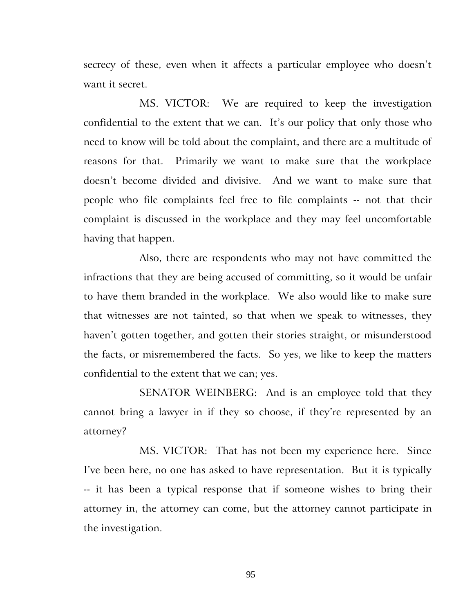secrecy of these, even when it affects a particular employee who doesn't want it secret.

MS. VICTOR: We are required to keep the investigation confidential to the extent that we can. It's our policy that only those who need to know will be told about the complaint, and there are a multitude of reasons for that. Primarily we want to make sure that the workplace doesn't become divided and divisive. And we want to make sure that people who file complaints feel free to file complaints -- not that their complaint is discussed in the workplace and they may feel uncomfortable having that happen.

Also, there are respondents who may not have committed the infractions that they are being accused of committing, so it would be unfair to have them branded in the workplace. We also would like to make sure that witnesses are not tainted, so that when we speak to witnesses, they haven't gotten together, and gotten their stories straight, or misunderstood the facts, or misremembered the facts. So yes, we like to keep the matters confidential to the extent that we can; yes.

SENATOR WEINBERG: And is an employee told that they cannot bring a lawyer in if they so choose, if they're represented by an attorney?

MS. VICTOR: That has not been my experience here. Since I've been here, no one has asked to have representation. But it is typically -- it has been a typical response that if someone wishes to bring their attorney in, the attorney can come, but the attorney cannot participate in the investigation.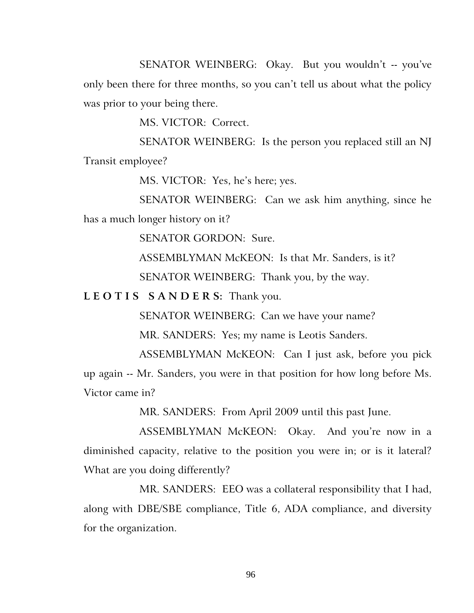SENATOR WEINBERG: Okay. But you wouldn't -- you've only been there for three months, so you can't tell us about what the policy was prior to your being there.

MS. VICTOR: Correct.

SENATOR WEINBERG: Is the person you replaced still an NJ Transit employee?

MS. VICTOR: Yes, he's here; yes.

SENATOR WEINBERG: Can we ask him anything, since he has a much longer history on it?

SENATOR GORDON: Sure.

ASSEMBLYMAN McKEON: Is that Mr. Sanders, is it?

SENATOR WEINBERG: Thank you, by the way.

**L E O T I S S A N D E R S:** Thank you.

SENATOR WEINBERG: Can we have your name?

MR. SANDERS: Yes; my name is Leotis Sanders.

ASSEMBLYMAN McKEON: Can I just ask, before you pick up again -- Mr. Sanders, you were in that position for how long before Ms. Victor came in?

MR. SANDERS: From April 2009 until this past June.

ASSEMBLYMAN McKEON: Okay. And you're now in a diminished capacity, relative to the position you were in; or is it lateral? What are you doing differently?

MR. SANDERS: EEO was a collateral responsibility that I had, along with DBE/SBE compliance, Title 6, ADA compliance, and diversity for the organization.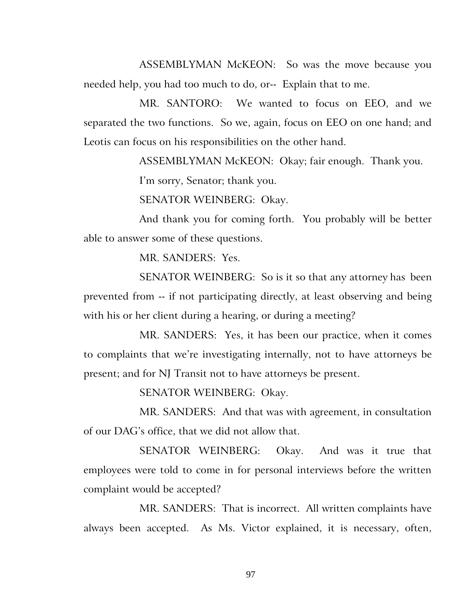ASSEMBLYMAN McKEON: So was the move because you needed help, you had too much to do, or-- Explain that to me.

MR. SANTORO: We wanted to focus on EEO, and we separated the two functions. So we, again, focus on EEO on one hand; and Leotis can focus on his responsibilities on the other hand.

ASSEMBLYMAN McKEON: Okay; fair enough. Thank you.

I'm sorry, Senator; thank you.

SENATOR WEINBERG: Okay.

And thank you for coming forth. You probably will be better able to answer some of these questions.

MR. SANDERS: Yes.

SENATOR WEINBERG: So is it so that any attorney has been prevented from -- if not participating directly, at least observing and being with his or her client during a hearing, or during a meeting?

MR. SANDERS: Yes, it has been our practice, when it comes to complaints that we're investigating internally, not to have attorneys be present; and for NJ Transit not to have attorneys be present.

SENATOR WEINBERG: Okay.

MR. SANDERS: And that was with agreement, in consultation of our DAG's office, that we did not allow that.

SENATOR WEINBERG: Okay. And was it true that employees were told to come in for personal interviews before the written complaint would be accepted?

MR. SANDERS: That is incorrect. All written complaints have always been accepted. As Ms. Victor explained, it is necessary, often,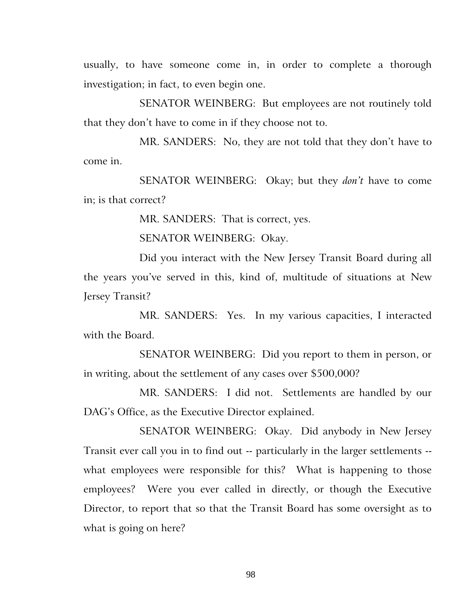usually, to have someone come in, in order to complete a thorough investigation; in fact, to even begin one.

SENATOR WEINBERG: But employees are not routinely told that they don't have to come in if they choose not to.

MR. SANDERS: No, they are not told that they don't have to come in.

SENATOR WEINBERG: Okay; but they *don't* have to come in; is that correct?

MR. SANDERS: That is correct, yes.

SENATOR WEINBERG: Okay.

Did you interact with the New Jersey Transit Board during all the years you've served in this, kind of, multitude of situations at New Jersey Transit?

MR. SANDERS: Yes. In my various capacities, I interacted with the Board.

SENATOR WEINBERG: Did you report to them in person, or in writing, about the settlement of any cases over \$500,000?

MR. SANDERS: I did not. Settlements are handled by our DAG's Office, as the Executive Director explained.

SENATOR WEINBERG: Okay. Did anybody in New Jersey Transit ever call you in to find out -- particularly in the larger settlements - what employees were responsible for this? What is happening to those employees? Were you ever called in directly, or though the Executive Director, to report that so that the Transit Board has some oversight as to what is going on here?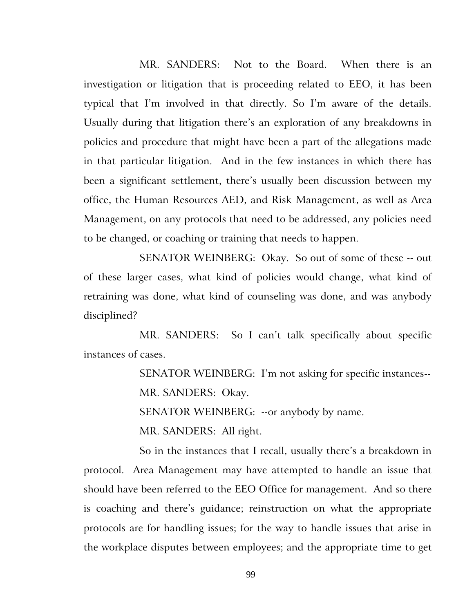MR. SANDERS: Not to the Board. When there is an investigation or litigation that is proceeding related to EEO, it has been typical that I'm involved in that directly. So I'm aware of the details. Usually during that litigation there's an exploration of any breakdowns in policies and procedure that might have been a part of the allegations made in that particular litigation. And in the few instances in which there has been a significant settlement, there's usually been discussion between my office, the Human Resources AED, and Risk Management, as well as Area Management, on any protocols that need to be addressed, any policies need to be changed, or coaching or training that needs to happen.

SENATOR WEINBERG: Okay. So out of some of these -- out of these larger cases, what kind of policies would change, what kind of retraining was done, what kind of counseling was done, and was anybody disciplined?

MR. SANDERS: So I can't talk specifically about specific instances of cases.

SENATOR WEINBERG: I'm not asking for specific instances--

MR. SANDERS: Okay.

SENATOR WEINBERG: --or anybody by name.

MR. SANDERS: All right.

So in the instances that I recall, usually there's a breakdown in protocol. Area Management may have attempted to handle an issue that should have been referred to the EEO Office for management. And so there is coaching and there's guidance; reinstruction on what the appropriate protocols are for handling issues; for the way to handle issues that arise in the workplace disputes between employees; and the appropriate time to get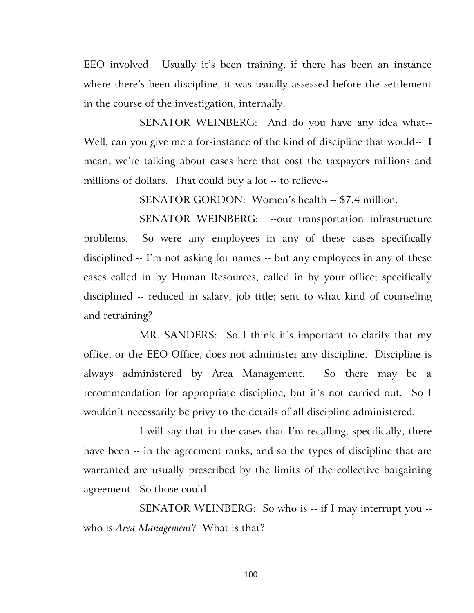EEO involved. Usually it's been training; if there has been an instance where there's been discipline, it was usually assessed before the settlement in the course of the investigation, internally.

SENATOR WEINBERG: And do you have any idea what-- Well, can you give me a for-instance of the kind of discipline that would-- I mean, we're talking about cases here that cost the taxpayers millions and millions of dollars. That could buy a lot -- to relieve--

SENATOR GORDON: Women's health -- \$7.4 million.

SENATOR WEINBERG: --our transportation infrastructure problems. So were any employees in any of these cases specifically disciplined -- I'm not asking for names -- but any employees in any of these cases called in by Human Resources, called in by your office; specifically disciplined -- reduced in salary, job title; sent to what kind of counseling and retraining?

MR. SANDERS: So I think it's important to clarify that my office, or the EEO Office, does not administer any discipline. Discipline is always administered by Area Management. So there may be a recommendation for appropriate discipline, but it's not carried out. So I wouldn't necessarily be privy to the details of all discipline administered.

I will say that in the cases that I'm recalling, specifically, there have been -- in the agreement ranks, and so the types of discipline that are warranted are usually prescribed by the limits of the collective bargaining agreement. So those could--

SENATOR WEINBERG: So who is -- if I may interrupt you - who is *Area Management*? What is that?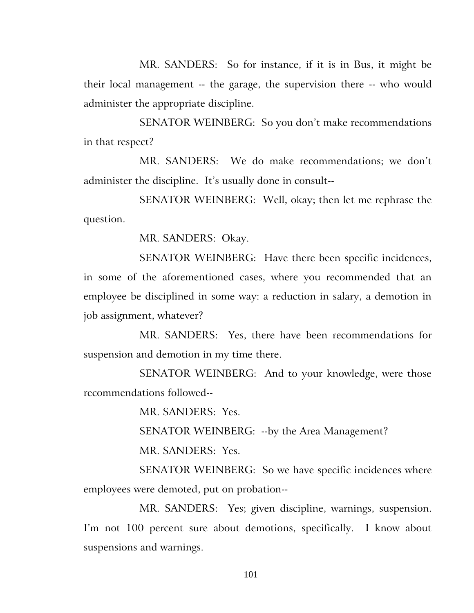MR. SANDERS: So for instance, if it is in Bus, it might be their local management -- the garage, the supervision there -- who would administer the appropriate discipline.

SENATOR WEINBERG: So you don't make recommendations in that respect?

MR. SANDERS: We do make recommendations; we don't administer the discipline. It's usually done in consult--

SENATOR WEINBERG: Well, okay; then let me rephrase the question.

MR. SANDERS: Okay.

SENATOR WEINBERG: Have there been specific incidences, in some of the aforementioned cases, where you recommended that an employee be disciplined in some way: a reduction in salary, a demotion in job assignment, whatever?

MR. SANDERS: Yes, there have been recommendations for suspension and demotion in my time there.

SENATOR WEINBERG: And to your knowledge, were those recommendations followed--

MR. SANDERS: Yes.

SENATOR WEINBERG: --by the Area Management?

MR. SANDERS: Yes.

SENATOR WEINBERG: So we have specific incidences where employees were demoted, put on probation--

MR. SANDERS: Yes; given discipline, warnings, suspension. I'm not 100 percent sure about demotions, specifically. I know about suspensions and warnings.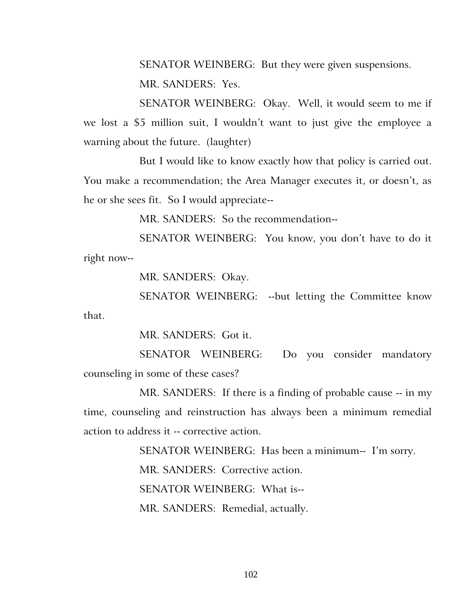SENATOR WEINBERG: But they were given suspensions.

MR. SANDERS: Yes.

SENATOR WEINBERG: Okay. Well, it would seem to me if we lost a \$5 million suit, I wouldn't want to just give the employee a warning about the future. (laughter)

But I would like to know exactly how that policy is carried out. You make a recommendation; the Area Manager executes it, or doesn't, as he or she sees fit. So I would appreciate--

MR. SANDERS: So the recommendation--

SENATOR WEINBERG: You know, you don't have to do it right now--

MR. SANDERS: Okay.

SENATOR WEINBERG: --but letting the Committee know that.

MR. SANDERS: Got it.

SENATOR WEINBERG: Do you consider mandatory counseling in some of these cases?

MR. SANDERS: If there is a finding of probable cause -- in my time, counseling and reinstruction has always been a minimum remedial action to address it -- corrective action.

> SENATOR WEINBERG: Has been a minimum-- I'm sorry. MR. SANDERS: Corrective action. SENATOR WEINBERG: What is-- MR. SANDERS: Remedial, actually.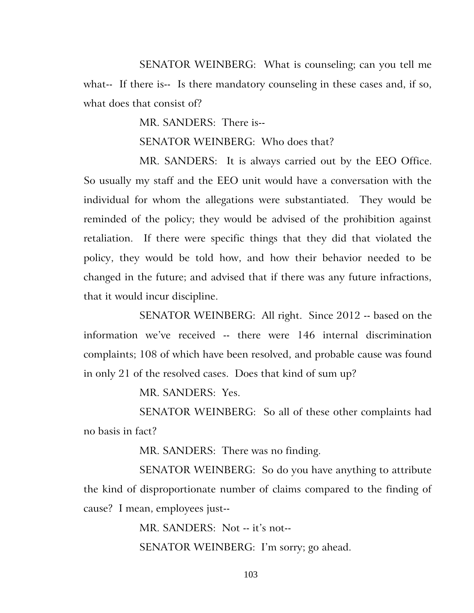SENATOR WEINBERG: What is counseling; can you tell me what-- If there is-- Is there mandatory counseling in these cases and, if so, what does that consist of?

MR. SANDERS: There is--

SENATOR WEINBERG: Who does that?

MR. SANDERS: It is always carried out by the EEO Office. So usually my staff and the EEO unit would have a conversation with the individual for whom the allegations were substantiated. They would be reminded of the policy; they would be advised of the prohibition against retaliation. If there were specific things that they did that violated the policy, they would be told how, and how their behavior needed to be changed in the future; and advised that if there was any future infractions, that it would incur discipline.

SENATOR WEINBERG: All right. Since 2012 -- based on the information we've received -- there were 146 internal discrimination complaints; 108 of which have been resolved, and probable cause was found in only 21 of the resolved cases. Does that kind of sum up?

MR. SANDERS: Yes.

SENATOR WEINBERG: So all of these other complaints had no basis in fact?

MR. SANDERS: There was no finding.

SENATOR WEINBERG: So do you have anything to attribute the kind of disproportionate number of claims compared to the finding of cause? I mean, employees just--

MR. SANDERS: Not -- it's not--

SENATOR WEINBERG: I'm sorry; go ahead.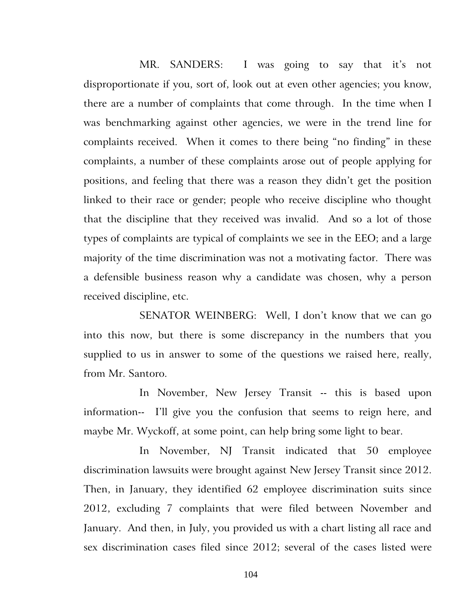MR. SANDERS: I was going to say that it's not disproportionate if you, sort of, look out at even other agencies; you know, there are a number of complaints that come through. In the time when I was benchmarking against other agencies, we were in the trend line for complaints received. When it comes to there being "no finding" in these complaints, a number of these complaints arose out of people applying for positions, and feeling that there was a reason they didn't get the position linked to their race or gender; people who receive discipline who thought that the discipline that they received was invalid. And so a lot of those types of complaints are typical of complaints we see in the EEO; and a large majority of the time discrimination was not a motivating factor. There was a defensible business reason why a candidate was chosen, why a person received discipline, etc.

SENATOR WEINBERG: Well, I don't know that we can go into this now, but there is some discrepancy in the numbers that you supplied to us in answer to some of the questions we raised here, really, from Mr. Santoro.

In November, New Jersey Transit -- this is based upon information-- I'll give you the confusion that seems to reign here, and maybe Mr. Wyckoff, at some point, can help bring some light to bear.

In November, NJ Transit indicated that 50 employee discrimination lawsuits were brought against New Jersey Transit since 2012. Then, in January, they identified 62 employee discrimination suits since 2012, excluding 7 complaints that were filed between November and January. And then, in July, you provided us with a chart listing all race and sex discrimination cases filed since 2012; several of the cases listed were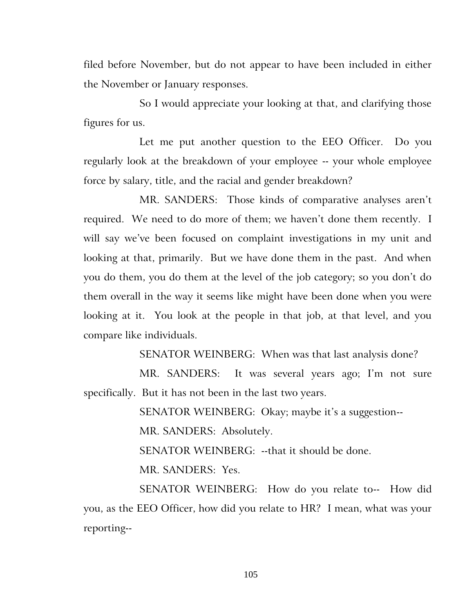filed before November, but do not appear to have been included in either the November or January responses.

So I would appreciate your looking at that, and clarifying those figures for us.

Let me put another question to the EEO Officer. Do you regularly look at the breakdown of your employee -- your whole employee force by salary, title, and the racial and gender breakdown?

MR. SANDERS: Those kinds of comparative analyses aren't required. We need to do more of them; we haven't done them recently. I will say we've been focused on complaint investigations in my unit and looking at that, primarily. But we have done them in the past. And when you do them, you do them at the level of the job category; so you don't do them overall in the way it seems like might have been done when you were looking at it. You look at the people in that job, at that level, and you compare like individuals.

SENATOR WEINBERG: When was that last analysis done?

MR. SANDERS: It was several years ago; I'm not sure specifically. But it has not been in the last two years.

SENATOR WEINBERG: Okay; maybe it's a suggestion--

MR. SANDERS: Absolutely.

SENATOR WEINBERG: --that it should be done.

MR. SANDERS: Yes.

SENATOR WEINBERG: How do you relate to-- How did you, as the EEO Officer, how did you relate to HR? I mean, what was your reporting--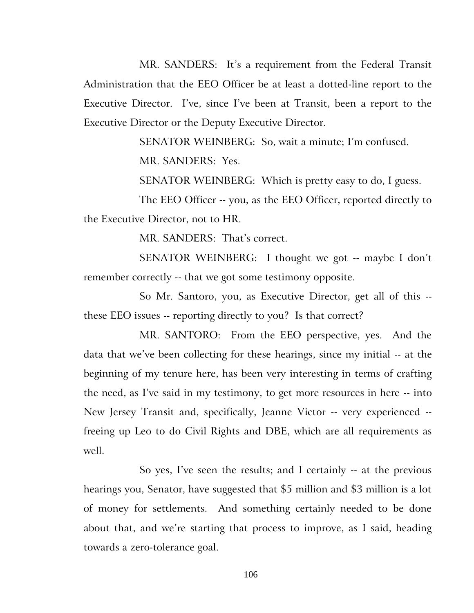MR. SANDERS: It's a requirement from the Federal Transit Administration that the EEO Officer be at least a dotted-line report to the Executive Director. I've, since I've been at Transit, been a report to the Executive Director or the Deputy Executive Director.

SENATOR WEINBERG: So, wait a minute; I'm confused.

MR. SANDERS: Yes.

SENATOR WEINBERG: Which is pretty easy to do, I guess.

The EEO Officer -- you, as the EEO Officer, reported directly to the Executive Director, not to HR.

MR. SANDERS: That's correct.

SENATOR WEINBERG: I thought we got -- maybe I don't remember correctly -- that we got some testimony opposite.

So Mr. Santoro, you, as Executive Director, get all of this - these EEO issues -- reporting directly to you? Is that correct?

MR. SANTORO: From the EEO perspective, yes. And the data that we've been collecting for these hearings, since my initial -- at the beginning of my tenure here, has been very interesting in terms of crafting the need, as I've said in my testimony, to get more resources in here -- into New Jersey Transit and, specifically, Jeanne Victor -- very experienced - freeing up Leo to do Civil Rights and DBE, which are all requirements as well.

So yes, I've seen the results; and I certainly -- at the previous hearings you, Senator, have suggested that \$5 million and \$3 million is a lot of money for settlements. And something certainly needed to be done about that, and we're starting that process to improve, as I said, heading towards a zero-tolerance goal.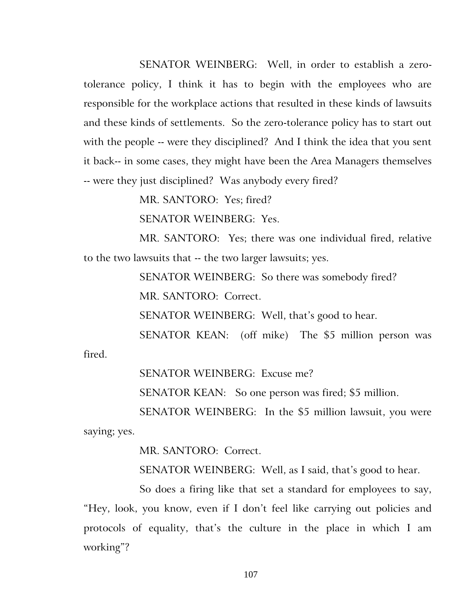SENATOR WEINBERG: Well, in order to establish a zerotolerance policy, I think it has to begin with the employees who are responsible for the workplace actions that resulted in these kinds of lawsuits and these kinds of settlements. So the zero-tolerance policy has to start out with the people -- were they disciplined? And I think the idea that you sent it back-- in some cases, they might have been the Area Managers themselves -- were they just disciplined? Was anybody every fired?

MR. SANTORO: Yes; fired?

SENATOR WEINBERG: Yes.

MR. SANTORO: Yes; there was one individual fired, relative to the two lawsuits that -- the two larger lawsuits; yes.

SENATOR WEINBERG: So there was somebody fired?

MR. SANTORO: Correct.

SENATOR WEINBERG: Well, that's good to hear.

SENATOR KEAN: (off mike) The \$5 million person was fired.

SENATOR WEINBERG: Excuse me?

SENATOR KEAN: So one person was fired; \$5 million.

SENATOR WEINBERG: In the \$5 million lawsuit, you were saying; yes.

MR. SANTORO: Correct.

SENATOR WEINBERG: Well, as I said, that's good to hear.

So does a firing like that set a standard for employees to say, "Hey, look, you know, even if I don't feel like carrying out policies and protocols of equality, that's the culture in the place in which I am working"?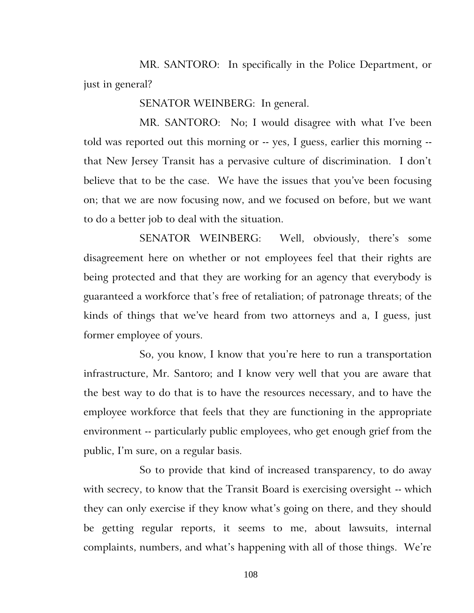MR. SANTORO: In specifically in the Police Department, or just in general?

SENATOR WEINBERG: In general.

MR. SANTORO: No; I would disagree with what I've been told was reported out this morning or -- yes, I guess, earlier this morning - that New Jersey Transit has a pervasive culture of discrimination. I don't believe that to be the case. We have the issues that you've been focusing on; that we are now focusing now, and we focused on before, but we want to do a better job to deal with the situation.

SENATOR WEINBERG: Well, obviously, there's some disagreement here on whether or not employees feel that their rights are being protected and that they are working for an agency that everybody is guaranteed a workforce that's free of retaliation; of patronage threats; of the kinds of things that we've heard from two attorneys and a, I guess, just former employee of yours.

So, you know, I know that you're here to run a transportation infrastructure, Mr. Santoro; and I know very well that you are aware that the best way to do that is to have the resources necessary, and to have the employee workforce that feels that they are functioning in the appropriate environment -- particularly public employees, who get enough grief from the public, I'm sure, on a regular basis.

So to provide that kind of increased transparency, to do away with secrecy, to know that the Transit Board is exercising oversight -- which they can only exercise if they know what's going on there, and they should be getting regular reports, it seems to me, about lawsuits, internal complaints, numbers, and what's happening with all of those things. We're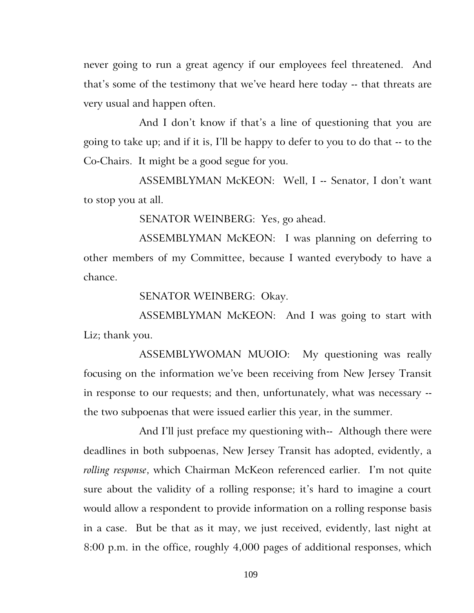never going to run a great agency if our employees feel threatened. And that's some of the testimony that we've heard here today -- that threats are very usual and happen often.

And I don't know if that's a line of questioning that you are going to take up; and if it is, I'll be happy to defer to you to do that -- to the Co-Chairs. It might be a good segue for you.

ASSEMBLYMAN McKEON: Well, I -- Senator, I don't want to stop you at all.

SENATOR WEINBERG: Yes, go ahead.

ASSEMBLYMAN McKEON: I was planning on deferring to other members of my Committee, because I wanted everybody to have a chance.

SENATOR WEINBERG: Okay.

ASSEMBLYMAN McKEON: And I was going to start with Liz; thank you.

ASSEMBLYWOMAN MUOIO: My questioning was really focusing on the information we've been receiving from New Jersey Transit in response to our requests; and then, unfortunately, what was necessary - the two subpoenas that were issued earlier this year, in the summer.

And I'll just preface my questioning with-- Although there were deadlines in both subpoenas, New Jersey Transit has adopted, evidently, a *rolling response*, which Chairman McKeon referenced earlier. I'm not quite sure about the validity of a rolling response; it's hard to imagine a court would allow a respondent to provide information on a rolling response basis in a case. But be that as it may, we just received, evidently, last night at 8:00 p.m. in the office, roughly 4,000 pages of additional responses, which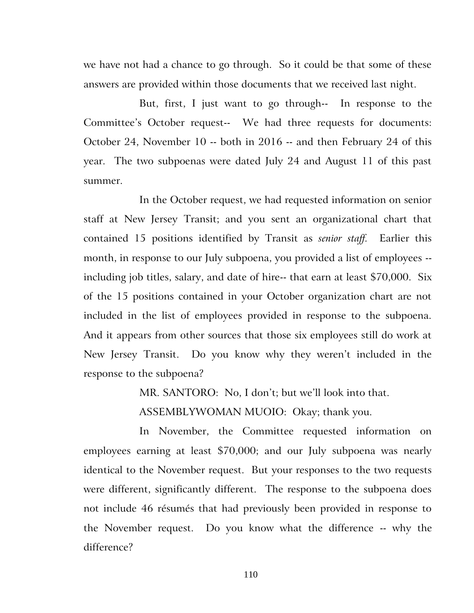we have not had a chance to go through. So it could be that some of these answers are provided within those documents that we received last night.

But, first, I just want to go through-- In response to the Committee's October request-- We had three requests for documents: October 24, November 10 -- both in 2016 -- and then February 24 of this year. The two subpoenas were dated July 24 and August 11 of this past summer.

In the October request, we had requested information on senior staff at New Jersey Transit; and you sent an organizational chart that contained 15 positions identified by Transit as *senior staff.* Earlier this month, in response to our July subpoena, you provided a list of employees - including job titles, salary, and date of hire-- that earn at least \$70,000. Six of the 15 positions contained in your October organization chart are not included in the list of employees provided in response to the subpoena. And it appears from other sources that those six employees still do work at New Jersey Transit. Do you know why they weren't included in the response to the subpoena?

MR. SANTORO: No, I don't; but we'll look into that.

ASSEMBLYWOMAN MUOIO: Okay; thank you.

In November, the Committee requested information on employees earning at least \$70,000; and our July subpoena was nearly identical to the November request. But your responses to the two requests were different, significantly different. The response to the subpoena does not include 46 résumés that had previously been provided in response to the November request. Do you know what the difference -- why the difference?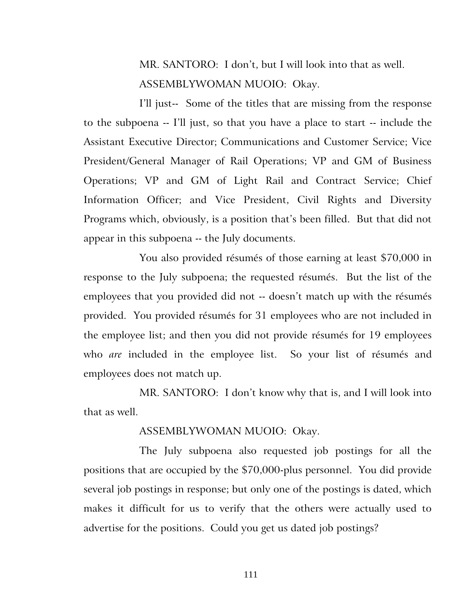MR. SANTORO: I don't, but I will look into that as well. ASSEMBLYWOMAN MUOIO: Okay.

I'll just-- Some of the titles that are missing from the response to the subpoena -- I'll just, so that you have a place to start -- include the Assistant Executive Director; Communications and Customer Service; Vice President/General Manager of Rail Operations; VP and GM of Business Operations; VP and GM of Light Rail and Contract Service; Chief Information Officer; and Vice President, Civil Rights and Diversity Programs which, obviously, is a position that's been filled. But that did not appear in this subpoena -- the July documents.

You also provided résumés of those earning at least \$70,000 in response to the July subpoena; the requested résumés. But the list of the employees that you provided did not -- doesn't match up with the résumés provided. You provided résumés for 31 employees who are not included in the employee list; and then you did not provide résumés for 19 employees who *are* included in the employee list. So your list of résumés and employees does not match up.

MR. SANTORO: I don't know why that is, and I will look into that as well.

# ASSEMBLYWOMAN MUOIO: Okay.

The July subpoena also requested job postings for all the positions that are occupied by the \$70,000-plus personnel. You did provide several job postings in response; but only one of the postings is dated, which makes it difficult for us to verify that the others were actually used to advertise for the positions. Could you get us dated job postings?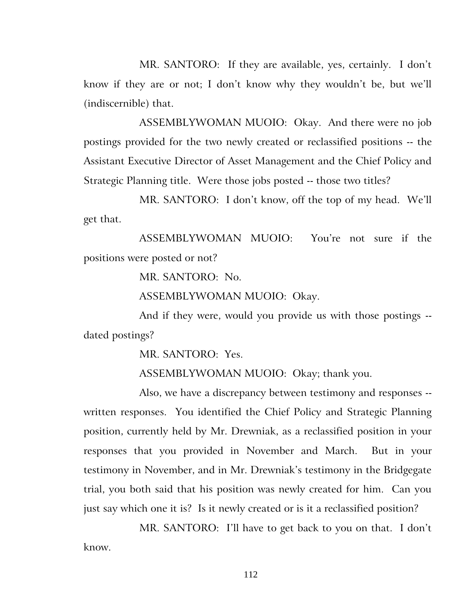MR. SANTORO: If they are available, yes, certainly. I don't know if they are or not; I don't know why they wouldn't be, but we'll (indiscernible) that.

ASSEMBLYWOMAN MUOIO: Okay. And there were no job postings provided for the two newly created or reclassified positions -- the Assistant Executive Director of Asset Management and the Chief Policy and Strategic Planning title. Were those jobs posted -- those two titles?

MR. SANTORO: I don't know, off the top of my head. We'll get that.

ASSEMBLYWOMAN MUOIO: You're not sure if the positions were posted or not?

MR. SANTORO: No.

ASSEMBLYWOMAN MUOIO: Okay.

And if they were, would you provide us with those postings - dated postings?

MR. SANTORO: Yes.

ASSEMBLYWOMAN MUOIO: Okay; thank you.

Also, we have a discrepancy between testimony and responses - written responses. You identified the Chief Policy and Strategic Planning position, currently held by Mr. Drewniak, as a reclassified position in your responses that you provided in November and March. But in your testimony in November, and in Mr. Drewniak's testimony in the Bridgegate trial, you both said that his position was newly created for him. Can you just say which one it is? Is it newly created or is it a reclassified position?

MR. SANTORO: I'll have to get back to you on that. I don't know.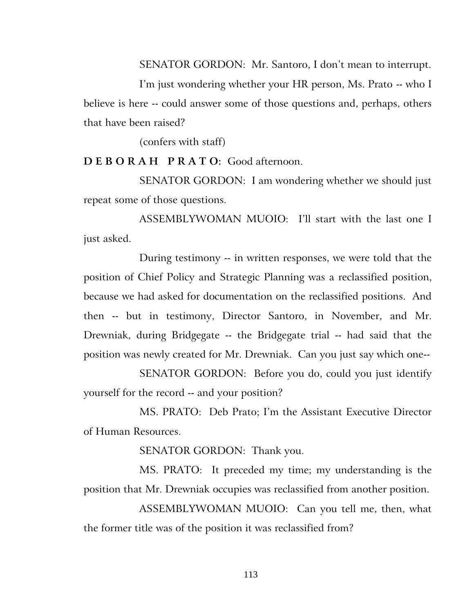SENATOR GORDON: Mr. Santoro, I don't mean to interrupt.

I'm just wondering whether your HR person, Ms. Prato -- who I believe is here -- could answer some of those questions and, perhaps, others that have been raised?

(confers with staff)

**D E B O R A H P R A T O:** Good afternoon.

SENATOR GORDON: I am wondering whether we should just repeat some of those questions.

ASSEMBLYWOMAN MUOIO: I'll start with the last one I just asked.

During testimony -- in written responses, we were told that the position of Chief Policy and Strategic Planning was a reclassified position, because we had asked for documentation on the reclassified positions. And then -- but in testimony, Director Santoro, in November, and Mr. Drewniak, during Bridgegate -- the Bridgegate trial -- had said that the position was newly created for Mr. Drewniak. Can you just say which one--

SENATOR GORDON: Before you do, could you just identify yourself for the record -- and your position?

MS. PRATO: Deb Prato; I'm the Assistant Executive Director of Human Resources.

SENATOR GORDON: Thank you.

MS. PRATO: It preceded my time; my understanding is the position that Mr. Drewniak occupies was reclassified from another position.

ASSEMBLYWOMAN MUOIO: Can you tell me, then, what the former title was of the position it was reclassified from?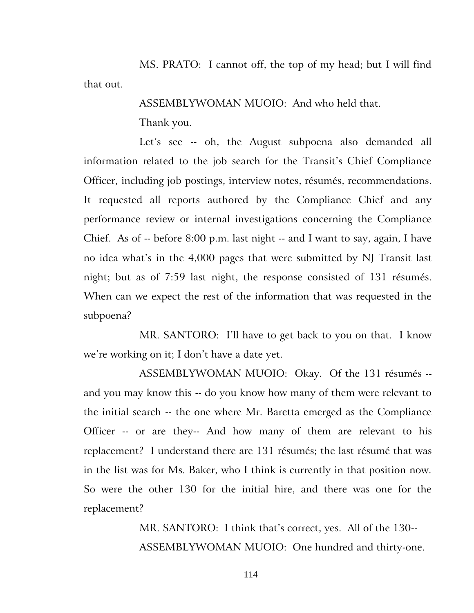MS. PRATO: I cannot off, the top of my head; but I will find that out.

ASSEMBLYWOMAN MUOIO: And who held that.

Thank you.

Let's see -- oh, the August subpoena also demanded all information related to the job search for the Transit's Chief Compliance Officer, including job postings, interview notes, résumés, recommendations. It requested all reports authored by the Compliance Chief and any performance review or internal investigations concerning the Compliance Chief. As of -- before 8:00 p.m. last night -- and I want to say, again, I have no idea what's in the 4,000 pages that were submitted by NJ Transit last night; but as of 7:59 last night, the response consisted of 131 résumés. When can we expect the rest of the information that was requested in the subpoena?

MR. SANTORO: I'll have to get back to you on that. I know we're working on it; I don't have a date yet.

ASSEMBLYWOMAN MUOIO: Okay. Of the 131 résumés - and you may know this -- do you know how many of them were relevant to the initial search -- the one where Mr. Baretta emerged as the Compliance Officer -- or are they-- And how many of them are relevant to his replacement? I understand there are 131 résumés; the last résumé that was in the list was for Ms. Baker, who I think is currently in that position now. So were the other 130 for the initial hire, and there was one for the replacement?

> MR. SANTORO: I think that's correct, yes. All of the 130-- ASSEMBLYWOMAN MUOIO: One hundred and thirty-one.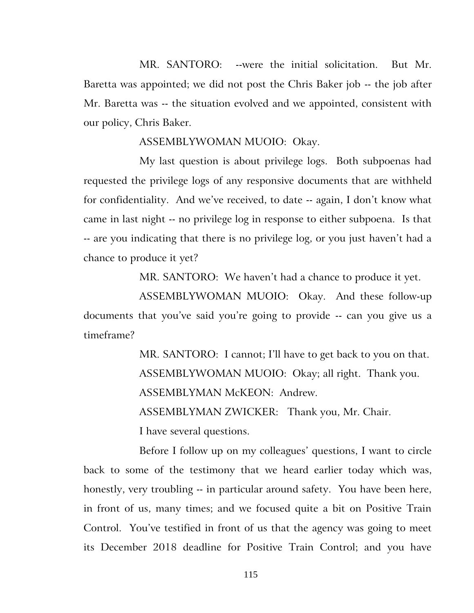MR. SANTORO: --were the initial solicitation. But Mr. Baretta was appointed; we did not post the Chris Baker job -- the job after Mr. Baretta was -- the situation evolved and we appointed, consistent with our policy, Chris Baker.

ASSEMBLYWOMAN MUOIO: Okay.

My last question is about privilege logs. Both subpoenas had requested the privilege logs of any responsive documents that are withheld for confidentiality. And we've received, to date -- again, I don't know what came in last night -- no privilege log in response to either subpoena. Is that -- are you indicating that there is no privilege log, or you just haven't had a chance to produce it yet?

MR. SANTORO: We haven't had a chance to produce it yet.

ASSEMBLYWOMAN MUOIO: Okay. And these follow-up documents that you've said you're going to provide -- can you give us a timeframe?

MR. SANTORO: I cannot; I'll have to get back to you on that.

ASSEMBLYWOMAN MUOIO: Okay; all right. Thank you.

ASSEMBLYMAN McKEON: Andrew.

ASSEMBLYMAN ZWICKER: Thank you, Mr. Chair.

I have several questions.

Before I follow up on my colleagues' questions, I want to circle back to some of the testimony that we heard earlier today which was, honestly, very troubling -- in particular around safety. You have been here, in front of us, many times; and we focused quite a bit on Positive Train Control. You've testified in front of us that the agency was going to meet its December 2018 deadline for Positive Train Control; and you have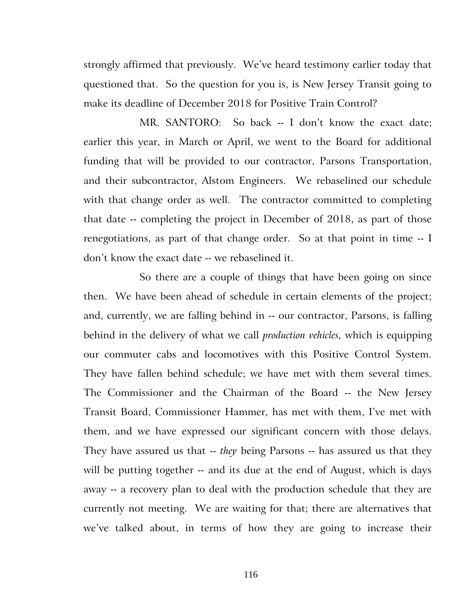strongly affirmed that previously. We've heard testimony earlier today that questioned that. So the question for you is, is New Jersey Transit going to make its deadline of December 2018 for Positive Train Control?

MR. SANTORO: So back -- I don't know the exact date; earlier this year, in March or April, we went to the Board for additional funding that will be provided to our contractor, Parsons Transportation, and their subcontractor, Alstom Engineers. We rebaselined our schedule with that change order as well. The contractor committed to completing that date -- completing the project in December of 2018, as part of those renegotiations, as part of that change order. So at that point in time -- I don't know the exact date -- we rebaselined it.

So there are a couple of things that have been going on since then. We have been ahead of schedule in certain elements of the project; and, currently, we are falling behind in -- our contractor, Parsons, is falling behind in the delivery of what we call *production vehicles,* which is equipping our commuter cabs and locomotives with this Positive Control System. They have fallen behind schedule; we have met with them several times. The Commissioner and the Chairman of the Board -- the New Jersey Transit Board, Commissioner Hammer, has met with them, I've met with them, and we have expressed our significant concern with those delays. They have assured us that -- *they* being Parsons -- has assured us that they will be putting together -- and its due at the end of August, which is days away -- a recovery plan to deal with the production schedule that they are currently not meeting. We are waiting for that; there are alternatives that we've talked about, in terms of how they are going to increase their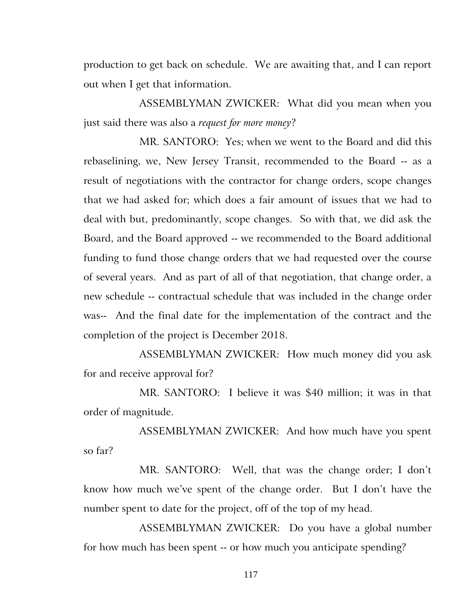production to get back on schedule. We are awaiting that, and I can report out when I get that information.

ASSEMBLYMAN ZWICKER: What did you mean when you just said there was also a *request for more money*?

MR. SANTORO: Yes; when we went to the Board and did this rebaselining, we, New Jersey Transit, recommended to the Board -- as a result of negotiations with the contractor for change orders, scope changes that we had asked for; which does a fair amount of issues that we had to deal with but, predominantly, scope changes. So with that, we did ask the Board, and the Board approved -- we recommended to the Board additional funding to fund those change orders that we had requested over the course of several years. And as part of all of that negotiation, that change order, a new schedule -- contractual schedule that was included in the change order was-- And the final date for the implementation of the contract and the completion of the project is December 2018.

ASSEMBLYMAN ZWICKER: How much money did you ask for and receive approval for?

MR. SANTORO: I believe it was \$40 million; it was in that order of magnitude.

ASSEMBLYMAN ZWICKER: And how much have you spent so far?

MR. SANTORO: Well, that was the change order; I don't know how much we've spent of the change order. But I don't have the number spent to date for the project, off of the top of my head.

ASSEMBLYMAN ZWICKER: Do you have a global number for how much has been spent -- or how much you anticipate spending?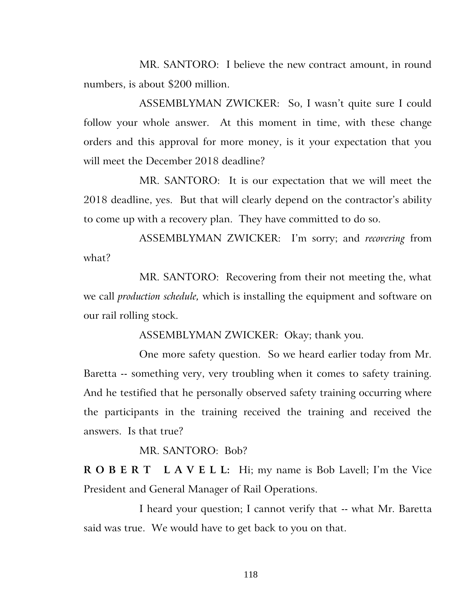MR. SANTORO: I believe the new contract amount, in round numbers, is about \$200 million.

ASSEMBLYMAN ZWICKER: So, I wasn't quite sure I could follow your whole answer. At this moment in time, with these change orders and this approval for more money, is it your expectation that you will meet the December 2018 deadline?

MR. SANTORO: It is our expectation that we will meet the 2018 deadline, yes. But that will clearly depend on the contractor's ability to come up with a recovery plan. They have committed to do so.

ASSEMBLYMAN ZWICKER: I'm sorry; and *recovering* from what?

MR. SANTORO: Recovering from their not meeting the, what we call *production schedule,* which is installing the equipment and software on our rail rolling stock.

ASSEMBLYMAN ZWICKER: Okay; thank you.

One more safety question. So we heard earlier today from Mr. Baretta -- something very, very troubling when it comes to safety training. And he testified that he personally observed safety training occurring where the participants in the training received the training and received the answers. Is that true?

MR. SANTORO: Bob?

**R O B E R T L A V E L L:** Hi; my name is Bob Lavell; I'm the Vice President and General Manager of Rail Operations.

I heard your question; I cannot verify that -- what Mr. Baretta said was true. We would have to get back to you on that.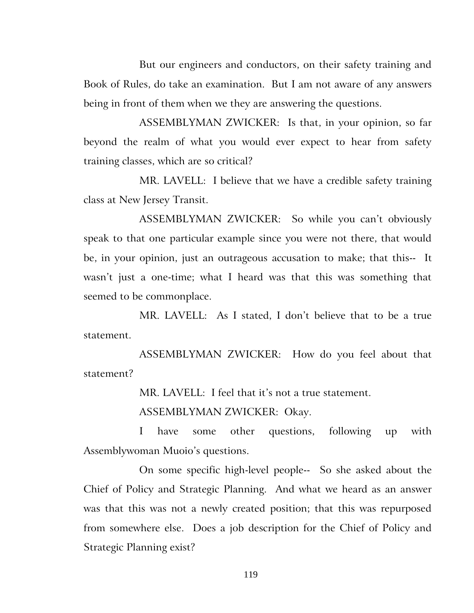But our engineers and conductors, on their safety training and Book of Rules, do take an examination. But I am not aware of any answers being in front of them when we they are answering the questions.

ASSEMBLYMAN ZWICKER: Is that, in your opinion, so far beyond the realm of what you would ever expect to hear from safety training classes, which are so critical?

MR. LAVELL: I believe that we have a credible safety training class at New Jersey Transit.

ASSEMBLYMAN ZWICKER: So while you can't obviously speak to that one particular example since you were not there, that would be, in your opinion, just an outrageous accusation to make; that this-- It wasn't just a one-time; what I heard was that this was something that seemed to be commonplace.

MR. LAVELL: As I stated, I don't believe that to be a true statement.

ASSEMBLYMAN ZWICKER: How do you feel about that statement?

MR. LAVELL: I feel that it's not a true statement.

ASSEMBLYMAN ZWICKER: Okay.

I have some other questions, following up with Assemblywoman Muoio's questions.

On some specific high-level people-- So she asked about the Chief of Policy and Strategic Planning. And what we heard as an answer was that this was not a newly created position; that this was repurposed from somewhere else. Does a job description for the Chief of Policy and Strategic Planning exist?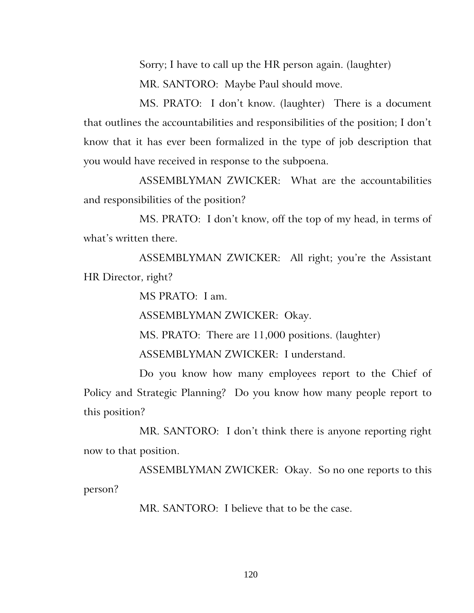Sorry; I have to call up the HR person again. (laughter) MR. SANTORO: Maybe Paul should move.

MS. PRATO: I don't know. (laughter) There is a document that outlines the accountabilities and responsibilities of the position; I don't know that it has ever been formalized in the type of job description that you would have received in response to the subpoena.

ASSEMBLYMAN ZWICKER: What are the accountabilities and responsibilities of the position?

MS. PRATO: I don't know, off the top of my head, in terms of what's written there.

ASSEMBLYMAN ZWICKER: All right; you're the Assistant HR Director, right?

MS PRATO: I am.

ASSEMBLYMAN ZWICKER: Okay.

MS. PRATO: There are 11,000 positions. (laughter)

ASSEMBLYMAN ZWICKER: I understand.

Do you know how many employees report to the Chief of Policy and Strategic Planning? Do you know how many people report to this position?

MR. SANTORO: I don't think there is anyone reporting right now to that position.

ASSEMBLYMAN ZWICKER: Okay. So no one reports to this person?

MR. SANTORO: I believe that to be the case.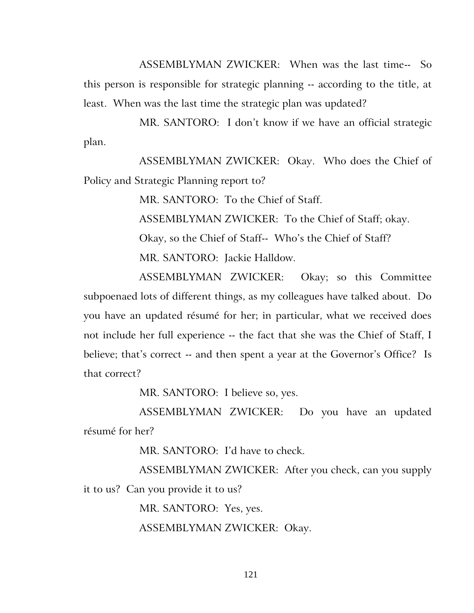ASSEMBLYMAN ZWICKER: When was the last time-- So this person is responsible for strategic planning -- according to the title, at least. When was the last time the strategic plan was updated?

MR. SANTORO: I don't know if we have an official strategic plan.

ASSEMBLYMAN ZWICKER: Okay. Who does the Chief of Policy and Strategic Planning report to?

MR. SANTORO: To the Chief of Staff.

ASSEMBLYMAN ZWICKER: To the Chief of Staff; okay.

Okay, so the Chief of Staff-- Who's the Chief of Staff? MR. SANTORO: Jackie Halldow.

ASSEMBLYMAN ZWICKER: Okay; so this Committee subpoenaed lots of different things, as my colleagues have talked about. Do you have an updated résumé for her; in particular, what we received does not include her full experience -- the fact that she was the Chief of Staff, I believe; that's correct -- and then spent a year at the Governor's Office? Is that correct?

MR. SANTORO: I believe so, yes.

ASSEMBLYMAN ZWICKER: Do you have an updated résumé for her?

MR. SANTORO: I'd have to check.

ASSEMBLYMAN ZWICKER: After you check, can you supply it to us? Can you provide it to us?

MR. SANTORO: Yes, yes.

ASSEMBLYMAN ZWICKER: Okay.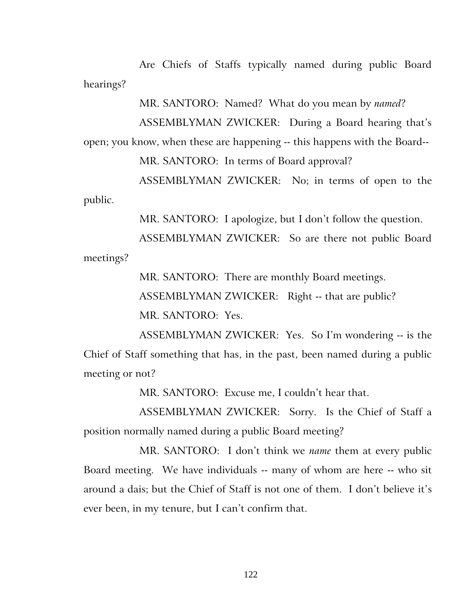Are Chiefs of Staffs typically named during public Board hearings?

MR. SANTORO: Named? What do you mean by *named*?

ASSEMBLYMAN ZWICKER: During a Board hearing that's open; you know, when these are happening -- this happens with the Board--

MR. SANTORO: In terms of Board approval?

ASSEMBLYMAN ZWICKER: No; in terms of open to the public.

MR. SANTORO: I apologize, but I don't follow the question.

ASSEMBLYMAN ZWICKER: So are there not public Board meetings?

MR. SANTORO: There are monthly Board meetings.

ASSEMBLYMAN ZWICKER: Right -- that are public?

MR. SANTORO: Yes.

ASSEMBLYMAN ZWICKER: Yes. So I'm wondering -- is the Chief of Staff something that has, in the past, been named during a public meeting or not?

MR. SANTORO: Excuse me, I couldn't hear that.

ASSEMBLYMAN ZWICKER: Sorry. Is the Chief of Staff a position normally named during a public Board meeting?

MR. SANTORO: I don't think we *name* them at every public Board meeting. We have individuals -- many of whom are here -- who sit around a dais; but the Chief of Staff is not one of them. I don't believe it's ever been, in my tenure, but I can't confirm that.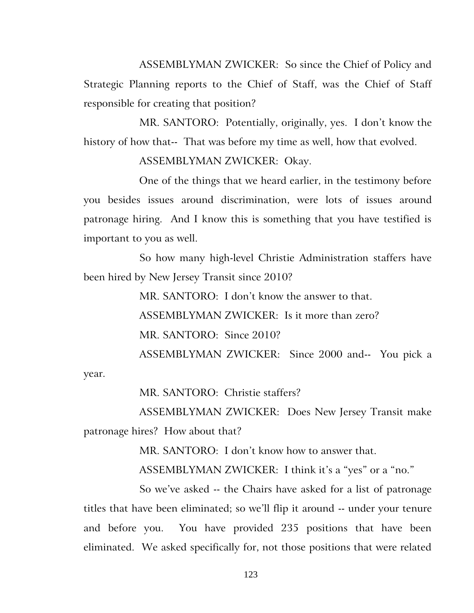ASSEMBLYMAN ZWICKER: So since the Chief of Policy and Strategic Planning reports to the Chief of Staff, was the Chief of Staff responsible for creating that position?

MR. SANTORO: Potentially, originally, yes. I don't know the history of how that-- That was before my time as well, how that evolved.

# ASSEMBLYMAN ZWICKER: Okay.

One of the things that we heard earlier, in the testimony before you besides issues around discrimination, were lots of issues around patronage hiring. And I know this is something that you have testified is important to you as well.

So how many high-level Christie Administration staffers have been hired by New Jersey Transit since 2010?

> MR. SANTORO: I don't know the answer to that. ASSEMBLYMAN ZWICKER: Is it more than zero? MR. SANTORO: Since 2010? ASSEMBLYMAN ZWICKER: Since 2000 and-- You pick a

year.

MR. SANTORO: Christie staffers?

ASSEMBLYMAN ZWICKER: Does New Jersey Transit make patronage hires? How about that?

MR. SANTORO: I don't know how to answer that.

ASSEMBLYMAN ZWICKER: I think it's a "yes" or a "no."

So we've asked -- the Chairs have asked for a list of patronage titles that have been eliminated; so we'll flip it around -- under your tenure and before you. You have provided 235 positions that have been eliminated. We asked specifically for, not those positions that were related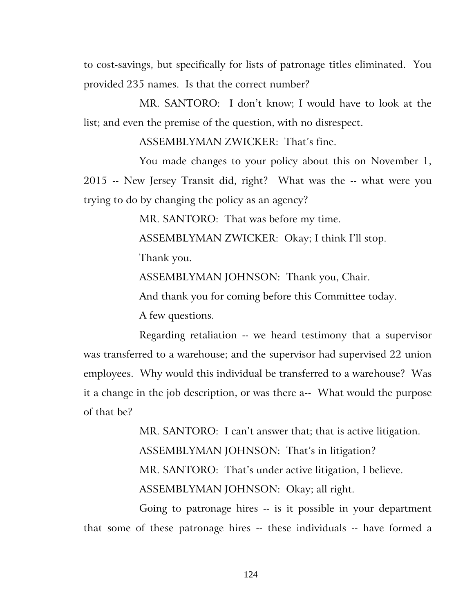to cost-savings, but specifically for lists of patronage titles eliminated. You provided 235 names. Is that the correct number?

MR. SANTORO: I don't know; I would have to look at the list; and even the premise of the question, with no disrespect.

ASSEMBLYMAN ZWICKER: That's fine.

You made changes to your policy about this on November 1, 2015 -- New Jersey Transit did, right? What was the -- what were you trying to do by changing the policy as an agency?

MR. SANTORO: That was before my time.

ASSEMBLYMAN ZWICKER: Okay; I think I'll stop.

Thank you.

ASSEMBLYMAN JOHNSON: Thank you, Chair.

And thank you for coming before this Committee today.

A few questions.

Regarding retaliation -- we heard testimony that a supervisor was transferred to a warehouse; and the supervisor had supervised 22 union employees. Why would this individual be transferred to a warehouse? Was it a change in the job description, or was there a-- What would the purpose of that be?

> MR. SANTORO: I can't answer that; that is active litigation. ASSEMBLYMAN JOHNSON: That's in litigation? MR. SANTORO: That's under active litigation, I believe. ASSEMBLYMAN JOHNSON: Okay; all right.

Going to patronage hires -- is it possible in your department that some of these patronage hires -- these individuals -- have formed a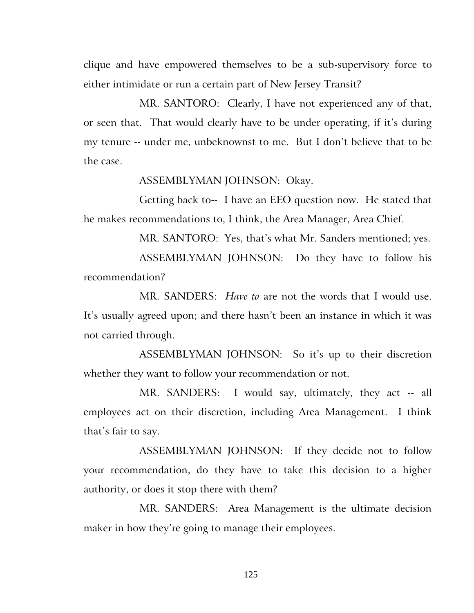clique and have empowered themselves to be a sub-supervisory force to either intimidate or run a certain part of New Jersey Transit?

MR. SANTORO: Clearly, I have not experienced any of that, or seen that. That would clearly have to be under operating, if it's during my tenure -- under me, unbeknownst to me. But I don't believe that to be the case.

#### ASSEMBLYMAN JOHNSON: Okay.

Getting back to-- I have an EEO question now. He stated that he makes recommendations to, I think, the Area Manager, Area Chief.

MR. SANTORO: Yes, that's what Mr. Sanders mentioned; yes.

ASSEMBLYMAN JOHNSON: Do they have to follow his recommendation?

MR. SANDERS: *Have to* are not the words that I would use. It's usually agreed upon; and there hasn't been an instance in which it was not carried through.

ASSEMBLYMAN JOHNSON: So it's up to their discretion whether they want to follow your recommendation or not.

MR. SANDERS: I would say, ultimately, they act -- all employees act on their discretion, including Area Management. I think that's fair to say.

ASSEMBLYMAN JOHNSON: If they decide not to follow your recommendation, do they have to take this decision to a higher authority, or does it stop there with them?

MR. SANDERS: Area Management is the ultimate decision maker in how they're going to manage their employees.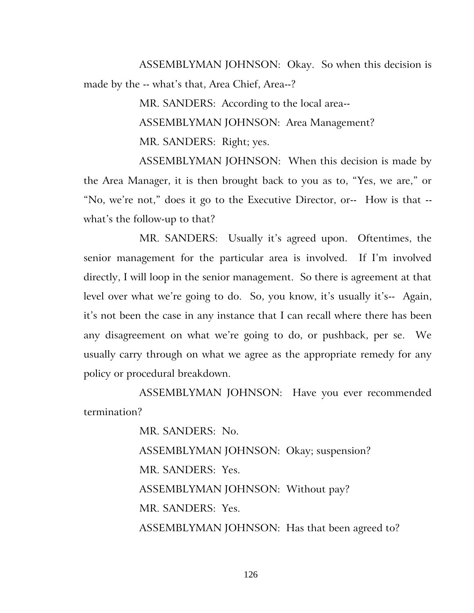ASSEMBLYMAN JOHNSON: Okay. So when this decision is made by the -- what's that, Area Chief, Area--?

> MR. SANDERS: According to the local area-- ASSEMBLYMAN JOHNSON: Area Management? MR. SANDERS: Right; yes.

ASSEMBLYMAN JOHNSON: When this decision is made by the Area Manager, it is then brought back to you as to, "Yes, we are," or "No, we're not," does it go to the Executive Director, or-- How is that - what's the follow-up to that?

MR. SANDERS: Usually it's agreed upon. Oftentimes, the senior management for the particular area is involved. If I'm involved directly, I will loop in the senior management. So there is agreement at that level over what we're going to do. So, you know, it's usually it's-- Again, it's not been the case in any instance that I can recall where there has been any disagreement on what we're going to do, or pushback, per se. We usually carry through on what we agree as the appropriate remedy for any policy or procedural breakdown.

ASSEMBLYMAN JOHNSON: Have you ever recommended termination?

> MR. SANDERS: No. ASSEMBLYMAN JOHNSON: Okay; suspension? MR. SANDERS: Yes. ASSEMBLYMAN JOHNSON: Without pay? MR. SANDERS: Yes. ASSEMBLYMAN JOHNSON: Has that been agreed to?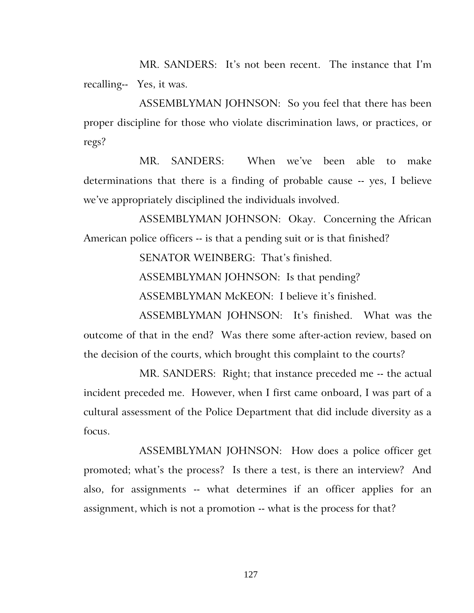MR. SANDERS: It's not been recent. The instance that I'm recalling-- Yes, it was.

ASSEMBLYMAN JOHNSON: So you feel that there has been proper discipline for those who violate discrimination laws, or practices, or regs?

MR. SANDERS: When we've been able to make determinations that there is a finding of probable cause -- yes, I believe we've appropriately disciplined the individuals involved.

ASSEMBLYMAN JOHNSON: Okay. Concerning the African American police officers -- is that a pending suit or is that finished?

SENATOR WEINBERG: That's finished.

ASSEMBLYMAN JOHNSON: Is that pending?

ASSEMBLYMAN McKEON: I believe it's finished.

ASSEMBLYMAN JOHNSON: It's finished. What was the outcome of that in the end? Was there some after-action review, based on the decision of the courts, which brought this complaint to the courts?

MR. SANDERS: Right; that instance preceded me -- the actual incident preceded me. However, when I first came onboard, I was part of a cultural assessment of the Police Department that did include diversity as a focus.

ASSEMBLYMAN JOHNSON: How does a police officer get promoted; what's the process? Is there a test, is there an interview? And also, for assignments -- what determines if an officer applies for an assignment, which is not a promotion -- what is the process for that?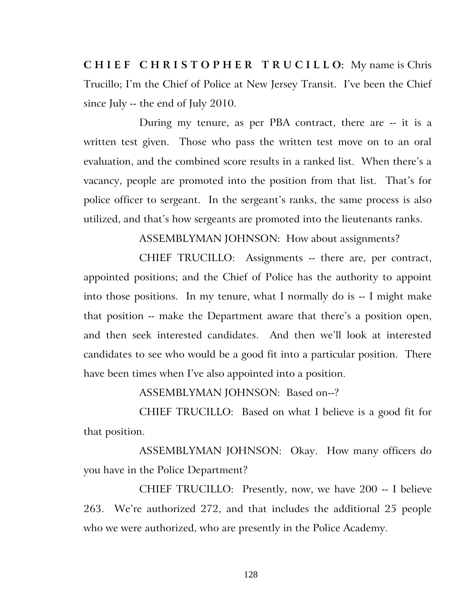**C H I E F C H R I S T O P H E R T R U C I L L O:** My name is Chris Trucillo; I'm the Chief of Police at New Jersey Transit. I've been the Chief since July -- the end of July 2010.

During my tenure, as per PBA contract, there are -- it is a written test given. Those who pass the written test move on to an oral evaluation, and the combined score results in a ranked list. When there's a vacancy, people are promoted into the position from that list. That's for police officer to sergeant. In the sergeant's ranks, the same process is also utilized, and that's how sergeants are promoted into the lieutenants ranks.

ASSEMBLYMAN JOHNSON: How about assignments?

CHIEF TRUCILLO: Assignments -- there are, per contract, appointed positions; and the Chief of Police has the authority to appoint into those positions. In my tenure, what I normally do is -- I might make that position -- make the Department aware that there's a position open, and then seek interested candidates. And then we'll look at interested candidates to see who would be a good fit into a particular position. There have been times when I've also appointed into a position.

ASSEMBLYMAN JOHNSON: Based on--?

CHIEF TRUCILLO: Based on what I believe is a good fit for that position.

ASSEMBLYMAN JOHNSON: Okay. How many officers do you have in the Police Department?

CHIEF TRUCILLO: Presently, now, we have 200 -- I believe 263. We're authorized 272, and that includes the additional 25 people who we were authorized, who are presently in the Police Academy.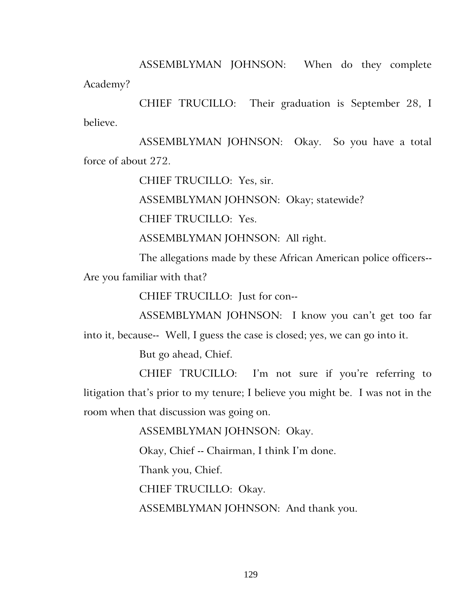ASSEMBLYMAN JOHNSON: When do they complete Academy?

CHIEF TRUCILLO: Their graduation is September 28, I believe.

ASSEMBLYMAN JOHNSON: Okay. So you have a total force of about 272.

CHIEF TRUCILLO: Yes, sir.

ASSEMBLYMAN JOHNSON: Okay; statewide?

CHIEF TRUCILLO: Yes.

ASSEMBLYMAN JOHNSON: All right.

The allegations made by these African American police officers--

Are you familiar with that?

CHIEF TRUCILLO: Just for con--

ASSEMBLYMAN JOHNSON: I know you can't get too far

into it, because-- Well, I guess the case is closed; yes, we can go into it.

But go ahead, Chief.

CHIEF TRUCILLO: I'm not sure if you're referring to litigation that's prior to my tenure; I believe you might be. I was not in the room when that discussion was going on.

ASSEMBLYMAN JOHNSON: Okay.

Okay, Chief -- Chairman, I think I'm done.

Thank you, Chief.

CHIEF TRUCILLO: Okay.

ASSEMBLYMAN JOHNSON: And thank you.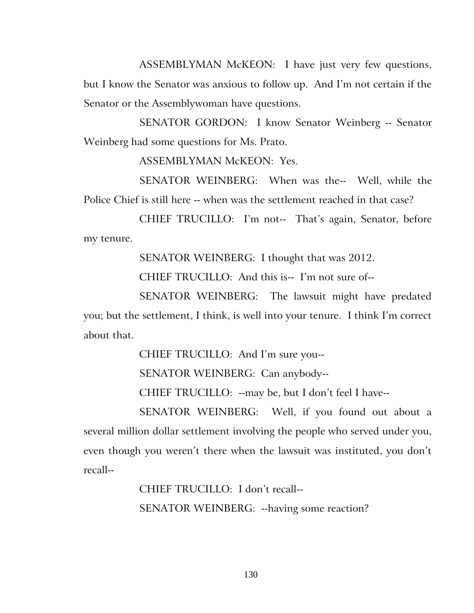ASSEMBLYMAN McKEON: I have just very few questions, but I know the Senator was anxious to follow up. And I'm not certain if the Senator or the Assemblywoman have questions.

SENATOR GORDON: I know Senator Weinberg -- Senator Weinberg had some questions for Ms. Prato.

ASSEMBLYMAN McKEON: Yes.

SENATOR WEINBERG: When was the-- Well, while the Police Chief is still here -- when was the settlement reached in that case?

CHIEF TRUCILLO: I'm not-- That's again, Senator, before my tenure.

SENATOR WEINBERG: I thought that was 2012.

CHIEF TRUCILLO: And this is-- I'm not sure of--

SENATOR WEINBERG: The lawsuit might have predated you; but the settlement, I think, is well into your tenure. I think I'm correct about that.

CHIEF TRUCILLO: And I'm sure you--

SENATOR WEINBERG: Can anybody--

CHIEF TRUCILLO: --may be, but I don't feel I have--

SENATOR WEINBERG: Well, if you found out about a several million dollar settlement involving the people who served under you, even though you weren't there when the lawsuit was instituted, you don't recall--

> CHIEF TRUCILLO: I don't recall-- SENATOR WEINBERG: --having some reaction?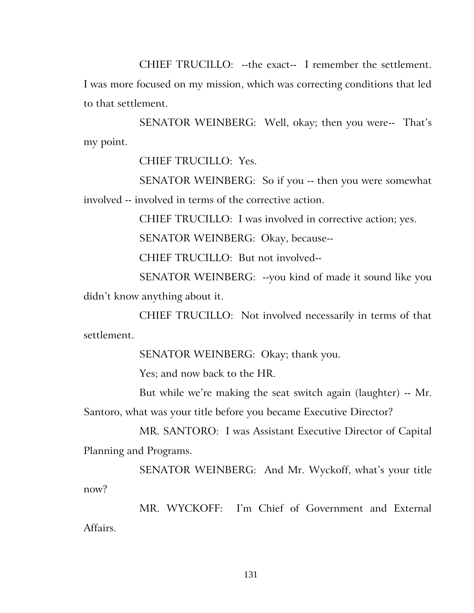CHIEF TRUCILLO: --the exact-- I remember the settlement. I was more focused on my mission, which was correcting conditions that led to that settlement.

SENATOR WEINBERG: Well, okay; then you were-- That's my point.

CHIEF TRUCILLO: Yes.

SENATOR WEINBERG: So if you -- then you were somewhat involved -- involved in terms of the corrective action.

CHIEF TRUCILLO: I was involved in corrective action; yes.

SENATOR WEINBERG: Okay, because--

CHIEF TRUCILLO: But not involved--

SENATOR WEINBERG: --you kind of made it sound like you didn't know anything about it.

CHIEF TRUCILLO: Not involved necessarily in terms of that settlement.

SENATOR WEINBERG: Okay; thank you.

Yes; and now back to the HR.

But while we're making the seat switch again (laughter) -- Mr. Santoro, what was your title before you became Executive Director?

MR. SANTORO: I was Assistant Executive Director of Capital Planning and Programs.

SENATOR WEINBERG: And Mr. Wyckoff, what's your title now?

MR. WYCKOFF: I'm Chief of Government and External Affairs.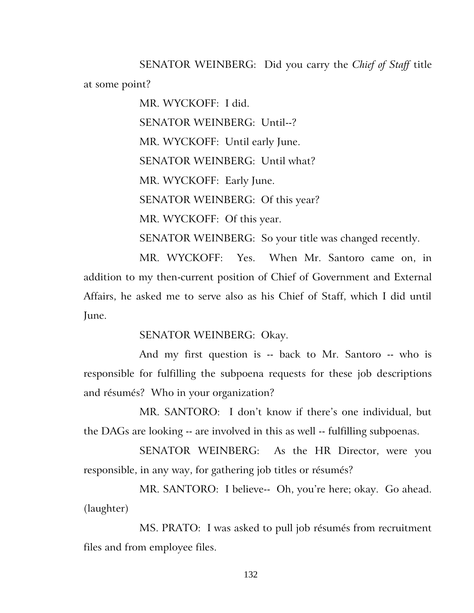SENATOR WEINBERG: Did you carry the *Chief of Staff* title at some point?

> MR. WYCKOFF: I did. SENATOR WEINBERG: Until--? MR. WYCKOFF: Until early June. SENATOR WEINBERG: Until what? MR. WYCKOFF: Early June. SENATOR WEINBERG: Of this year? MR. WYCKOFF: Of this year. SENATOR WEINBERG: So your title was changed recently.

MR. WYCKOFF: Yes. When Mr. Santoro came on, in addition to my then-current position of Chief of Government and External Affairs, he asked me to serve also as his Chief of Staff, which I did until June.

# SENATOR WEINBERG: Okay.

And my first question is -- back to Mr. Santoro -- who is responsible for fulfilling the subpoena requests for these job descriptions and résumés? Who in your organization?

MR. SANTORO: I don't know if there's one individual, but the DAGs are looking -- are involved in this as well -- fulfilling subpoenas.

SENATOR WEINBERG: As the HR Director, were you responsible, in any way, for gathering job titles or résumés?

MR. SANTORO: I believe-- Oh, you're here; okay. Go ahead. (laughter)

MS. PRATO: I was asked to pull job résumés from recruitment files and from employee files.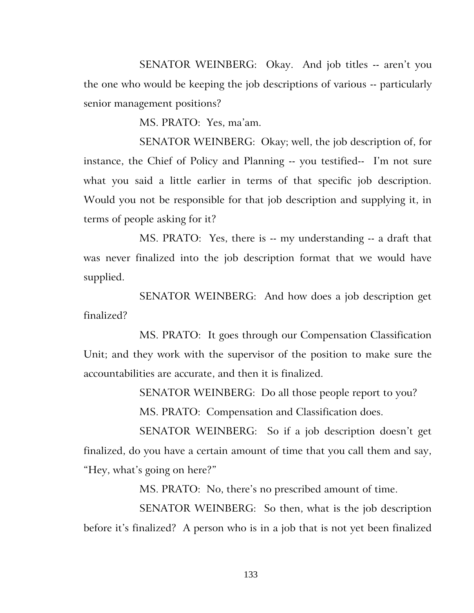SENATOR WEINBERG: Okay. And job titles -- aren't you the one who would be keeping the job descriptions of various -- particularly senior management positions?

MS. PRATO: Yes, ma'am.

SENATOR WEINBERG: Okay; well, the job description of, for instance, the Chief of Policy and Planning -- you testified-- I'm not sure what you said a little earlier in terms of that specific job description. Would you not be responsible for that job description and supplying it, in terms of people asking for it?

MS. PRATO: Yes, there is -- my understanding -- a draft that was never finalized into the job description format that we would have supplied.

SENATOR WEINBERG: And how does a job description get finalized?

MS. PRATO: It goes through our Compensation Classification Unit; and they work with the supervisor of the position to make sure the accountabilities are accurate, and then it is finalized.

> SENATOR WEINBERG: Do all those people report to you? MS. PRATO: Compensation and Classification does.

SENATOR WEINBERG: So if a job description doesn't get finalized, do you have a certain amount of time that you call them and say, "Hey, what's going on here?"

MS. PRATO: No, there's no prescribed amount of time.

SENATOR WEINBERG: So then, what is the job description before it's finalized? A person who is in a job that is not yet been finalized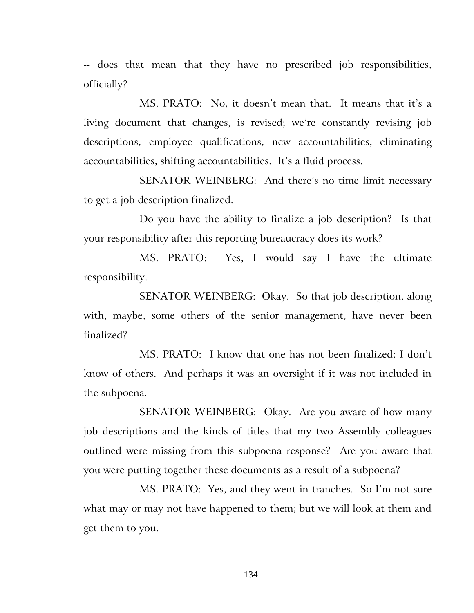-- does that mean that they have no prescribed job responsibilities, officially?

MS. PRATO: No, it doesn't mean that. It means that it's a living document that changes, is revised; we're constantly revising job descriptions, employee qualifications, new accountabilities, eliminating accountabilities, shifting accountabilities. It's a fluid process.

SENATOR WEINBERG: And there's no time limit necessary to get a job description finalized.

Do you have the ability to finalize a job description? Is that your responsibility after this reporting bureaucracy does its work?

MS. PRATO: Yes, I would say I have the ultimate responsibility.

SENATOR WEINBERG: Okay. So that job description, along with, maybe, some others of the senior management, have never been finalized?

MS. PRATO: I know that one has not been finalized; I don't know of others. And perhaps it was an oversight if it was not included in the subpoena.

SENATOR WEINBERG: Okay. Are you aware of how many job descriptions and the kinds of titles that my two Assembly colleagues outlined were missing from this subpoena response? Are you aware that you were putting together these documents as a result of a subpoena?

MS. PRATO: Yes, and they went in tranches. So I'm not sure what may or may not have happened to them; but we will look at them and get them to you.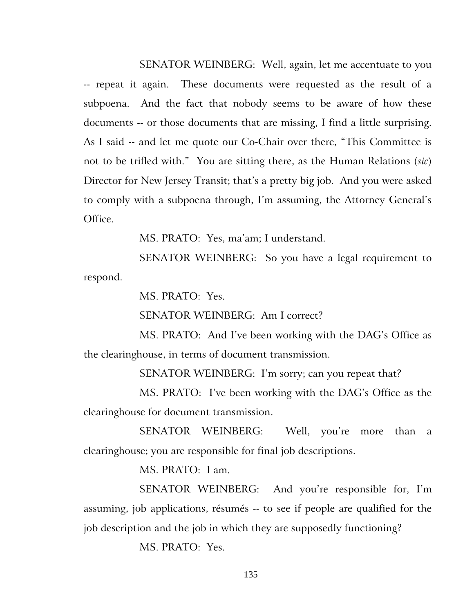SENATOR WEINBERG: Well, again, let me accentuate to you -- repeat it again. These documents were requested as the result of a subpoena. And the fact that nobody seems to be aware of how these documents -- or those documents that are missing, I find a little surprising. As I said -- and let me quote our Co-Chair over there, "This Committee is not to be trifled with." You are sitting there, as the Human Relations (*sic*) Director for New Jersey Transit; that's a pretty big job. And you were asked to comply with a subpoena through, I'm assuming, the Attorney General's Office.

MS. PRATO: Yes, ma'am; I understand.

SENATOR WEINBERG: So you have a legal requirement to respond.

MS. PRATO: Yes.

SENATOR WEINBERG: Am I correct?

MS. PRATO: And I've been working with the DAG's Office as the clearinghouse, in terms of document transmission.

SENATOR WEINBERG: I'm sorry; can you repeat that?

MS. PRATO: I've been working with the DAG's Office as the clearinghouse for document transmission.

SENATOR WEINBERG: Well, you're more than a clearinghouse; you are responsible for final job descriptions.

MS. PRATO: I am.

SENATOR WEINBERG: And you're responsible for, I'm assuming, job applications, résumés -- to see if people are qualified for the job description and the job in which they are supposedly functioning?

MS. PRATO: Yes.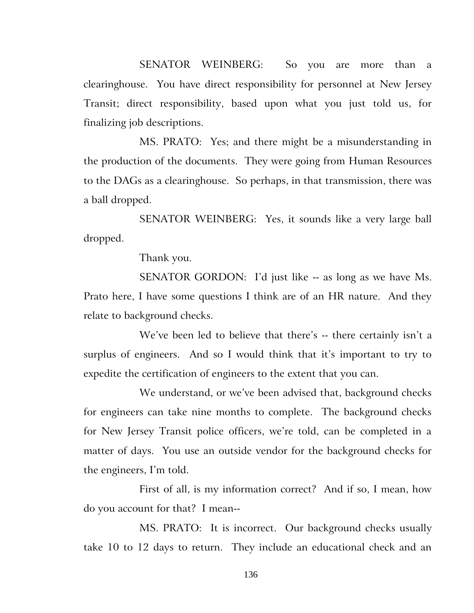SENATOR WEINBERG: So you are more than a clearinghouse. You have direct responsibility for personnel at New Jersey Transit; direct responsibility, based upon what you just told us, for finalizing job descriptions.

MS. PRATO: Yes; and there might be a misunderstanding in the production of the documents. They were going from Human Resources to the DAGs as a clearinghouse. So perhaps, in that transmission, there was a ball dropped.

SENATOR WEINBERG: Yes, it sounds like a very large ball dropped.

Thank you.

SENATOR GORDON: I'd just like -- as long as we have Ms. Prato here, I have some questions I think are of an HR nature. And they relate to background checks.

We've been led to believe that there's -- there certainly isn't a surplus of engineers. And so I would think that it's important to try to expedite the certification of engineers to the extent that you can.

We understand, or we've been advised that, background checks for engineers can take nine months to complete. The background checks for New Jersey Transit police officers, we're told, can be completed in a matter of days. You use an outside vendor for the background checks for the engineers, I'm told.

First of all, is my information correct? And if so, I mean, how do you account for that? I mean--

MS. PRATO: It is incorrect. Our background checks usually take 10 to 12 days to return. They include an educational check and an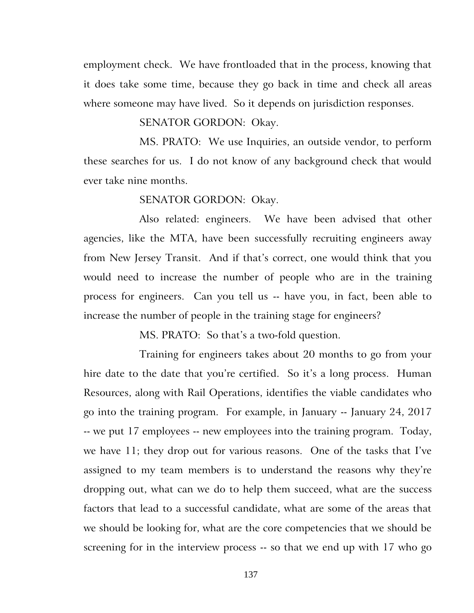employment check. We have frontloaded that in the process, knowing that it does take some time, because they go back in time and check all areas where someone may have lived. So it depends on jurisdiction responses.

#### SENATOR GORDON: Okay.

MS. PRATO: We use Inquiries, an outside vendor, to perform these searches for us. I do not know of any background check that would ever take nine months.

#### SENATOR GORDON: Okay.

Also related: engineers. We have been advised that other agencies, like the MTA, have been successfully recruiting engineers away from New Jersey Transit. And if that's correct, one would think that you would need to increase the number of people who are in the training process for engineers. Can you tell us -- have you, in fact, been able to increase the number of people in the training stage for engineers?

MS. PRATO: So that's a two-fold question.

Training for engineers takes about 20 months to go from your hire date to the date that you're certified. So it's a long process. Human Resources, along with Rail Operations, identifies the viable candidates who go into the training program. For example, in January -- January 24, 2017 -- we put 17 employees -- new employees into the training program. Today, we have 11; they drop out for various reasons. One of the tasks that I've assigned to my team members is to understand the reasons why they're dropping out, what can we do to help them succeed, what are the success factors that lead to a successful candidate, what are some of the areas that we should be looking for, what are the core competencies that we should be screening for in the interview process -- so that we end up with 17 who go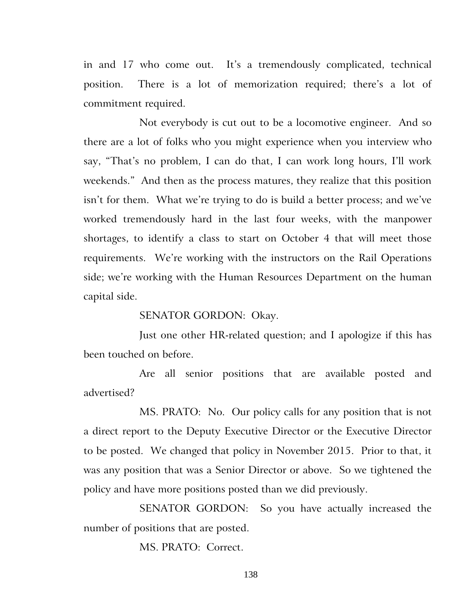in and 17 who come out. It's a tremendously complicated, technical position. There is a lot of memorization required; there's a lot of commitment required.

Not everybody is cut out to be a locomotive engineer. And so there are a lot of folks who you might experience when you interview who say, "That's no problem, I can do that, I can work long hours, I'll work weekends." And then as the process matures, they realize that this position isn't for them. What we're trying to do is build a better process; and we've worked tremendously hard in the last four weeks, with the manpower shortages, to identify a class to start on October 4 that will meet those requirements. We're working with the instructors on the Rail Operations side; we're working with the Human Resources Department on the human capital side.

#### SENATOR GORDON: Okay.

Just one other HR-related question; and I apologize if this has been touched on before.

Are all senior positions that are available posted and advertised?

MS. PRATO: No. Our policy calls for any position that is not a direct report to the Deputy Executive Director or the Executive Director to be posted. We changed that policy in November 2015. Prior to that, it was any position that was a Senior Director or above. So we tightened the policy and have more positions posted than we did previously.

SENATOR GORDON: So you have actually increased the number of positions that are posted.

MS. PRATO: Correct.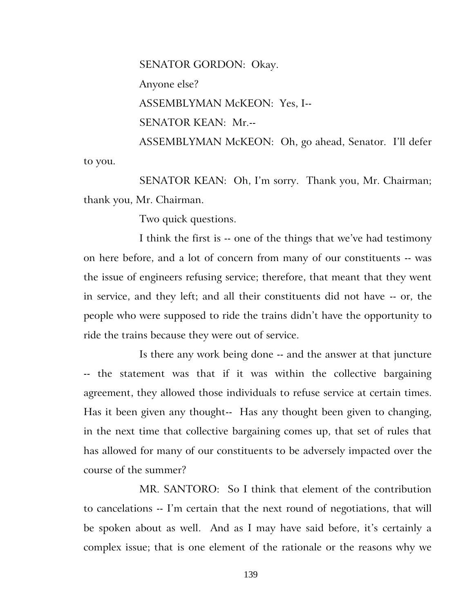SENATOR GORDON: Okay.

Anyone else?

ASSEMBLYMAN McKEON: Yes, I--

SENATOR KEAN: Mr.--

ASSEMBLYMAN McKEON: Oh, go ahead, Senator. I'll defer to you.

SENATOR KEAN: Oh, I'm sorry. Thank you, Mr. Chairman; thank you, Mr. Chairman.

Two quick questions.

I think the first is -- one of the things that we've had testimony on here before, and a lot of concern from many of our constituents -- was the issue of engineers refusing service; therefore, that meant that they went in service, and they left; and all their constituents did not have -- or, the people who were supposed to ride the trains didn't have the opportunity to ride the trains because they were out of service.

Is there any work being done -- and the answer at that juncture -- the statement was that if it was within the collective bargaining agreement, they allowed those individuals to refuse service at certain times. Has it been given any thought-- Has any thought been given to changing, in the next time that collective bargaining comes up, that set of rules that has allowed for many of our constituents to be adversely impacted over the course of the summer?

MR. SANTORO: So I think that element of the contribution to cancelations -- I'm certain that the next round of negotiations, that will be spoken about as well. And as I may have said before, it's certainly a complex issue; that is one element of the rationale or the reasons why we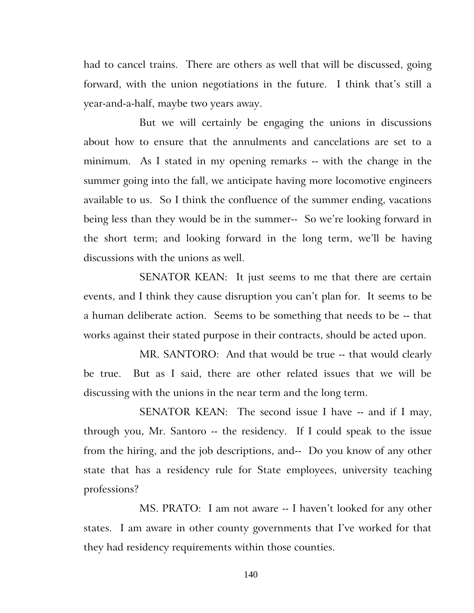had to cancel trains. There are others as well that will be discussed, going forward, with the union negotiations in the future. I think that's still a year-and-a-half, maybe two years away.

But we will certainly be engaging the unions in discussions about how to ensure that the annulments and cancelations are set to a minimum. As I stated in my opening remarks -- with the change in the summer going into the fall, we anticipate having more locomotive engineers available to us. So I think the confluence of the summer ending, vacations being less than they would be in the summer-- So we're looking forward in the short term; and looking forward in the long term, we'll be having discussions with the unions as well.

SENATOR KEAN: It just seems to me that there are certain events, and I think they cause disruption you can't plan for. It seems to be a human deliberate action. Seems to be something that needs to be -- that works against their stated purpose in their contracts, should be acted upon.

MR. SANTORO: And that would be true -- that would clearly be true. But as I said, there are other related issues that we will be discussing with the unions in the near term and the long term.

SENATOR KEAN: The second issue I have -- and if I may, through you, Mr. Santoro -- the residency. If I could speak to the issue from the hiring, and the job descriptions, and-- Do you know of any other state that has a residency rule for State employees, university teaching professions?

MS. PRATO: I am not aware -- I haven't looked for any other states. I am aware in other county governments that I've worked for that they had residency requirements within those counties.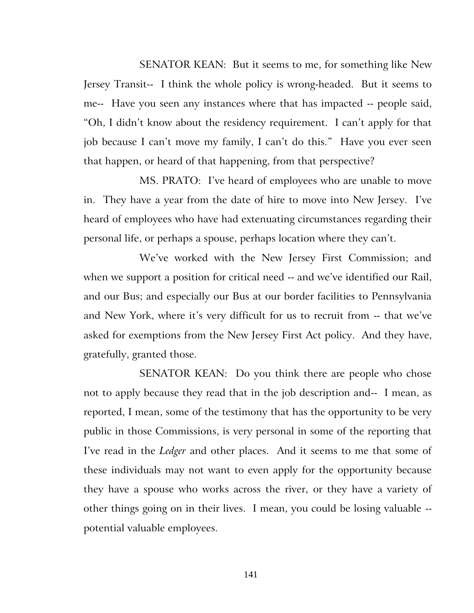SENATOR KEAN: But it seems to me, for something like New Jersey Transit-- I think the whole policy is wrong-headed. But it seems to me-- Have you seen any instances where that has impacted -- people said, "Oh, I didn't know about the residency requirement. I can't apply for that job because I can't move my family, I can't do this." Have you ever seen that happen, or heard of that happening, from that perspective?

MS. PRATO: I've heard of employees who are unable to move in. They have a year from the date of hire to move into New Jersey. I've heard of employees who have had extenuating circumstances regarding their personal life, or perhaps a spouse, perhaps location where they can't.

We've worked with the New Jersey First Commission; and when we support a position for critical need -- and we've identified our Rail, and our Bus; and especially our Bus at our border facilities to Pennsylvania and New York, where it's very difficult for us to recruit from -- that we've asked for exemptions from the New Jersey First Act policy. And they have, gratefully, granted those.

SENATOR KEAN: Do you think there are people who chose not to apply because they read that in the job description and-- I mean, as reported, I mean, some of the testimony that has the opportunity to be very public in those Commissions, is very personal in some of the reporting that I've read in the *Ledger* and other places. And it seems to me that some of these individuals may not want to even apply for the opportunity because they have a spouse who works across the river, or they have a variety of other things going on in their lives. I mean, you could be losing valuable - potential valuable employees.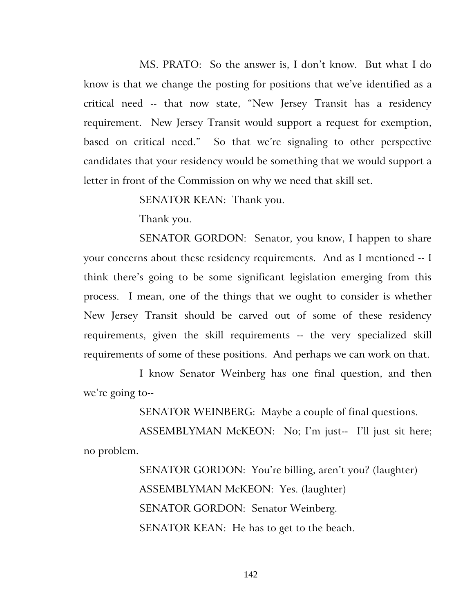MS. PRATO: So the answer is, I don't know. But what I do know is that we change the posting for positions that we've identified as a critical need -- that now state, "New Jersey Transit has a residency requirement. New Jersey Transit would support a request for exemption, based on critical need." So that we're signaling to other perspective candidates that your residency would be something that we would support a letter in front of the Commission on why we need that skill set.

SENATOR KEAN: Thank you.

Thank you.

SENATOR GORDON: Senator, you know, I happen to share your concerns about these residency requirements. And as I mentioned -- I think there's going to be some significant legislation emerging from this process. I mean, one of the things that we ought to consider is whether New Jersey Transit should be carved out of some of these residency requirements, given the skill requirements -- the very specialized skill requirements of some of these positions. And perhaps we can work on that.

I know Senator Weinberg has one final question, and then we're going to--

SENATOR WEINBERG: Maybe a couple of final questions.

ASSEMBLYMAN McKEON: No; I'm just-- I'll just sit here; no problem.

> SENATOR GORDON: You're billing, aren't you? (laughter) ASSEMBLYMAN McKEON: Yes. (laughter) SENATOR GORDON: Senator Weinberg. SENATOR KEAN: He has to get to the beach.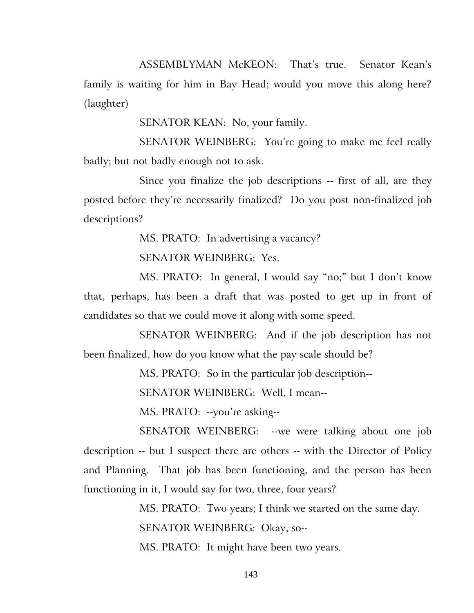ASSEMBLYMAN McKEON: That's true. Senator Kean's family is waiting for him in Bay Head; would you move this along here? (laughter)

SENATOR KEAN: No, your family.

SENATOR WEINBERG: You're going to make me feel really badly; but not badly enough not to ask.

Since you finalize the job descriptions -- first of all, are they posted before they're necessarily finalized? Do you post non-finalized job descriptions?

MS. PRATO: In advertising a vacancy?

SENATOR WEINBERG: Yes.

MS. PRATO: In general, I would say "no;" but I don't know that, perhaps, has been a draft that was posted to get up in front of candidates so that we could move it along with some speed.

SENATOR WEINBERG: And if the job description has not been finalized, how do you know what the pay scale should be?

MS. PRATO: So in the particular job description--

SENATOR WEINBERG: Well, I mean--

MS. PRATO: --you're asking--

SENATOR WEINBERG: --we were talking about one job description -- but I suspect there are others -- with the Director of Policy and Planning. That job has been functioning, and the person has been functioning in it, I would say for two, three, four years?

> MS. PRATO: Two years; I think we started on the same day. SENATOR WEINBERG: Okay, so--

MS. PRATO: It might have been two years.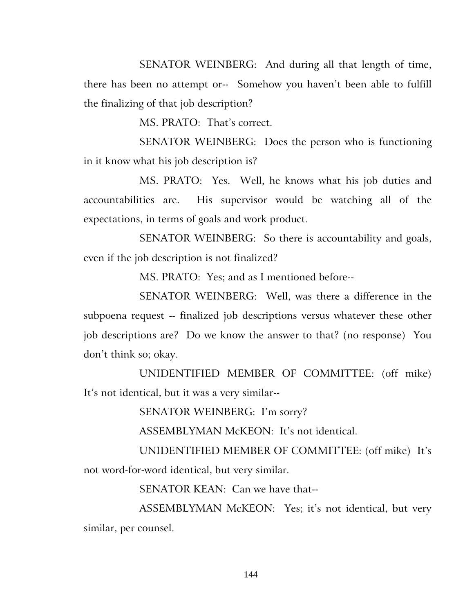SENATOR WEINBERG: And during all that length of time, there has been no attempt or-- Somehow you haven't been able to fulfill the finalizing of that job description?

MS. PRATO: That's correct.

SENATOR WEINBERG: Does the person who is functioning in it know what his job description is?

MS. PRATO: Yes. Well, he knows what his job duties and accountabilities are. His supervisor would be watching all of the expectations, in terms of goals and work product.

SENATOR WEINBERG: So there is accountability and goals, even if the job description is not finalized?

MS. PRATO: Yes; and as I mentioned before--

SENATOR WEINBERG: Well, was there a difference in the subpoena request -- finalized job descriptions versus whatever these other job descriptions are? Do we know the answer to that? (no response) You don't think so; okay.

UNIDENTIFIED MEMBER OF COMMITTEE: (off mike) It's not identical, but it was a very similar--

SENATOR WEINBERG: I'm sorry?

ASSEMBLYMAN McKEON: It's not identical.

UNIDENTIFIED MEMBER OF COMMITTEE: (off mike) It's not word-for-word identical, but very similar.

SENATOR KEAN: Can we have that--

ASSEMBLYMAN McKEON: Yes; it's not identical, but very similar, per counsel.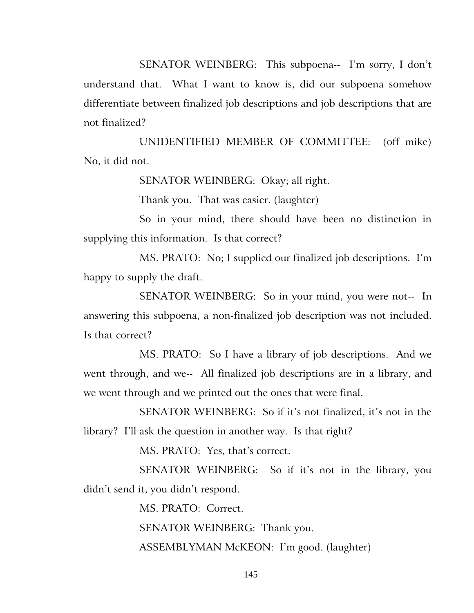SENATOR WEINBERG: This subpoena-- I'm sorry, I don't understand that. What I want to know is, did our subpoena somehow differentiate between finalized job descriptions and job descriptions that are not finalized?

UNIDENTIFIED MEMBER OF COMMITTEE: (off mike) No, it did not.

SENATOR WEINBERG: Okay; all right.

Thank you. That was easier. (laughter)

So in your mind, there should have been no distinction in supplying this information. Is that correct?

MS. PRATO: No; I supplied our finalized job descriptions. I'm happy to supply the draft.

SENATOR WEINBERG: So in your mind, you were not-- In answering this subpoena, a non-finalized job description was not included. Is that correct?

MS. PRATO: So I have a library of job descriptions. And we went through, and we-- All finalized job descriptions are in a library, and we went through and we printed out the ones that were final.

SENATOR WEINBERG: So if it's not finalized, it's not in the library? I'll ask the question in another way. Is that right?

MS. PRATO: Yes, that's correct.

SENATOR WEINBERG: So if it's not in the library, you didn't send it, you didn't respond.

MS. PRATO: Correct.

SENATOR WEINBERG: Thank you.

ASSEMBLYMAN McKEON: I'm good. (laughter)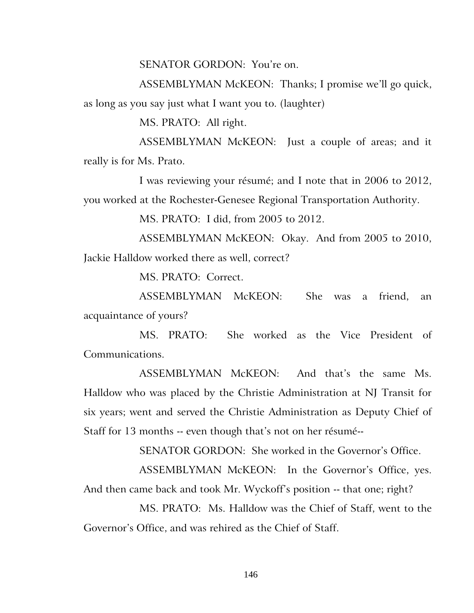SENATOR GORDON: You're on.

ASSEMBLYMAN McKEON: Thanks; I promise we'll go quick, as long as you say just what I want you to. (laughter)

MS. PRATO: All right.

ASSEMBLYMAN McKEON: Just a couple of areas; and it really is for Ms. Prato.

I was reviewing your résumé; and I note that in 2006 to 2012, you worked at the Rochester-Genesee Regional Transportation Authority.

MS. PRATO: I did, from 2005 to 2012.

ASSEMBLYMAN McKEON: Okay. And from 2005 to 2010, Jackie Halldow worked there as well, correct?

MS. PRATO: Correct.

ASSEMBLYMAN McKEON: She was a friend, an acquaintance of yours?

MS. PRATO: She worked as the Vice President of Communications.

ASSEMBLYMAN McKEON: And that's the same Ms. Halldow who was placed by the Christie Administration at NJ Transit for six years; went and served the Christie Administration as Deputy Chief of Staff for 13 months -- even though that's not on her résumé--

SENATOR GORDON: She worked in the Governor's Office.

ASSEMBLYMAN McKEON: In the Governor's Office, yes. And then came back and took Mr. Wyckoff's position -- that one; right?

MS. PRATO: Ms. Halldow was the Chief of Staff, went to the Governor's Office, and was rehired as the Chief of Staff.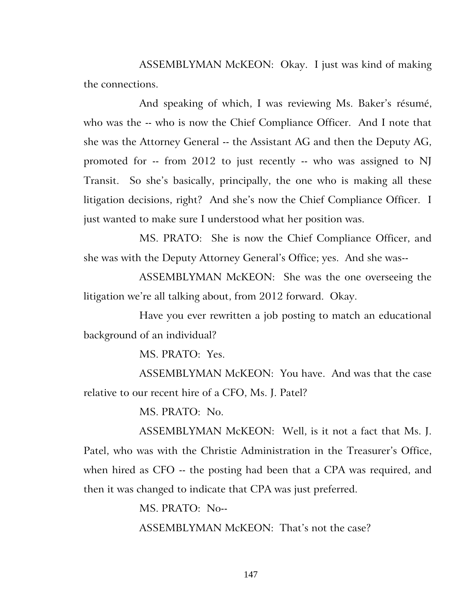ASSEMBLYMAN McKEON: Okay. I just was kind of making the connections.

And speaking of which, I was reviewing Ms. Baker's résumé, who was the -- who is now the Chief Compliance Officer. And I note that she was the Attorney General -- the Assistant AG and then the Deputy AG, promoted for -- from 2012 to just recently -- who was assigned to NJ Transit. So she's basically, principally, the one who is making all these litigation decisions, right? And she's now the Chief Compliance Officer. I just wanted to make sure I understood what her position was.

MS. PRATO: She is now the Chief Compliance Officer, and she was with the Deputy Attorney General's Office; yes. And she was--

ASSEMBLYMAN McKEON: She was the one overseeing the litigation we're all talking about, from 2012 forward. Okay.

Have you ever rewritten a job posting to match an educational background of an individual?

MS. PRATO: Yes.

ASSEMBLYMAN McKEON: You have. And was that the case relative to our recent hire of a CFO, Ms. J. Patel?

MS. PRATO: No.

ASSEMBLYMAN McKEON: Well, is it not a fact that Ms. J. Patel, who was with the Christie Administration in the Treasurer's Office, when hired as CFO -- the posting had been that a CPA was required, and then it was changed to indicate that CPA was just preferred.

> MS. PRATO: No-- ASSEMBLYMAN McKEON: That's not the case?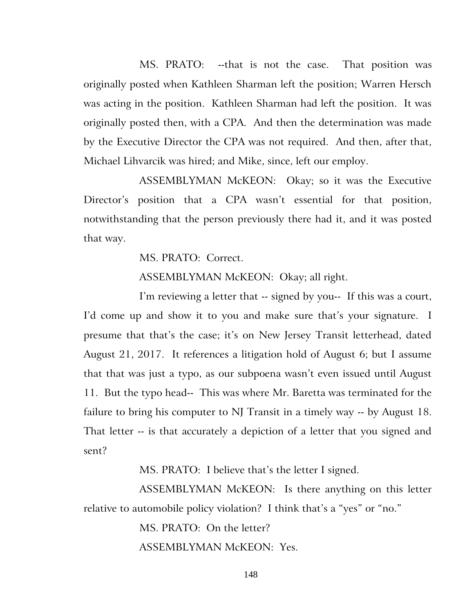MS. PRATO: --that is not the case. That position was originally posted when Kathleen Sharman left the position; Warren Hersch was acting in the position. Kathleen Sharman had left the position. It was originally posted then, with a CPA. And then the determination was made by the Executive Director the CPA was not required. And then, after that, Michael Lihvarcik was hired; and Mike, since, left our employ.

ASSEMBLYMAN McKEON: Okay; so it was the Executive Director's position that a CPA wasn't essential for that position, notwithstanding that the person previously there had it, and it was posted that way.

MS. PRATO: Correct.

ASSEMBLYMAN McKEON: Okay; all right.

I'm reviewing a letter that -- signed by you-- If this was a court, I'd come up and show it to you and make sure that's your signature. I presume that that's the case; it's on New Jersey Transit letterhead, dated August 21, 2017. It references a litigation hold of August 6; but I assume that that was just a typo, as our subpoena wasn't even issued until August 11. But the typo head-- This was where Mr. Baretta was terminated for the failure to bring his computer to NJ Transit in a timely way -- by August 18. That letter -- is that accurately a depiction of a letter that you signed and sent?

MS. PRATO: I believe that's the letter I signed.

ASSEMBLYMAN McKEON: Is there anything on this letter relative to automobile policy violation? I think that's a "yes" or "no."

MS. PRATO: On the letter?

ASSEMBLYMAN McKEON: Yes.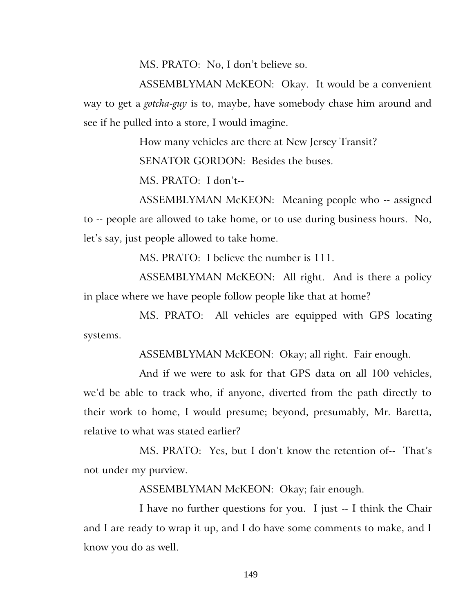MS. PRATO: No, I don't believe so.

ASSEMBLYMAN McKEON: Okay. It would be a convenient way to get a *gotcha-guy* is to, maybe, have somebody chase him around and see if he pulled into a store, I would imagine.

How many vehicles are there at New Jersey Transit?

SENATOR GORDON: Besides the buses.

MS. PRATO: I don't--

ASSEMBLYMAN McKEON: Meaning people who -- assigned to -- people are allowed to take home, or to use during business hours. No, let's say, just people allowed to take home.

MS. PRATO: I believe the number is 111.

ASSEMBLYMAN McKEON: All right. And is there a policy in place where we have people follow people like that at home?

MS. PRATO: All vehicles are equipped with GPS locating systems.

ASSEMBLYMAN McKEON: Okay; all right. Fair enough.

And if we were to ask for that GPS data on all 100 vehicles, we'd be able to track who, if anyone, diverted from the path directly to their work to home, I would presume; beyond, presumably, Mr. Baretta, relative to what was stated earlier?

MS. PRATO: Yes, but I don't know the retention of-- That's not under my purview.

ASSEMBLYMAN McKEON: Okay; fair enough.

I have no further questions for you. I just -- I think the Chair and I are ready to wrap it up, and I do have some comments to make, and I know you do as well.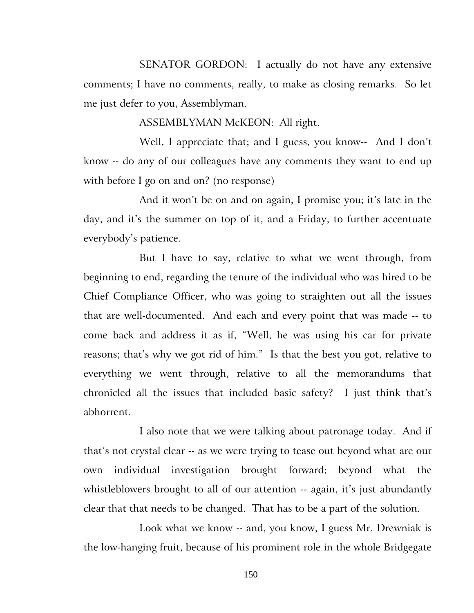SENATOR GORDON: I actually do not have any extensive comments; I have no comments, really, to make as closing remarks. So let me just defer to you, Assemblyman.

ASSEMBLYMAN McKEON: All right.

Well, I appreciate that; and I guess, you know-- And I don't know -- do any of our colleagues have any comments they want to end up with before I go on and on? (no response)

And it won't be on and on again, I promise you; it's late in the day, and it's the summer on top of it, and a Friday, to further accentuate everybody's patience.

But I have to say, relative to what we went through, from beginning to end, regarding the tenure of the individual who was hired to be Chief Compliance Officer, who was going to straighten out all the issues that are well-documented. And each and every point that was made -- to come back and address it as if, "Well, he was using his car for private reasons; that's why we got rid of him." Is that the best you got, relative to everything we went through, relative to all the memorandums that chronicled all the issues that included basic safety? I just think that's abhorrent.

I also note that we were talking about patronage today. And if that's not crystal clear -- as we were trying to tease out beyond what are our own individual investigation brought forward; beyond what the whistleblowers brought to all of our attention -- again, it's just abundantly clear that that needs to be changed. That has to be a part of the solution.

Look what we know -- and, you know, I guess Mr. Drewniak is the low-hanging fruit, because of his prominent role in the whole Bridgegate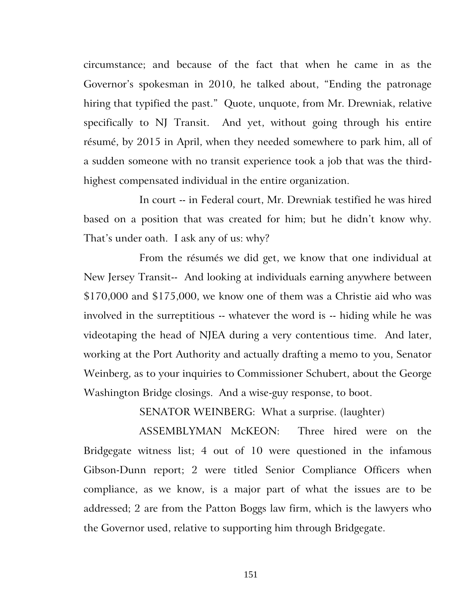circumstance; and because of the fact that when he came in as the Governor's spokesman in 2010, he talked about, "Ending the patronage hiring that typified the past." Quote, unquote, from Mr. Drewniak, relative specifically to NJ Transit. And yet, without going through his entire résumé, by 2015 in April, when they needed somewhere to park him, all of a sudden someone with no transit experience took a job that was the thirdhighest compensated individual in the entire organization.

In court -- in Federal court, Mr. Drewniak testified he was hired based on a position that was created for him; but he didn't know why. That's under oath. I ask any of us: why?

From the résumés we did get, we know that one individual at New Jersey Transit-- And looking at individuals earning anywhere between \$170,000 and \$175,000, we know one of them was a Christie aid who was involved in the surreptitious -- whatever the word is -- hiding while he was videotaping the head of NJEA during a very contentious time. And later, working at the Port Authority and actually drafting a memo to you, Senator Weinberg, as to your inquiries to Commissioner Schubert, about the George Washington Bridge closings. And a wise-guy response, to boot.

SENATOR WEINBERG: What a surprise. (laughter)

ASSEMBLYMAN McKEON: Three hired were on the Bridgegate witness list; 4 out of 10 were questioned in the infamous Gibson-Dunn report; 2 were titled Senior Compliance Officers when compliance, as we know, is a major part of what the issues are to be addressed; 2 are from the Patton Boggs law firm, which is the lawyers who the Governor used, relative to supporting him through Bridgegate.